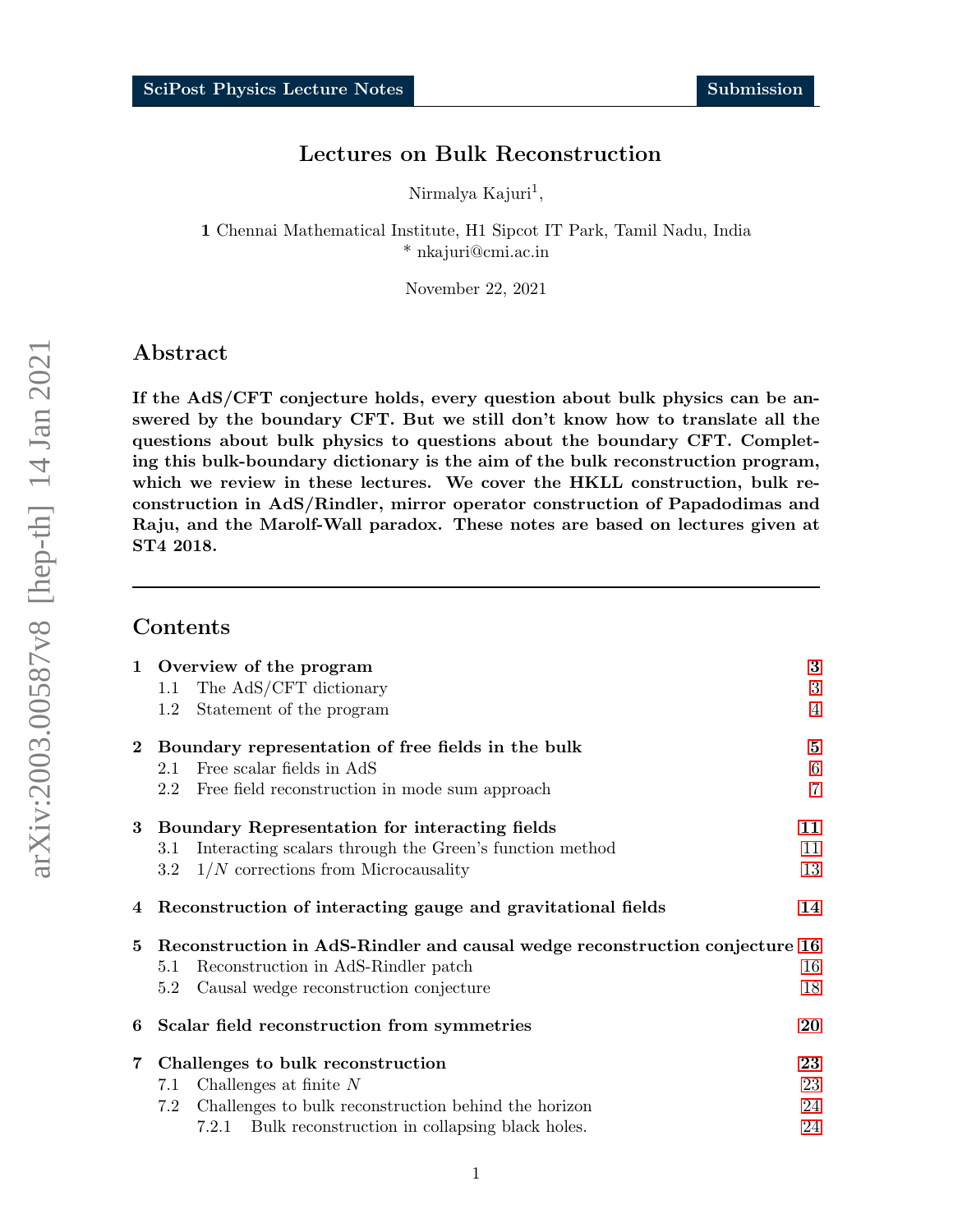## Lectures on Bulk Reconstruction

Nirmalya Kajuri<sup>1</sup>,

1 Chennai Mathematical Institute, H1 Sipcot IT Park, Tamil Nadu, India \* nkajuri@cmi.ac.in

November 22, 2021

## Abstract

If the AdS/CFT conjecture holds, every question about bulk physics can be answered by the boundary CFT. But we still don't know how to translate all the questions about bulk physics to questions about the boundary CFT. Completing this bulk-boundary dictionary is the aim of the bulk reconstruction program, which we review in these lectures. We cover the HKLL construction, bulk reconstruction in AdS/Rindler, mirror operator construction of Papadodimas and Raju, and the Marolf-Wall paradox. These notes are based on lectures given at ST4 2018.

## Contents

|                |         | 1 Overview of the program                                                   | $\bf{3}$       |
|----------------|---------|-----------------------------------------------------------------------------|----------------|
|                | 1.1     | The AdS/CFT dictionary                                                      | 3              |
|                | $1.2\,$ | Statement of the program                                                    | 4              |
|                |         | 2 Boundary representation of free fields in the bulk                        | $\bf{5}$       |
|                | 2.1     | Free scalar fields in AdS                                                   | $\,6$          |
|                | $2.2\,$ | Free field reconstruction in mode sum approach                              | $\overline{7}$ |
| $3^{\circ}$    |         | Boundary Representation for interacting fields                              | 11             |
|                | 3.1     | Interacting scalars through the Green's function method                     | 11             |
|                | $3.2\,$ | $1/N$ corrections from Microcausality                                       | 13             |
| $\overline{4}$ |         | Reconstruction of interacting gauge and gravitational fields                | 14             |
| 5              |         | Reconstruction in AdS-Rindler and causal wedge reconstruction conjecture 16 |                |
|                | 5.1     | Reconstruction in AdS-Rindler patch                                         | 16             |
|                | 5.2     | Causal wedge reconstruction conjecture                                      | 18             |
| 6              |         | Scalar field reconstruction from symmetries                                 | 20             |
| $\mathbf 7$    |         | Challenges to bulk reconstruction                                           | 23             |
|                | 7.1     | Challenges at finite $N$                                                    | 23             |
|                | 7.2     | Challenges to bulk reconstruction behind the horizon                        | 24             |
|                |         | 7.2.1 Bulk reconstruction in collapsing black holes.                        | 24             |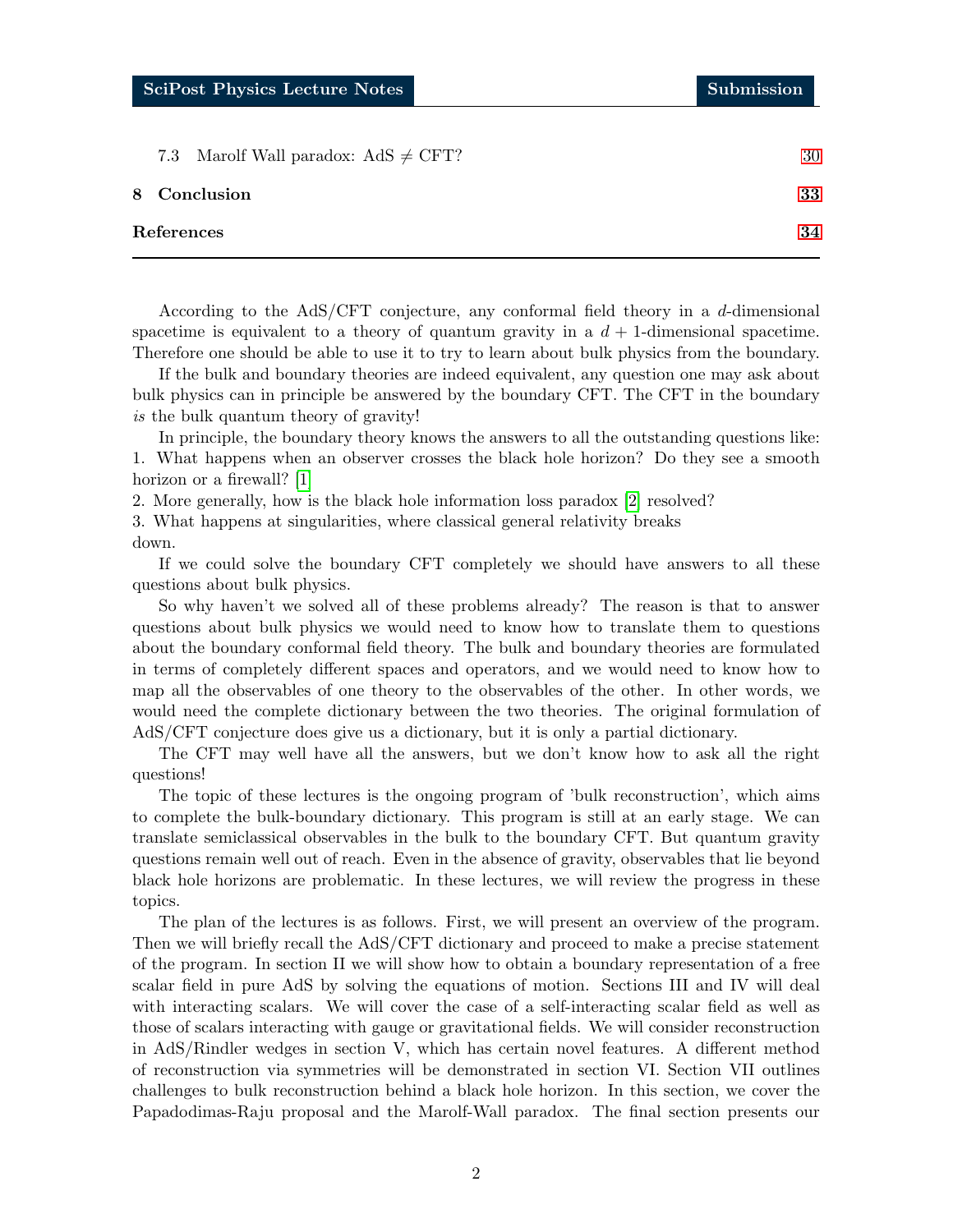| 7.3 Marolf Wall paradox: $AdS \neq CFT$ ? | 30 |
|-------------------------------------------|----|
| 8 Conclusion                              | 33 |
| References                                | 34 |

According to the AdS/CFT conjecture, any conformal field theory in a d-dimensional spacetime is equivalent to a theory of quantum gravity in a  $d+1$ -dimensional spacetime. Therefore one should be able to use it to try to learn about bulk physics from the boundary.

If the bulk and boundary theories are indeed equivalent, any question one may ask about bulk physics can in principle be answered by the boundary CFT. The CFT in the boundary is the bulk quantum theory of gravity!

In principle, the boundary theory knows the answers to all the outstanding questions like: 1. What happens when an observer crosses the black hole horizon? Do they see a smooth horizon or a firewall? [\[1\]](#page-33-0)

2. More generally, how is the black hole information loss paradox [\[2\]](#page-33-1) resolved?

3. What happens at singularities, where classical general relativity breaks down.

If we could solve the boundary CFT completely we should have answers to all these questions about bulk physics.

So why haven't we solved all of these problems already? The reason is that to answer questions about bulk physics we would need to know how to translate them to questions about the boundary conformal field theory. The bulk and boundary theories are formulated in terms of completely different spaces and operators, and we would need to know how to map all the observables of one theory to the observables of the other. In other words, we would need the complete dictionary between the two theories. The original formulation of AdS/CFT conjecture does give us a dictionary, but it is only a partial dictionary.

The CFT may well have all the answers, but we don't know how to ask all the right questions!

The topic of these lectures is the ongoing program of 'bulk reconstruction', which aims to complete the bulk-boundary dictionary. This program is still at an early stage. We can translate semiclassical observables in the bulk to the boundary CFT. But quantum gravity questions remain well out of reach. Even in the absence of gravity, observables that lie beyond black hole horizons are problematic. In these lectures, we will review the progress in these topics.

The plan of the lectures is as follows. First, we will present an overview of the program. Then we will briefly recall the AdS/CFT dictionary and proceed to make a precise statement of the program. In section II we will show how to obtain a boundary representation of a free scalar field in pure AdS by solving the equations of motion. Sections III and IV will deal with interacting scalars. We will cover the case of a self-interacting scalar field as well as those of scalars interacting with gauge or gravitational fields. We will consider reconstruction in AdS/Rindler wedges in section V, which has certain novel features. A different method of reconstruction via symmetries will be demonstrated in section VI. Section VII outlines challenges to bulk reconstruction behind a black hole horizon. In this section, we cover the Papadodimas-Raju proposal and the Marolf-Wall paradox. The final section presents our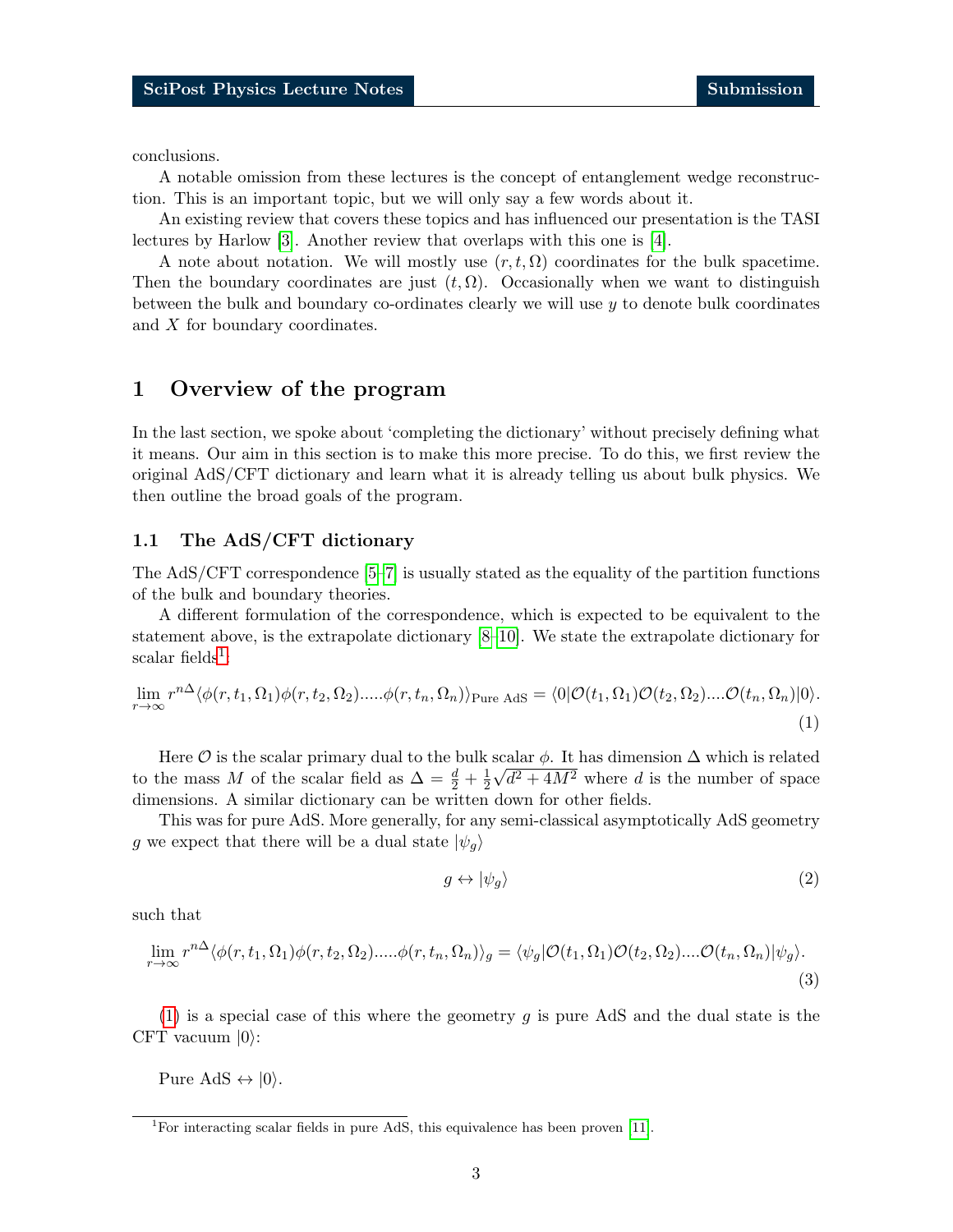conclusions.

A notable omission from these lectures is the concept of entanglement wedge reconstruction. This is an important topic, but we will only say a few words about it.

An existing review that covers these topics and has influenced our presentation is the TASI lectures by Harlow [\[3\]](#page-33-2). Another review that overlaps with this one is [\[4\]](#page-33-3).

A note about notation. We will mostly use  $(r, t, \Omega)$  coordinates for the bulk spacetime. Then the boundary coordinates are just  $(t, \Omega)$ . Occasionally when we want to distinguish between the bulk and boundary co-ordinates clearly we will use  $y$  to denote bulk coordinates and X for boundary coordinates.

## <span id="page-2-0"></span>1 Overview of the program

In the last section, we spoke about 'completing the dictionary' without precisely defining what it means. Our aim in this section is to make this more precise. To do this, we first review the original AdS/CFT dictionary and learn what it is already telling us about bulk physics. We then outline the broad goals of the program.

### <span id="page-2-1"></span>1.1 The AdS/CFT dictionary

The AdS/CFT correspondence [\[5–](#page-33-4)[7\]](#page-33-5) is usually stated as the equality of the partition functions of the bulk and boundary theories.

A different formulation of the correspondence, which is expected to be equivalent to the statement above, is the extrapolate dictionary [\[8–](#page-33-6)[10\]](#page-33-7). We state the extrapolate dictionary for  $\mathrm{scalar\ fields}^1$  $\mathrm{scalar\ fields}^1$ :

$$
\lim_{r \to \infty} r^{n\Delta} \langle \phi(r, t_1, \Omega_1) \phi(r, t_2, \Omega_2) \dots \phi(r, t_n, \Omega_n) \rangle_{\text{Pure AdS}} = \langle 0 | \mathcal{O}(t_1, \Omega_1) \mathcal{O}(t_2, \Omega_2) \dots \mathcal{O}(t_n, \Omega_n) | 0 \rangle. \tag{1}
$$

Here  $\mathcal O$  is the scalar primary dual to the bulk scalar  $\phi$ . It has dimension  $\Delta$  which is related to the mass M of the scalar field as  $\Delta = \frac{d}{2} + \frac{1}{2}$ 2  $\sqrt{d^2+4M^2}$  where d is the number of space dimensions. A similar dictionary can be written down for other fields.

This was for pure AdS. More generally, for any semi-classical asymptotically AdS geometry g we expect that there will be a dual state  $|\psi_a\rangle$ 

<span id="page-2-4"></span><span id="page-2-3"></span>
$$
g \leftrightarrow |\psi_g\rangle \tag{2}
$$

such that

$$
\lim_{r \to \infty} r^{n\Delta} \langle \phi(r, t_1, \Omega_1) \phi(r, t_2, \Omega_2) \dots \phi(r, t_n, \Omega_n) \rangle_g = \langle \psi_g | \mathcal{O}(t_1, \Omega_1) \mathcal{O}(t_2, \Omega_2) \dots \mathcal{O}(t_n, \Omega_n) | \psi_g \rangle.
$$
\n(3)

[\(1\)](#page-2-3) is a special case of this where the geometry  $q$  is pure AdS and the dual state is the CFT vacuum  $|0\rangle$ :

Pure AdS  $\leftrightarrow$   $|0\rangle$ .

<span id="page-2-2"></span><sup>&</sup>lt;sup>1</sup>For interacting scalar fields in pure AdS, this equivalence has been proven [\[11\]](#page-33-8).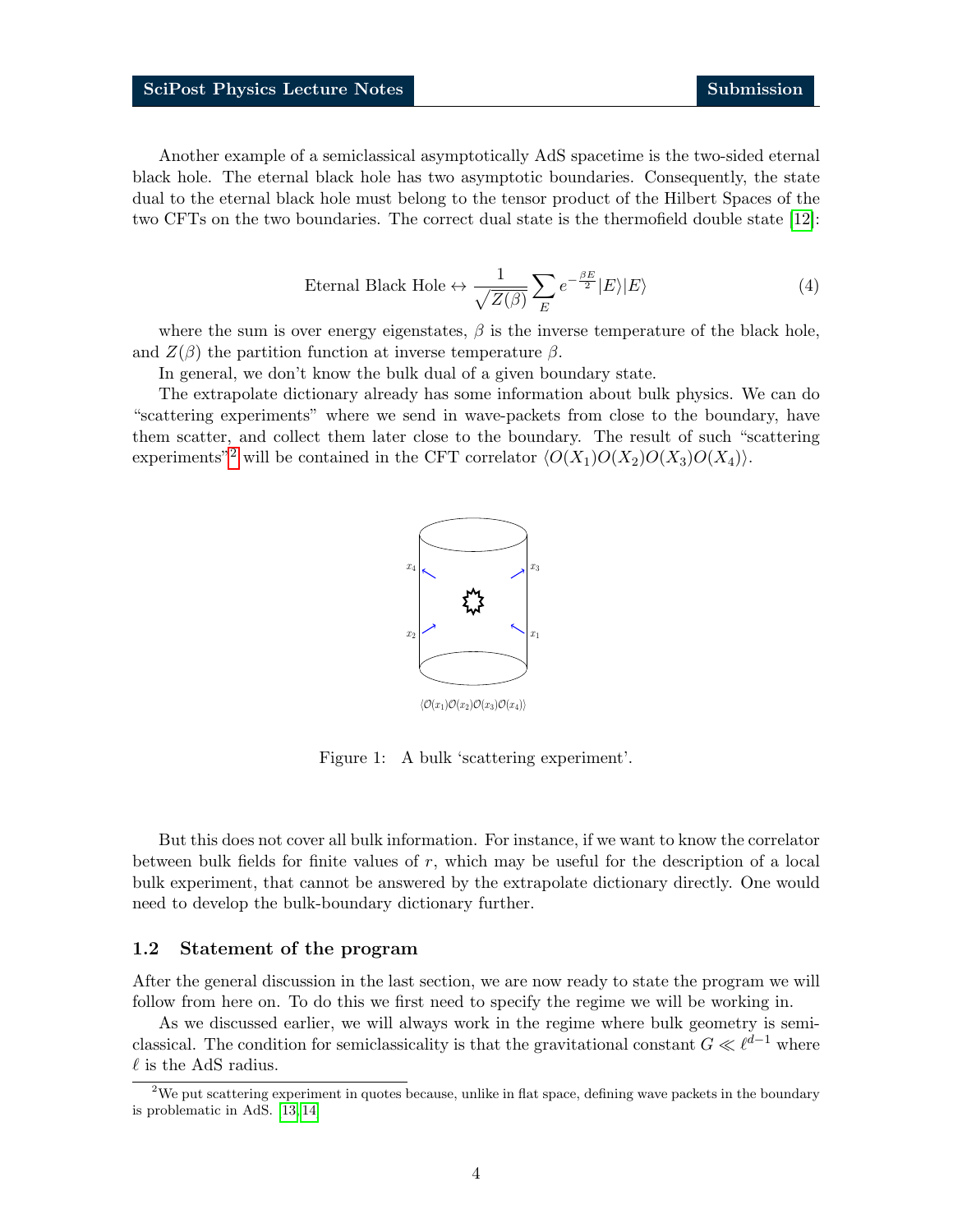Another example of a semiclassical asymptotically AdS spacetime is the two-sided eternal black hole. The eternal black hole has two asymptotic boundaries. Consequently, the state dual to the eternal black hole must belong to the tensor product of the Hilbert Spaces of the two CFTs on the two boundaries. The correct dual state is the thermofield double state [\[12\]](#page-33-9):

$$
\text{Eternal Black Hole} \leftrightarrow \frac{1}{\sqrt{Z(\beta)}} \sum_{E} e^{-\frac{\beta E}{2}} |E\rangle |E\rangle \tag{4}
$$

<span id="page-3-2"></span>where the sum is over energy eigenstates,  $\beta$  is the inverse temperature of the black hole, and  $Z(\beta)$  the partition function at inverse temperature  $\beta$ .

In general, we don't know the bulk dual of a given boundary state.

The extrapolate dictionary already has some information about bulk physics. We can do "scattering experiments" where we send in wave-packets from close to the boundary, have them scatter, and collect them later close to the boundary. The result of such "scattering experiments"<sup>[2](#page-3-1)</sup> will be contained in the CFT correlator  $\langle O(X_1)O(X_2)O(X_3)O(X_4)\rangle$ .



Figure 1: A bulk 'scattering experiment'.

But this does not cover all bulk information. For instance, if we want to know the correlator between bulk fields for finite values of r, which may be useful for the description of a local bulk experiment, that cannot be answered by the extrapolate dictionary directly. One would need to develop the bulk-boundary dictionary further.

### <span id="page-3-0"></span>1.2 Statement of the program

After the general discussion in the last section, we are now ready to state the program we will follow from here on. To do this we first need to specify the regime we will be working in.

As we discussed earlier, we will always work in the regime where bulk geometry is semiclassical. The condition for semiclassicality is that the gravitational constant  $G \ll \ell^{d-1}$  where  $\ell$  is the AdS radius.

<span id="page-3-1"></span><sup>&</sup>lt;sup>2</sup>We put scattering experiment in quotes because, unlike in flat space, defining wave packets in the boundary is problematic in AdS. [\[13,](#page-33-10) [14\]](#page-33-11)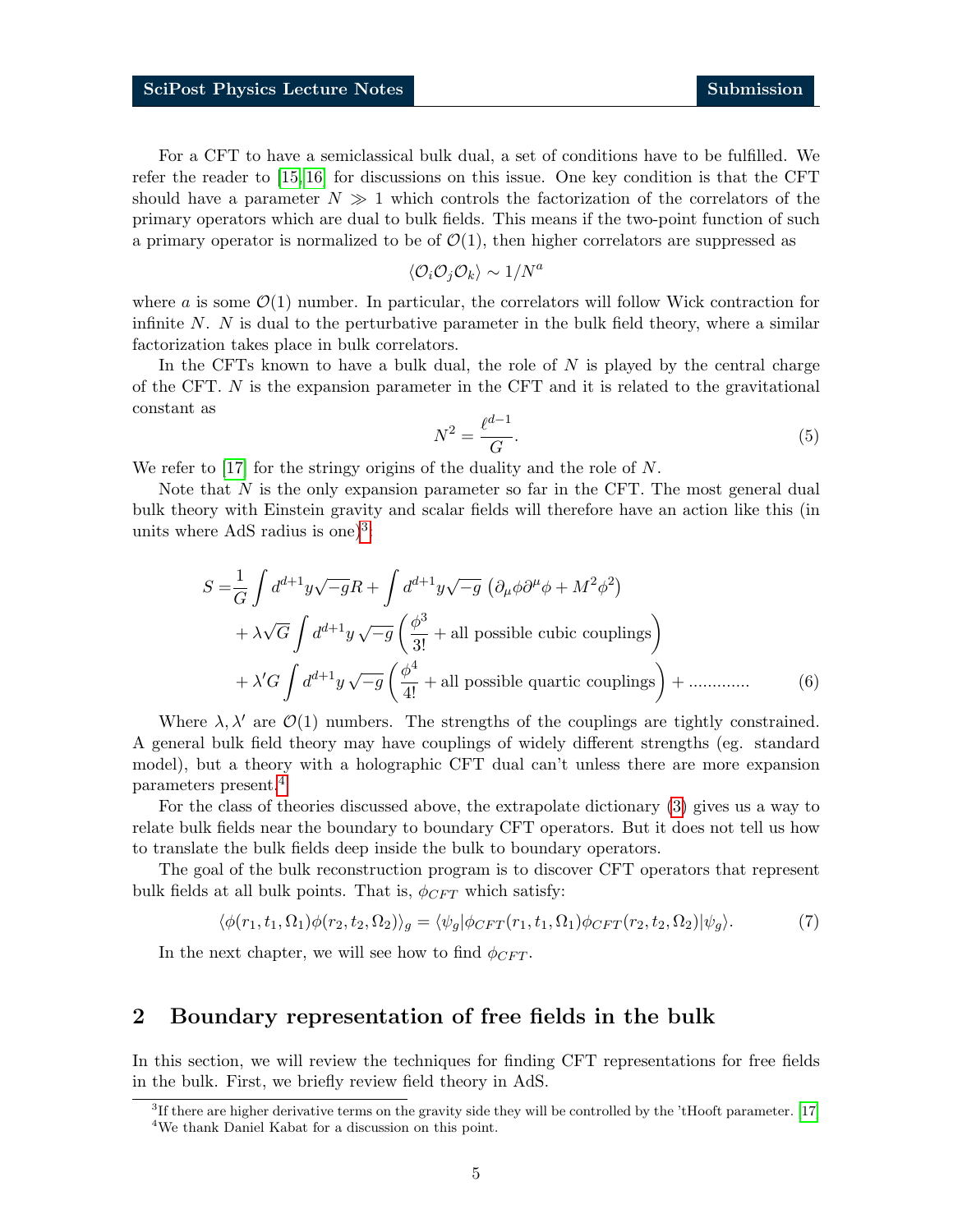For a CFT to have a semiclassical bulk dual, a set of conditions have to be fulfilled. We refer the reader to [\[15,](#page-33-12) [16\]](#page-34-0) for discussions on this issue. One key condition is that the CFT should have a parameter  $N \gg 1$  which controls the factorization of the correlators of the primary operators which are dual to bulk fields. This means if the two-point function of such a primary operator is normalized to be of  $\mathcal{O}(1)$ , then higher correlators are suppressed as

$$
\langle \mathcal{O}_i\mathcal{O}_j\mathcal{O}_k\rangle\sim 1/N^a
$$

where a is some  $\mathcal{O}(1)$  number. In particular, the correlators will follow Wick contraction for infinite  $N$ .  $N$  is dual to the perturbative parameter in the bulk field theory, where a similar factorization takes place in bulk correlators.

In the CFTs known to have a bulk dual, the role of  $N$  is played by the central charge of the CFT. N is the expansion parameter in the CFT and it is related to the gravitational constant as

<span id="page-4-3"></span>
$$
N^2 = \frac{\ell^{d-1}}{G}.\tag{5}
$$

We refer to [\[17\]](#page-34-1) for the stringy origins of the duality and the role of N.

Note that  $N$  is the only expansion parameter so far in the CFT. The most general dual bulk theory with Einstein gravity and scalar fields will therefore have an action like this (in units where AdS radius is one) $3$ :

$$
S = \frac{1}{G} \int d^{d+1}y \sqrt{-g}R + \int d^{d+1}y \sqrt{-g} \left( \partial_{\mu}\phi \partial^{\mu}\phi + M^{2} \phi^{2} \right)
$$
  
+  $\lambda \sqrt{G} \int d^{d+1}y \sqrt{-g} \left( \frac{\phi^{3}}{3!} + \text{all possible cubic couplings} \right)$   
+  $\lambda' G \int d^{d+1}y \sqrt{-g} \left( \frac{\phi^{4}}{4!} + \text{all possible quartic couplings} \right) + \dots$  (6)

Where  $\lambda, \lambda'$  are  $\mathcal{O}(1)$  numbers. The strengths of the couplings are tightly constrained. A general bulk field theory may have couplings of widely different strengths (eg. standard model), but a theory with a holographic CFT dual can't unless there are more expansion parameters present.[4](#page-4-2)

For the class of theories discussed above, the extrapolate dictionary [\(3\)](#page-2-4) gives us a way to relate bulk fields near the boundary to boundary CFT operators. But it does not tell us how to translate the bulk fields deep inside the bulk to boundary operators.

The goal of the bulk reconstruction program is to discover CFT operators that represent bulk fields at all bulk points. That is,  $\phi_{CFT}$  which satisfy:

$$
\langle \phi(r_1, t_1, \Omega_1)\phi(r_2, t_2, \Omega_2) \rangle_g = \langle \psi_g | \phi_{CFT}(r_1, t_1, \Omega_1)\phi_{CFT}(r_2, t_2, \Omega_2) | \psi_g \rangle. \tag{7}
$$

In the next chapter, we will see how to find  $\phi_{CFT}$ .

## <span id="page-4-0"></span>2 Boundary representation of free fields in the bulk

In this section, we will review the techniques for finding CFT representations for free fields in the bulk. First, we briefly review field theory in AdS.

<span id="page-4-2"></span><span id="page-4-1"></span><sup>3</sup> If there are higher derivative terms on the gravity side they will be controlled by the 'tHooft parameter. [\[17\]](#page-34-1) <sup>4</sup>We thank Daniel Kabat for a discussion on this point.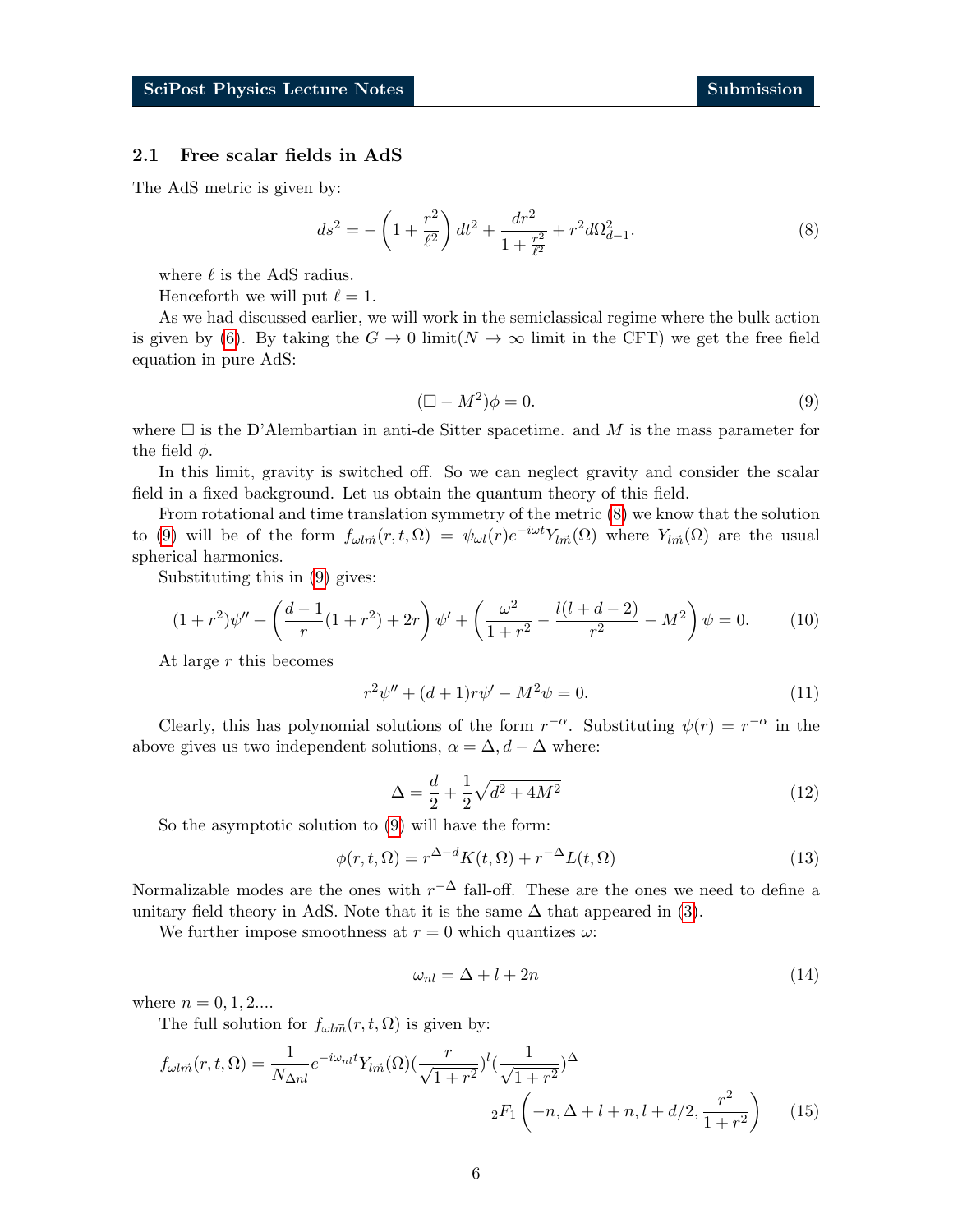### <span id="page-5-0"></span>2.1 Free scalar fields in AdS

The AdS metric is given by:

$$
ds^{2} = -\left(1 + \frac{r^{2}}{\ell^{2}}\right)dt^{2} + \frac{dr^{2}}{1 + \frac{r^{2}}{\ell^{2}}} + r^{2}d\Omega_{d-1}^{2}.
$$
 (8)

where  $\ell$  is the AdS radius.

Henceforth we will put  $\ell = 1$ .

As we had discussed earlier, we will work in the semiclassical regime where the bulk action is given by [\(6\)](#page-4-3). By taking the  $G \to 0$  limit( $N \to \infty$  limit in the CFT) we get the free field equation in pure AdS:

<span id="page-5-1"></span>
$$
(\Box - M^2)\phi = 0. \tag{9}
$$

<span id="page-5-2"></span>where  $\Box$  is the D'Alembartian in anti-de Sitter spacetime. and M is the mass parameter for the field  $\phi$ .

In this limit, gravity is switched off. So we can neglect gravity and consider the scalar field in a fixed background. Let us obtain the quantum theory of this field.

From rotational and time translation symmetry of the metric [\(8\)](#page-5-1) we know that the solution to [\(9\)](#page-5-2) will be of the form  $f_{\omega l \vec{m}}(r, t, \Omega) = \psi_{\omega l}(r) e^{-i\omega t} Y_{l \vec{m}}(\Omega)$  where  $Y_{l \vec{m}}(\Omega)$  are the usual spherical harmonics.

Substituting this in [\(9\)](#page-5-2) gives:

$$
(1+r^2)\psi'' + \left(\frac{d-1}{r}(1+r^2) + 2r\right)\psi' + \left(\frac{\omega^2}{1+r^2} - \frac{l(l+d-2)}{r^2} - M^2\right)\psi = 0.
$$
 (10)

At large r this becomes

$$
r^{2}\psi'' + (d+1)r\psi' - M^{2}\psi = 0.
$$
\n(11)

Clearly, this has polynomial solutions of the form  $r^{-\alpha}$ . Substituting  $\psi(r) = r^{-\alpha}$  in the above gives us two independent solutions,  $\alpha = \Delta, d - \Delta$  where:

<span id="page-5-4"></span>
$$
\Delta = \frac{d}{2} + \frac{1}{2}\sqrt{d^2 + 4M^2} \tag{12}
$$

So the asymptotic solution to [\(9\)](#page-5-2) will have the form:

$$
\phi(r,t,\Omega) = r^{\Delta-d}K(t,\Omega) + r^{-\Delta}L(t,\Omega)
$$
\n(13)

Normalizable modes are the ones with  $r^{-\Delta}$  fall-off. These are the ones we need to define a unitary field theory in AdS. Note that it is the same  $\Delta$  that appeared in [\(3\)](#page-2-4).

<span id="page-5-3"></span>We further impose smoothness at  $r = 0$  which quantizes  $\omega$ :

$$
\omega_{nl} = \Delta + l + 2n \tag{14}
$$

where  $n = 0, 1, 2...$ 

The full solution for  $f_{\omega l \vec{m}}(r, t, \Omega)$  is given by:

$$
f_{\omega l\vec{m}}(r,t,\Omega) = \frac{1}{N_{\Delta nl}} e^{-i\omega_{nl}t} Y_{l\vec{m}}(\Omega) \left(\frac{r}{\sqrt{1+r^2}}\right)^l \left(\frac{1}{\sqrt{1+r^2}}\right)^{\Delta}
$$
  
 
$$
{}_2F_1\left(-n,\Delta+l+n,l+d/2,\frac{r^2}{1+r^2}\right) \tag{15}
$$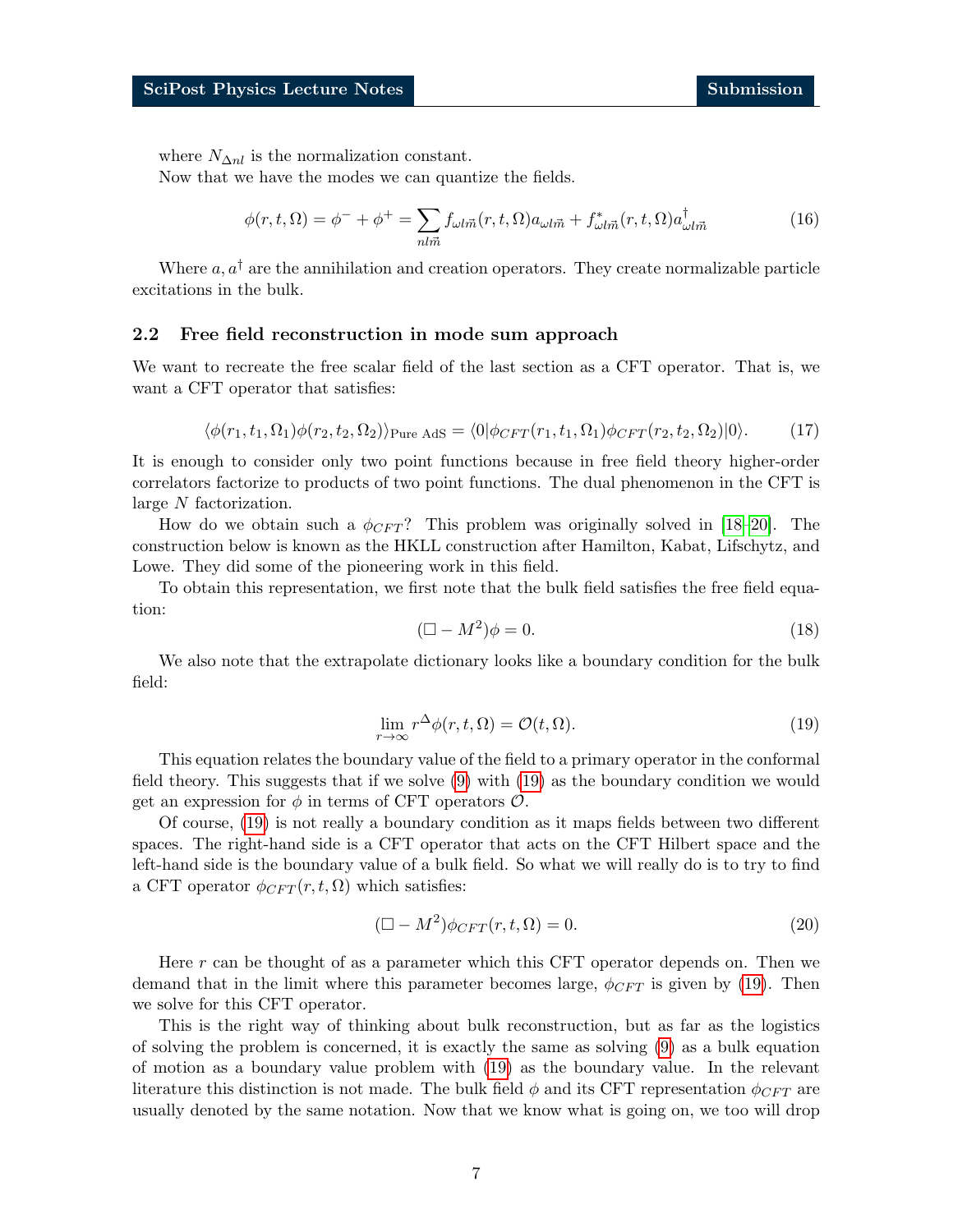where  $N_{\Delta nl}$  is the normalization constant.

<span id="page-6-2"></span>Now that we have the modes we can quantize the fields.

$$
\phi(r,t,\Omega) = \phi^- + \phi^+ = \sum_{nl\vec{m}} f_{\omega l\vec{m}}(r,t,\Omega) a_{\omega l\vec{m}} + f_{\omega l\vec{m}}^*(r,t,\Omega) a_{\omega l\vec{m}}^\dagger \tag{16}
$$

Where  $a, a^{\dagger}$  are the annihilation and creation operators. They create normalizable particle excitations in the bulk.

### <span id="page-6-0"></span>2.2 Free field reconstruction in mode sum approach

<span id="page-6-3"></span>We want to recreate the free scalar field of the last section as a CFT operator. That is, we want a CFT operator that satisfies:

$$
\langle \phi(r_1, t_1, \Omega_1) \phi(r_2, t_2, \Omega_2) \rangle_{\text{Pure AdS}} = \langle 0 | \phi_{CFT}(r_1, t_1, \Omega_1) \phi_{CFT}(r_2, t_2, \Omega_2) | 0 \rangle. \tag{17}
$$

It is enough to consider only two point functions because in free field theory higher-order correlators factorize to products of two point functions. The dual phenomenon in the CFT is large N factorization.

How do we obtain such a  $\phi_{CFT}$ ? This problem was originally solved in [\[18–](#page-34-2)[20\]](#page-34-3). The construction below is known as the HKLL construction after Hamilton, Kabat, Lifschytz, and Lowe. They did some of the pioneering work in this field.

To obtain this representation, we first note that the bulk field satisfies the free field equation:

$$
(\Box - M^2)\phi = 0. \tag{18}
$$

<span id="page-6-1"></span>We also note that the extrapolate dictionary looks like a boundary condition for the bulk field:

$$
\lim_{r \to \infty} r^{\Delta} \phi(r, t, \Omega) = \mathcal{O}(t, \Omega). \tag{19}
$$

This equation relates the boundary value of the field to a primary operator in the conformal field theory. This suggests that if we solve [\(9\)](#page-5-2) with [\(19\)](#page-6-1) as the boundary condition we would get an expression for  $\phi$  in terms of CFT operators  $\mathcal{O}$ .

Of course, [\(19\)](#page-6-1) is not really a boundary condition as it maps fields between two different spaces. The right-hand side is a CFT operator that acts on the CFT Hilbert space and the left-hand side is the boundary value of a bulk field. So what we will really do is to try to find a CFT operator  $\phi_{CFT}(r, t, \Omega)$  which satisfies:

$$
(\Box - M^2)\phi_{CFT}(r, t, \Omega) = 0.
$$
\n(20)

Here r can be thought of as a parameter which this CFT operator depends on. Then we demand that in the limit where this parameter becomes large,  $\phi_{CFT}$  is given by [\(19\)](#page-6-1). Then we solve for this CFT operator.

This is the right way of thinking about bulk reconstruction, but as far as the logistics of solving the problem is concerned, it is exactly the same as solving [\(9\)](#page-5-2) as a bulk equation of motion as a boundary value problem with [\(19\)](#page-6-1) as the boundary value. In the relevant literature this distinction is not made. The bulk field  $\phi$  and its CFT representation  $\phi_{CFT}$  are usually denoted by the same notation. Now that we know what is going on, we too will drop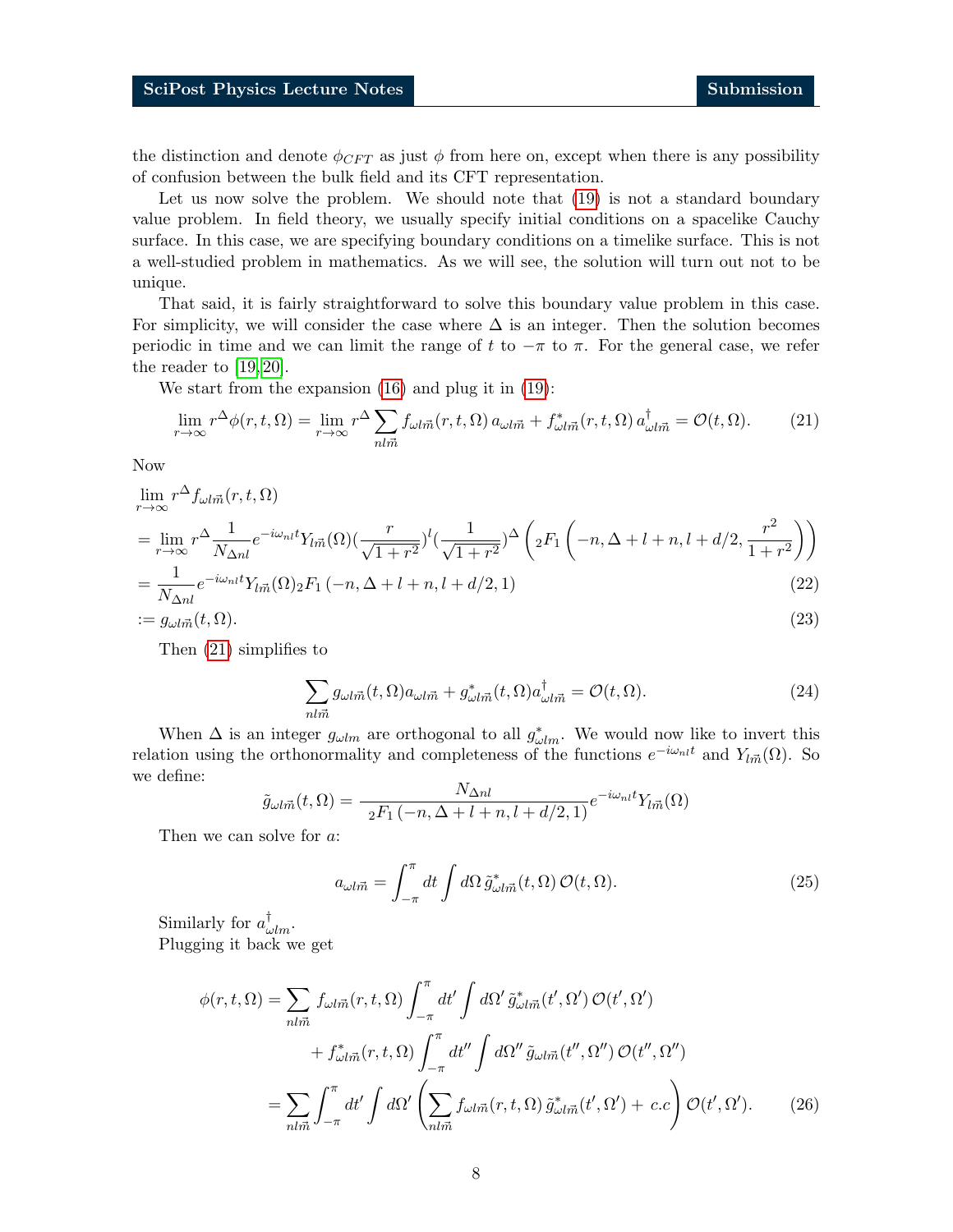the distinction and denote  $\phi_{CFT}$  as just  $\phi$  from here on, except when there is any possibility of confusion between the bulk field and its CFT representation.

Let us now solve the problem. We should note that  $(19)$  is not a standard boundary value problem. In field theory, we usually specify initial conditions on a spacelike Cauchy surface. In this case, we are specifying boundary conditions on a timelike surface. This is not a well-studied problem in mathematics. As we will see, the solution will turn out not to be unique.

That said, it is fairly straightforward to solve this boundary value problem in this case. For simplicity, we will consider the case where  $\Delta$  is an integer. Then the solution becomes periodic in time and we can limit the range of t to  $-\pi$  to  $\pi$ . For the general case, we refer the reader to [\[19,](#page-34-4) [20\]](#page-34-3).

We start from the expansion [\(16\)](#page-6-2) and plug it in [\(19\)](#page-6-1):

$$
\lim_{r \to \infty} r^{\Delta} \phi(r, t, \Omega) = \lim_{r \to \infty} r^{\Delta} \sum_{nl\vec{m}} f_{\omega l\vec{m}}(r, t, \Omega) a_{\omega l\vec{m}} + f_{\omega l\vec{m}}^*(r, t, \Omega) a_{\omega l\vec{m}}^{\dagger} = \mathcal{O}(t, \Omega). \tag{21}
$$

Now

$$
\lim_{r \to \infty} r^{\Delta} f_{\omega l \vec{m}}(r, t, \Omega)
$$
\n
$$
= \lim_{r \to \infty} r^{\Delta} \frac{1}{N_{\Delta n l}} e^{-i\omega_{nl} t} Y_{l \vec{m}}(\Omega) \left(\frac{r}{\sqrt{1+r^2}}\right)^l \left(\frac{1}{\sqrt{1+r^2}}\right)^{\Delta} \left( {}_2F_1\left(-n, \Delta+l+n, l+d/2, \frac{r^2}{1+r^2}\right)\right)
$$
\n
$$
= \frac{1}{N_{\Delta n l}} e^{-i\omega_{nl} t} Y_{l \vec{m}}(\Omega) {}_2F_1\left(-n, \Delta+l+n, l+d/2, 1\right) \tag{22}
$$

$$
:= g_{\omega l \vec{m}}(t, \Omega). \tag{23}
$$

Then [\(21\)](#page-7-0) simplifies to

<span id="page-7-1"></span><span id="page-7-0"></span>
$$
\sum_{nl\vec{m}} g_{\omega l\vec{m}}(t,\Omega) a_{\omega l\vec{m}} + g_{\omega l\vec{m}}^*(t,\Omega) a_{\omega l\vec{m}}^\dagger = \mathcal{O}(t,\Omega). \tag{24}
$$

When  $\Delta$  is an integer  $g_{\omega lm}$  are orthogonal to all  $g_{\omega lm}^*$ . We would now like to invert this relation using the orthonormality and completeness of the functions  $e^{-i\omega_{nl}t}$  and  $Y_{l\vec{m}}(\Omega)$ . So we define:

$$
\tilde{g}_{\omega l\vec{m}}(t,\Omega) = \frac{N_{\Delta nl}}{{}_{2}F_{1}(-n,\Delta+l+n,l+d/2,1)}e^{-i\omega_{nl}t}Y_{l\vec{m}}(\Omega)
$$

Then we can solve for a:

$$
a_{\omega l\vec{m}} = \int_{-\pi}^{\pi} dt \int d\Omega \, \tilde{g}^*_{\omega l\vec{m}}(t, \Omega) \, \mathcal{O}(t, \Omega). \tag{25}
$$

Similarly for  $a_{\omega lm}^{\dagger}$ . Plugging it back we get

$$
\phi(r,t,\Omega) = \sum_{nl\vec{m}} f_{\omega l\vec{m}}(r,t,\Omega) \int_{-\pi}^{\pi} dt' \int d\Omega' \, \tilde{g}^{*}_{\omega l\vec{m}}(t',\Omega') \, \mathcal{O}(t',\Omega')
$$

$$
+ f^{*}_{\omega l\vec{m}}(r,t,\Omega) \int_{-\pi}^{\pi} dt'' \int d\Omega'' \, \tilde{g}_{\omega l\vec{m}}(t'',\Omega'') \, \mathcal{O}(t'',\Omega'')
$$

$$
= \sum_{nl\vec{m}} \int_{-\pi}^{\pi} dt' \int d\Omega' \left( \sum_{nl\vec{m}} f_{\omega l\vec{m}}(r,t,\Omega) \, \tilde{g}^{*}_{\omega l\vec{m}}(t',\Omega') + c.c \right) \mathcal{O}(t',\Omega'). \tag{26}
$$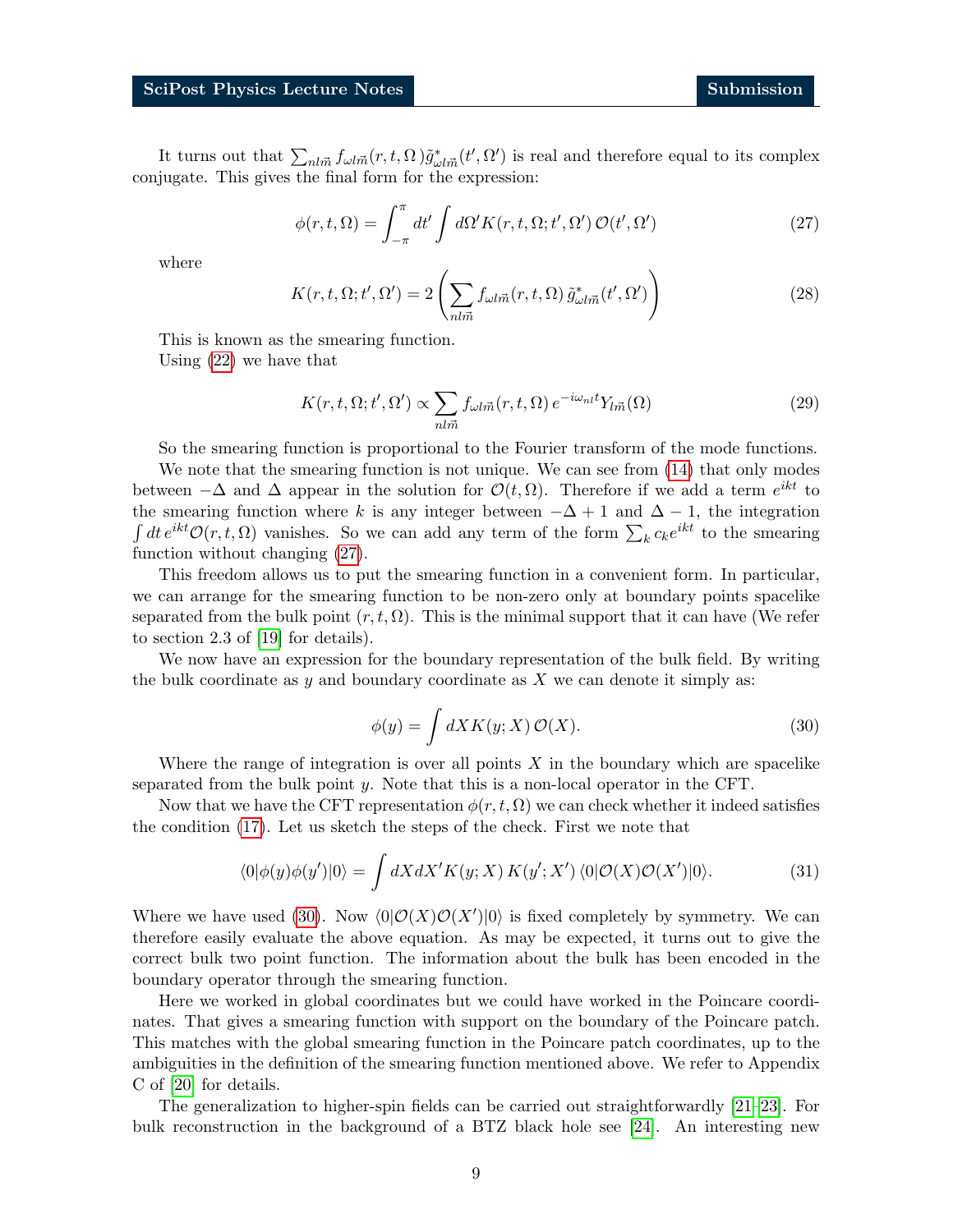<span id="page-8-0"></span>It turns out that  $\sum_{nlm} f_{\omega l m}(r, t, \Omega) \tilde{g}^*_{\omega l m}(t', \Omega')$  is real and therefore equal to its complex conjugate. This gives the final form for the expression:

$$
\phi(r,t,\Omega) = \int_{-\pi}^{\pi} dt' \int d\Omega' K(r,t,\Omega;t',\Omega') \mathcal{O}(t',\Omega')
$$
 (27)

where

$$
K(r, t, \Omega; t', \Omega') = 2\left(\sum_{nl\vec{m}} f_{\omega l\vec{m}}(r, t, \Omega) \tilde{g}_{\omega l\vec{m}}^*(t', \Omega')\right)
$$
(28)

This is known as the smearing function. Using [\(22\)](#page-7-1) we have that

$$
K(r, t, \Omega; t', \Omega') \propto \sum_{nl\vec{m}} f_{\omega l\vec{m}}(r, t, \Omega) e^{-i\omega_{nl}t} Y_{l\vec{m}}(\Omega)
$$
\n(29)

So the smearing function is proportional to the Fourier transform of the mode functions.

We note that the smearing function is not unique. We can see from [\(14\)](#page-5-3) that only modes between  $-\Delta$  and  $\Delta$  appear in the solution for  $\mathcal{O}(t, \Omega)$ . Therefore if we add a term  $e^{ikt}$  to the smearing function where k is any integer between  $-\Delta + 1$  and  $\Delta - 1$ , the integration  $\int dt e^{ikt} \mathcal{O}(r, t, \Omega)$  vanishes. So we can add any term of the form  $\sum_k c_k e^{ikt}$  to the smearing function without changing [\(27\)](#page-8-0).

This freedom allows us to put the smearing function in a convenient form. In particular, we can arrange for the smearing function to be non-zero only at boundary points spacelike separated from the bulk point  $(r, t, \Omega)$ . This is the minimal support that it can have (We refer to section 2.3 of [\[19\]](#page-34-4) for details).

<span id="page-8-1"></span>We now have an expression for the boundary representation of the bulk field. By writing the bulk coordinate as  $y$  and boundary coordinate as  $X$  we can denote it simply as:

$$
\phi(y) = \int dX K(y; X) \mathcal{O}(X). \tag{30}
$$

Where the range of integration is over all points  $X$  in the boundary which are spacelike separated from the bulk point y. Note that this is a non-local operator in the CFT.

Now that we have the CFT representation  $\phi(r, t, \Omega)$  we can check whether it indeed satisfies the condition [\(17\)](#page-6-3). Let us sketch the steps of the check. First we note that

$$
\langle 0|\phi(y)\phi(y')|0\rangle = \int dX dX' K(y;X) K(y';X') \langle 0|\mathcal{O}(X)\mathcal{O}(X')|0\rangle.
$$
 (31)

Where we have used [\(30\)](#page-8-1). Now  $\langle 0|O(X)O(X')|0\rangle$  is fixed completely by symmetry. We can therefore easily evaluate the above equation. As may be expected, it turns out to give the correct bulk two point function. The information about the bulk has been encoded in the boundary operator through the smearing function.

Here we worked in global coordinates but we could have worked in the Poincare coordinates. That gives a smearing function with support on the boundary of the Poincare patch. This matches with the global smearing function in the Poincare patch coordinates, up to the ambiguities in the definition of the smearing function mentioned above. We refer to Appendix C of [\[20\]](#page-34-3) for details.

The generalization to higher-spin fields can be carried out straightforwardly [\[21–](#page-34-5)[23\]](#page-34-6). For bulk reconstruction in the background of a BTZ black hole see [\[24\]](#page-34-7). An interesting new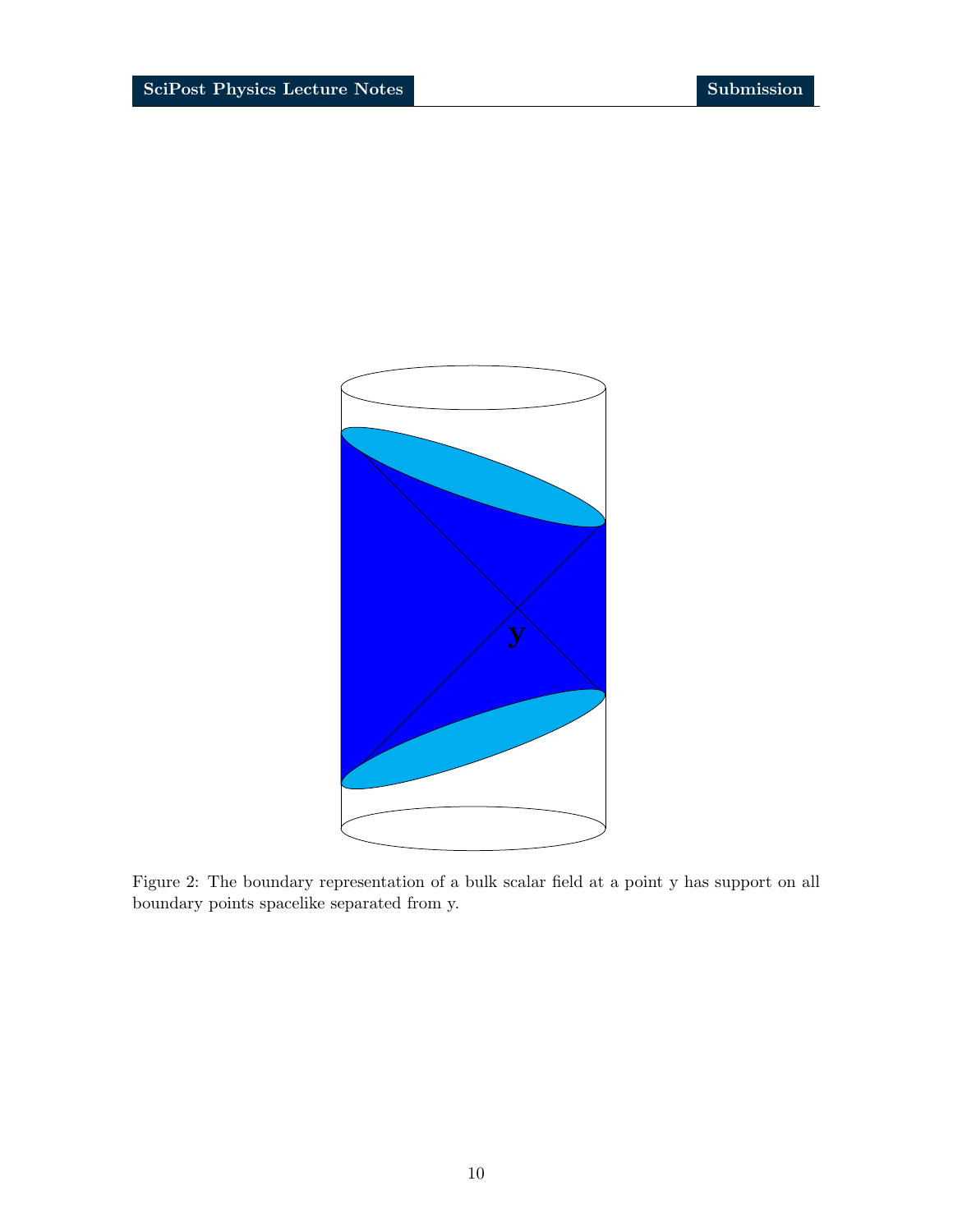

Figure 2: The boundary representation of a bulk scalar field at a point y has support on all boundary points spacelike separated from y.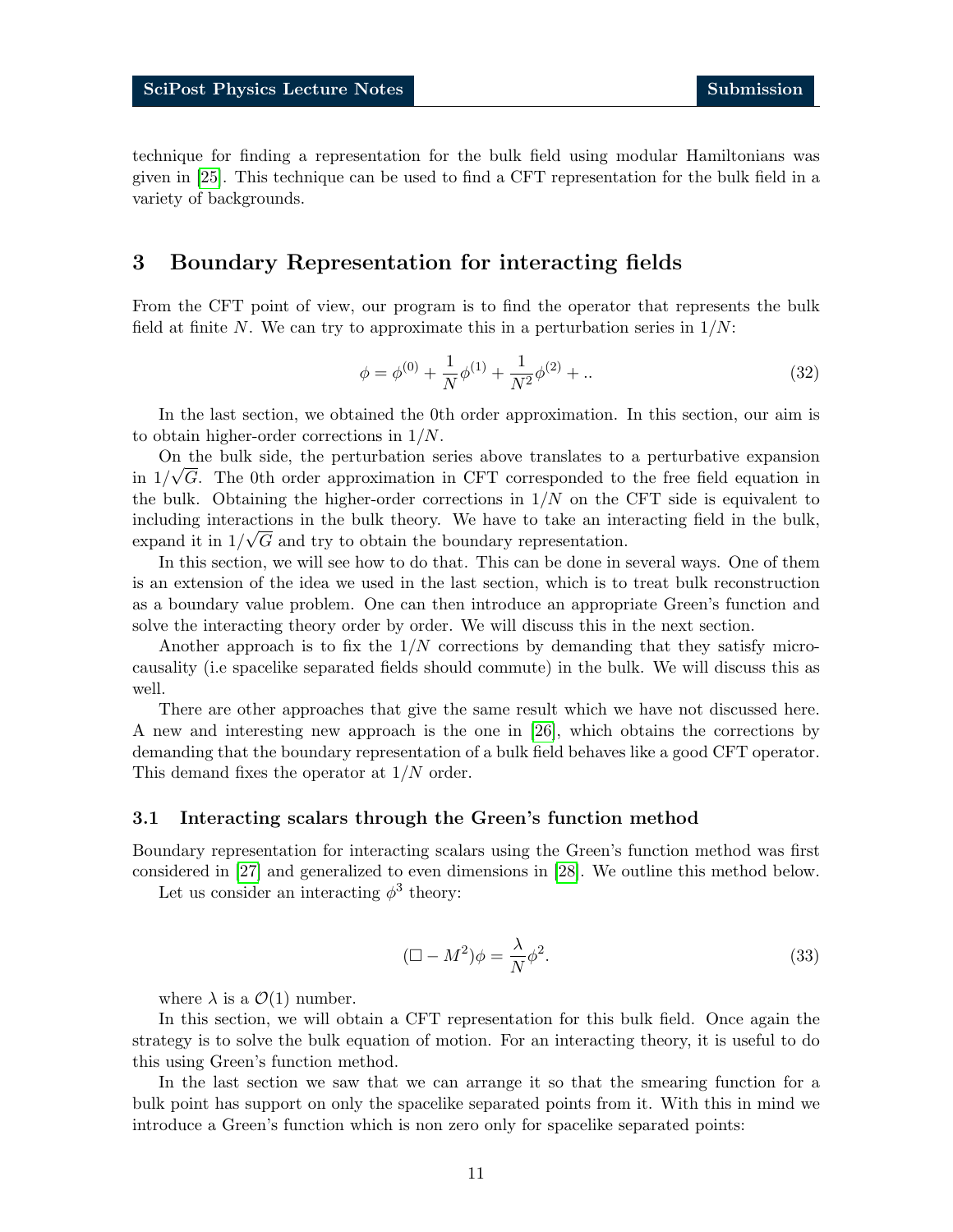technique for finding a representation for the bulk field using modular Hamiltonians was given in [\[25\]](#page-34-8). This technique can be used to find a CFT representation for the bulk field in a variety of backgrounds.

## <span id="page-10-0"></span>3 Boundary Representation for interacting fields

From the CFT point of view, our program is to find the operator that represents the bulk field at finite N. We can try to approximate this in a perturbation series in  $1/N$ :

$$
\phi = \phi^{(0)} + \frac{1}{N}\phi^{(1)} + \frac{1}{N^2}\phi^{(2)} + \dots \tag{32}
$$

In the last section, we obtained the 0th order approximation. In this section, our aim is to obtain higher-order corrections in 1/N.

On the bulk side, the perturbation series above translates to a perturbative expansion in  $1/\sqrt{G}$ . The 0th order approximation in CFT corresponded to the free field equation in the bulk. Obtaining the higher-order corrections in  $1/N$  on the CFT side is equivalent to including interactions in the bulk theory. We have to take an interacting field in the bulk, expand it in  $1/\sqrt{G}$  and try to obtain the boundary representation.

In this section, we will see how to do that. This can be done in several ways. One of them is an extension of the idea we used in the last section, which is to treat bulk reconstruction as a boundary value problem. One can then introduce an appropriate Green's function and solve the interacting theory order by order. We will discuss this in the next section.

Another approach is to fix the  $1/N$  corrections by demanding that they satisfy microcausality (i.e spacelike separated fields should commute) in the bulk. We will discuss this as well.

There are other approaches that give the same result which we have not discussed here. A new and interesting new approach is the one in [\[26\]](#page-34-9), which obtains the corrections by demanding that the boundary representation of a bulk field behaves like a good CFT operator. This demand fixes the operator at 1/N order.

### <span id="page-10-1"></span>3.1 Interacting scalars through the Green's function method

Boundary representation for interacting scalars using the Green's function method was first considered in [\[27\]](#page-34-10) and generalized to even dimensions in [\[28\]](#page-34-11). We outline this method below.

Let us consider an interacting  $\phi^3$  theory:

<span id="page-10-2"></span>
$$
(\Box - M^2)\phi = \frac{\lambda}{N}\phi^2.
$$
\n(33)

where  $\lambda$  is a  $\mathcal{O}(1)$  number.

In this section, we will obtain a CFT representation for this bulk field. Once again the strategy is to solve the bulk equation of motion. For an interacting theory, it is useful to do this using Green's function method.

In the last section we saw that we can arrange it so that the smearing function for a bulk point has support on only the spacelike separated points from it. With this in mind we introduce a Green's function which is non zero only for spacelike separated points: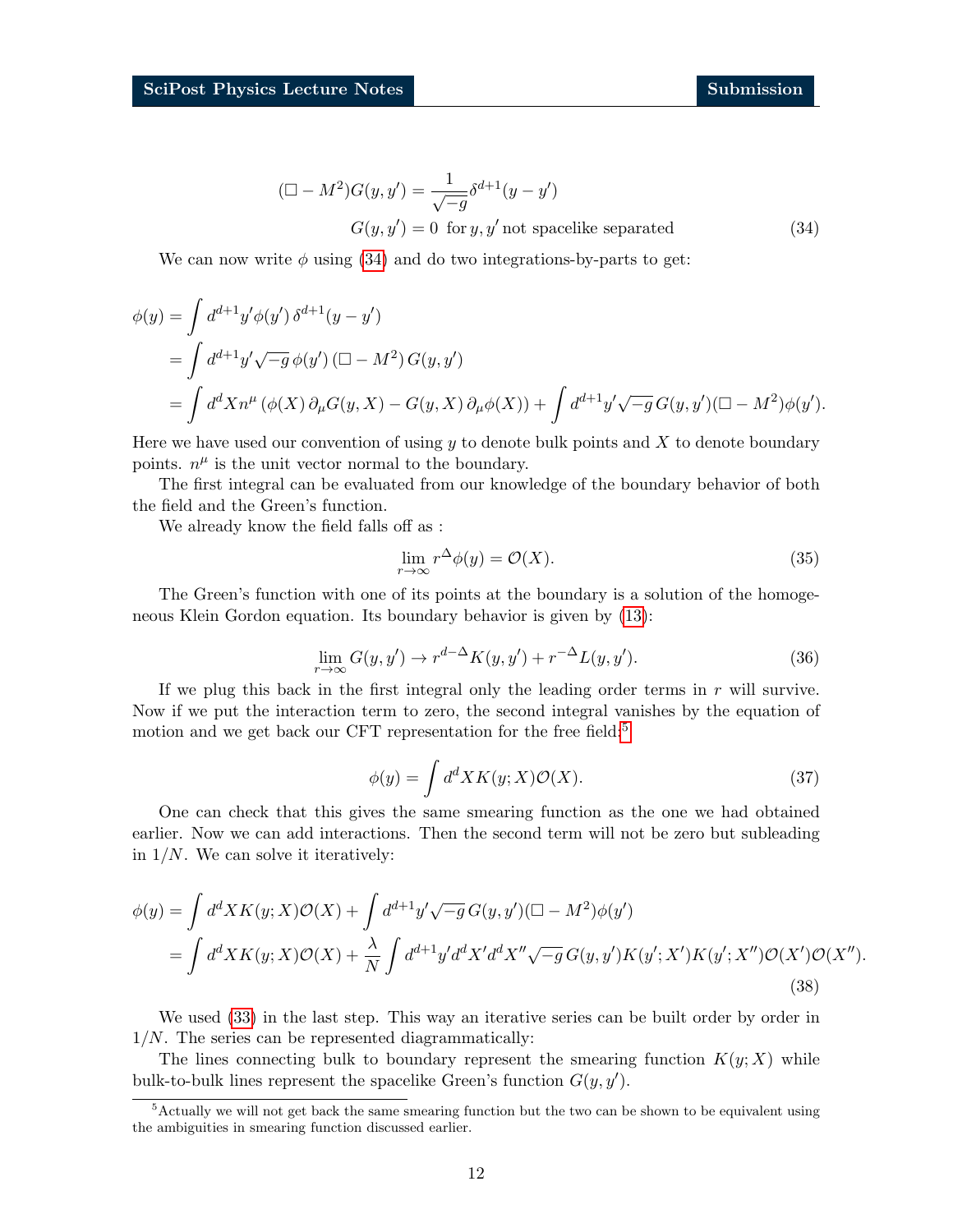<span id="page-11-0"></span>
$$
(\Box - M^2)G(y, y') = \frac{1}{\sqrt{-g}} \delta^{d+1}(y - y')
$$
  

$$
G(y, y') = 0 \text{ for } y, y' \text{ not spacelike separated}
$$
 (34)

We can now write  $\phi$  using [\(34\)](#page-11-0) and do two integrations-by-parts to get:

$$
\begin{aligned}\n\phi(y) &= \int d^{d+1}y' \phi(y') \, \delta^{d+1}(y - y') \\
&= \int d^{d+1}y' \sqrt{-g} \, \phi(y') \, (\Box - M^2) \, G(y, y') \\
&= \int d^d X n^{\mu} \, (\phi(X) \, \partial_{\mu} G(y, X) - G(y, X) \, \partial_{\mu} \phi(X)) + \int d^{d+1}y' \sqrt{-g} \, G(y, y') (\Box - M^2) \phi(y').\n\end{aligned}
$$

Here we have used our convention of using  $y$  to denote bulk points and  $X$  to denote boundary points.  $n^{\mu}$  is the unit vector normal to the boundary.

The first integral can be evaluated from our knowledge of the boundary behavior of both the field and the Green's function.

We already know the field falls off as :

$$
\lim_{r \to \infty} r^{\Delta} \phi(y) = \mathcal{O}(X). \tag{35}
$$

The Green's function with one of its points at the boundary is a solution of the homogeneous Klein Gordon equation. Its boundary behavior is given by [\(13\)](#page-5-4):

$$
\lim_{r \to \infty} G(y, y') \to r^{d-\Delta} K(y, y') + r^{-\Delta} L(y, y'). \tag{36}
$$

If we plug this back in the first integral only the leading order terms in  $r$  will survive. Now if we put the interaction term to zero, the second integral vanishes by the equation of motion and we get back our CFT representation for the free field:<sup>[5](#page-11-1)</sup>

<span id="page-11-2"></span>
$$
\phi(y) = \int d^d X K(y; X) \mathcal{O}(X). \tag{37}
$$

One can check that this gives the same smearing function as the one we had obtained earlier. Now we can add interactions. Then the second term will not be zero but subleading in  $1/N$ . We can solve it iteratively:

$$
\phi(y) = \int d^d X K(y; X) \mathcal{O}(X) + \int d^{d+1} y' \sqrt{-g} G(y, y') (\square - M^2) \phi(y')
$$
  
= 
$$
\int d^d X K(y; X) \mathcal{O}(X) + \frac{\lambda}{N} \int d^{d+1} y' d^d X' d^d X'' \sqrt{-g} G(y, y') K(y'; X') K(y'; X'') \mathcal{O}(X') \mathcal{O}(X'').
$$
(38)

We used [\(33\)](#page-10-2) in the last step. This way an iterative series can be built order by order in  $1/N$ . The series can be represented diagrammatically:

The lines connecting bulk to boundary represent the smearing function  $K(y; X)$  while bulk-to-bulk lines represent the spacelike Green's function  $G(y, y')$ .

<span id="page-11-1"></span><sup>5</sup>Actually we will not get back the same smearing function but the two can be shown to be equivalent using the ambiguities in smearing function discussed earlier.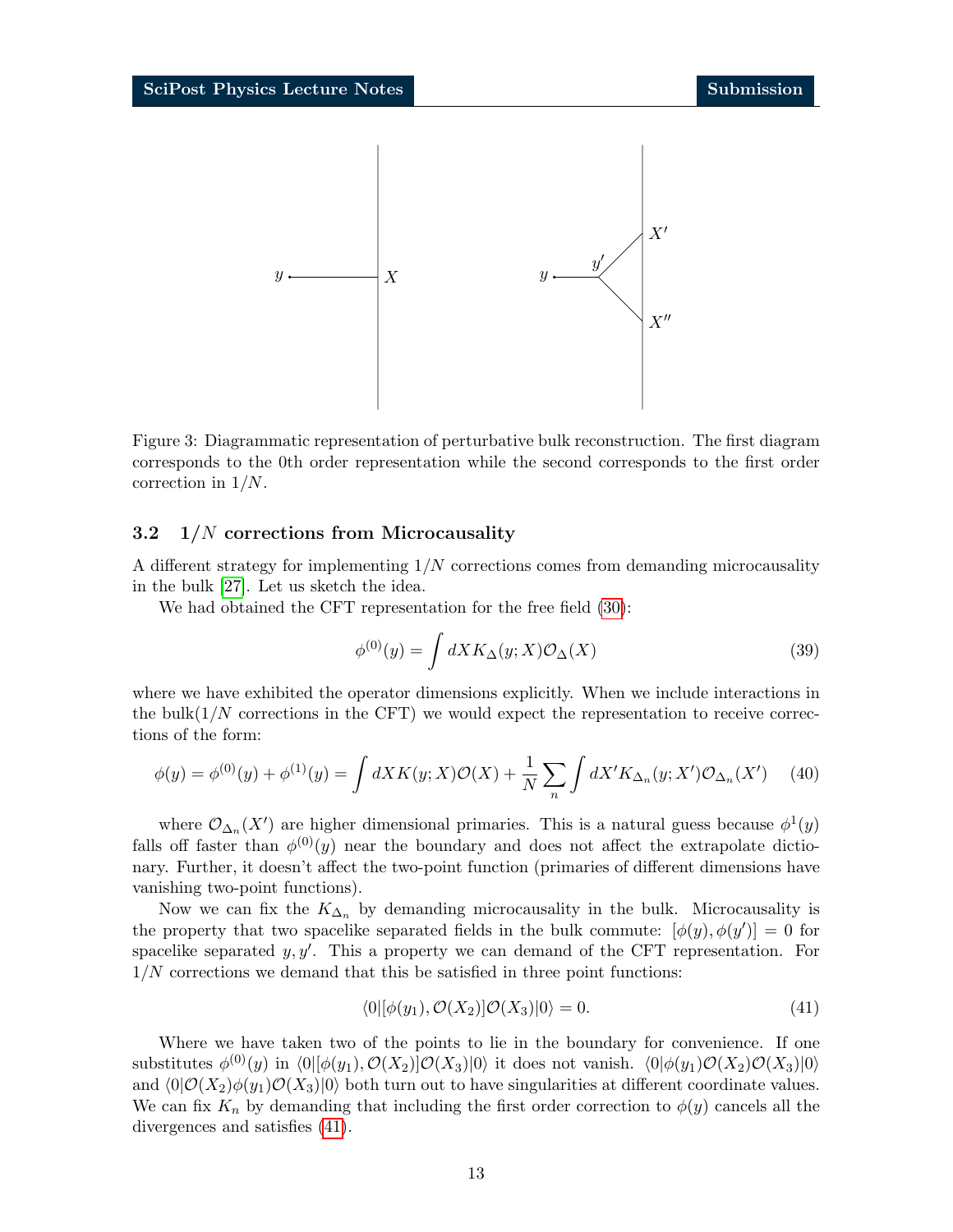

Figure 3: Diagrammatic representation of perturbative bulk reconstruction. The first diagram corresponds to the 0th order representation while the second corresponds to the first order correction in 1/N.

### <span id="page-12-0"></span>3.2 1/N corrections from Microcausality

A different strategy for implementing  $1/N$  corrections comes from demanding microcausality in the bulk [\[27\]](#page-34-10). Let us sketch the idea.

We had obtained the CFT representation for the free field [\(30\)](#page-8-1):

$$
\phi^{(0)}(y) = \int dX K_{\Delta}(y; X) \mathcal{O}_{\Delta}(X) \tag{39}
$$

where we have exhibited the operator dimensions explicitly. When we include interactions in the bulk $(1/N)$  corrections in the CFT) we would expect the representation to receive corrections of the form:

$$
\phi(y) = \phi^{(0)}(y) + \phi^{(1)}(y) = \int dX K(y; X) \mathcal{O}(X) + \frac{1}{N} \sum_{n} \int dX' K_{\Delta_n}(y; X') \mathcal{O}_{\Delta_n}(X') \tag{40}
$$

where  $\mathcal{O}_{\Delta_n}(X')$  are higher dimensional primaries. This is a natural guess because  $\phi^1(y)$ falls off faster than  $\phi^{(0)}(y)$  near the boundary and does not affect the extrapolate dictionary. Further, it doesn't affect the two-point function (primaries of different dimensions have vanishing two-point functions).

Now we can fix the  $K_{\Delta_n}$  by demanding microcausality in the bulk. Microcausality is the property that two spacelike separated fields in the bulk commute:  $[\phi(y), \phi(y')] = 0$  for spacelike separated  $y, y'$ . This a property we can demand of the CFT representation. For  $1/N$  corrections we demand that this be satisfied in three point functions:

<span id="page-12-1"></span>
$$
\langle 0|[\phi(y_1), \mathcal{O}(X_2)]\mathcal{O}(X_3)|0\rangle = 0.
$$
\n(41)

Where we have taken two of the points to lie in the boundary for convenience. If one substitutes  $\phi^{(0)}(y)$  in  $\langle 0 | [\phi(y_1), \mathcal{O}(X_2)] \mathcal{O}(X_3)|0 \rangle$  it does not vanish.  $\langle 0 | \phi(y_1) \mathcal{O}(X_2) \mathcal{O}(X_3)|0 \rangle$ and  $\langle 0|\mathcal{O}(X_2)\phi(y_1)\mathcal{O}(X_3)|0\rangle$  both turn out to have singularities at different coordinate values. We can fix  $K_n$  by demanding that including the first order correction to  $\phi(y)$  cancels all the divergences and satisfies [\(41\)](#page-12-1).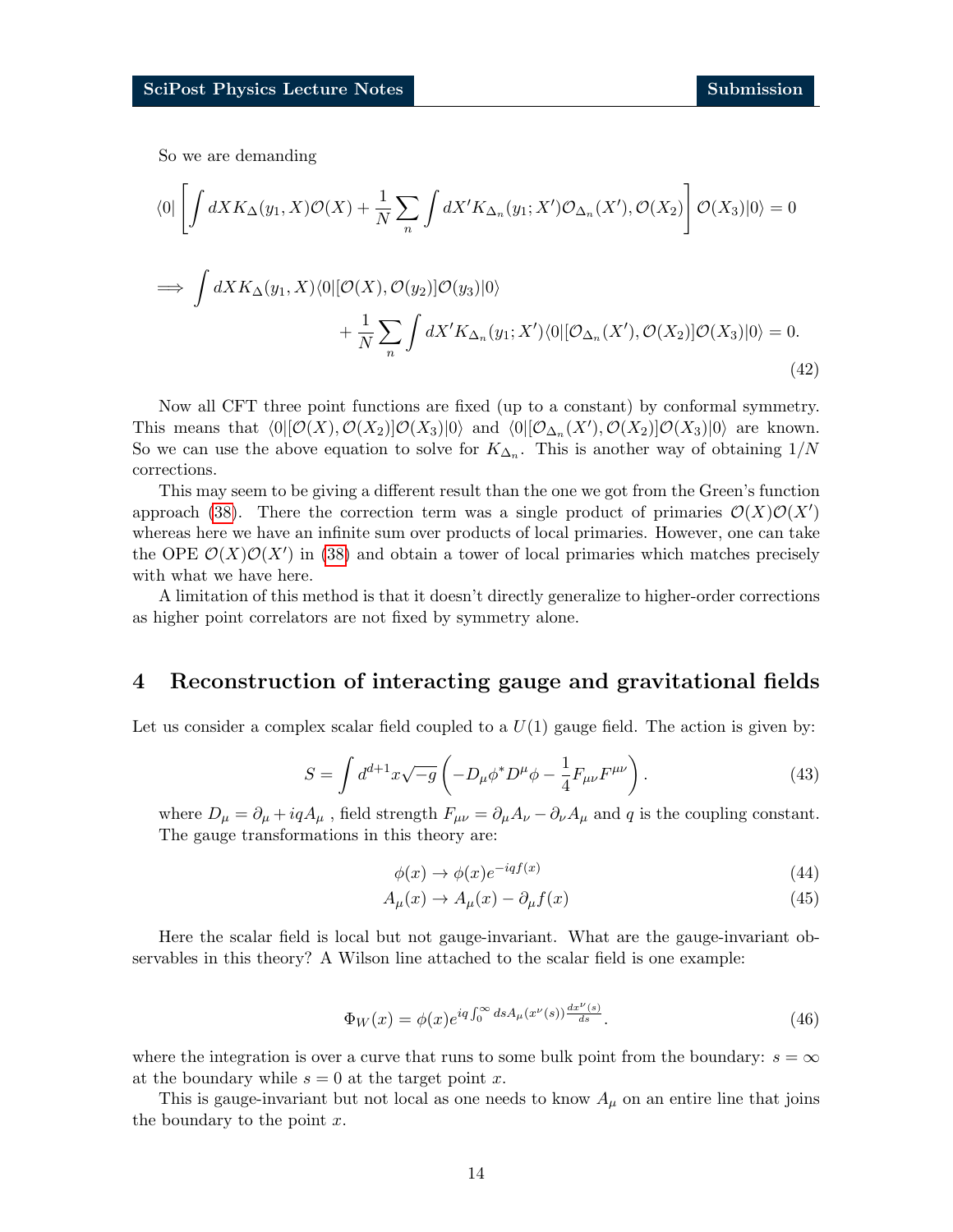So we are demanding

$$
\langle 0| \left[ \int dX K_{\Delta}(y_1, X) \mathcal{O}(X) + \frac{1}{N} \sum_{n} \int dX' K_{\Delta_n}(y_1; X') \mathcal{O}_{\Delta_n}(X'), \mathcal{O}(X_2) \right] \mathcal{O}(X_3) |0\rangle = 0
$$
  

$$
\implies \int dX K_{\Delta}(y_1, X) \langle 0| [\mathcal{O}(X), \mathcal{O}(y_2)] \mathcal{O}(y_3) |0\rangle
$$
  

$$
+ \frac{1}{N} \sum_{n} \int dX' K_{\Delta_n}(y_1; X') \langle 0| [\mathcal{O}_{\Delta_n}(X'), \mathcal{O}(X_2)] \mathcal{O}(X_3) |0\rangle = 0.
$$
 (42)

Now all CFT three point functions are fixed (up to a constant) by conformal symmetry. This means that  $\langle 0|[\mathcal{O}(X), \mathcal{O}(X_2)]\mathcal{O}(X_3)|0\rangle$  and  $\langle 0|[\mathcal{O}_{\Delta_n}(X'), \mathcal{O}(X_2)]\mathcal{O}(X_3)|0\rangle$  are known. So we can use the above equation to solve for  $K_{\Delta_n}$ . This is another way of obtaining  $1/N$ corrections.

This may seem to be giving a different result than the one we got from the Green's function approach [\(38\)](#page-11-2). There the correction term was a single product of primaries  $\mathcal{O}(X)\mathcal{O}(X')$ whereas here we have an infinite sum over products of local primaries. However, one can take the OPE  $\mathcal{O}(X)\mathcal{O}(X')$  in [\(38\)](#page-11-2) and obtain a tower of local primaries which matches precisely with what we have here.

A limitation of this method is that it doesn't directly generalize to higher-order corrections as higher point correlators are not fixed by symmetry alone.

## <span id="page-13-0"></span>4 Reconstruction of interacting gauge and gravitational fields

Let us consider a complex scalar field coupled to a  $U(1)$  gauge field. The action is given by:

$$
S = \int d^{d+1}x \sqrt{-g} \left( -D_{\mu} \phi^* D^{\mu} \phi - \frac{1}{4} F_{\mu \nu} F^{\mu \nu} \right). \tag{43}
$$

where  $D_{\mu} = \partial_{\mu} + iqA_{\mu}$ , field strength  $F_{\mu\nu} = \partial_{\mu}A_{\nu} - \partial_{\nu}A_{\mu}$  and q is the coupling constant. The gauge transformations in this theory are:

$$
\phi(x) \to \phi(x)e^{-iqf(x)}\tag{44}
$$

$$
A_{\mu}(x) \to A_{\mu}(x) - \partial_{\mu}f(x) \tag{45}
$$

Here the scalar field is local but not gauge-invariant. What are the gauge-invariant observables in this theory? A Wilson line attached to the scalar field is one example:

$$
\Phi_W(x) = \phi(x)e^{iq\int_0^\infty ds A_\mu(x^\nu(s))\frac{dx^\nu(s)}{ds}}.
$$
\n(46)

where the integration is over a curve that runs to some bulk point from the boundary:  $s = \infty$ at the boundary while  $s = 0$  at the target point x.

This is gauge-invariant but not local as one needs to know  $A_\mu$  on an entire line that joins the boundary to the point  $x$ .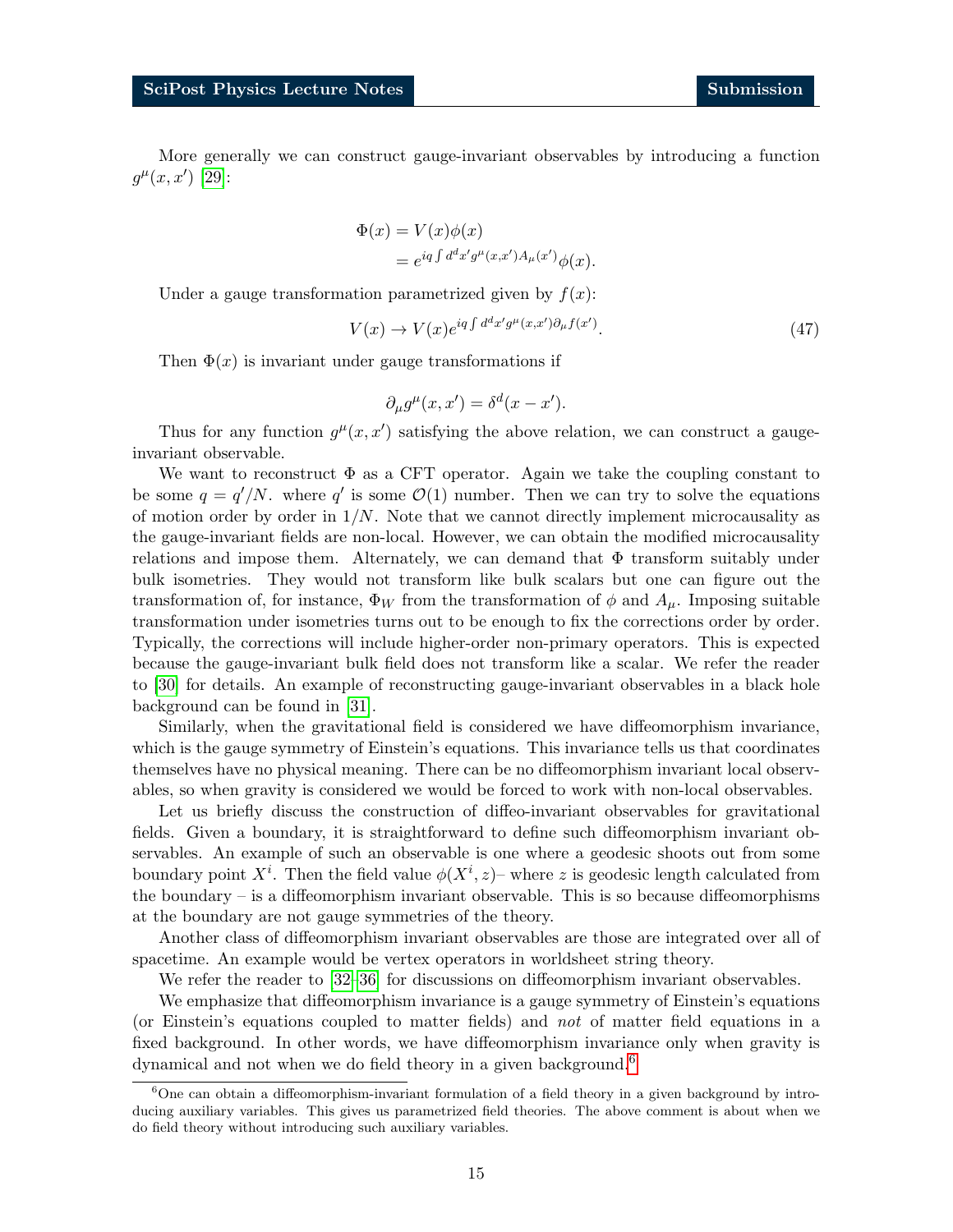More generally we can construct gauge-invariant observables by introducing a function  $g^{\mu}(x, x')$  [\[29\]](#page-34-12):

$$
\Phi(x) = V(x)\phi(x)
$$
  
=  $e^{iq \int d^d x' g^\mu(x, x')A_\mu(x')} \phi(x)$ .

Under a gauge transformation parametrized given by  $f(x)$ :

$$
V(x) \to V(x)e^{iq\int d^d x' g^\mu(x,x')\partial_\mu f(x')}.
$$
\n(47)

Then  $\Phi(x)$  is invariant under gauge transformations if

$$
\partial_{\mu}g^{\mu}(x, x') = \delta^{d}(x - x').
$$

Thus for any function  $g^{\mu}(x, x')$  satisfying the above relation, we can construct a gaugeinvariant observable.

We want to reconstruct  $\Phi$  as a CFT operator. Again we take the coupling constant to be some  $q = q'/N$ . where q' is some  $\mathcal{O}(1)$  number. Then we can try to solve the equations of motion order by order in  $1/N$ . Note that we cannot directly implement microcausality as the gauge-invariant fields are non-local. However, we can obtain the modified microcausality relations and impose them. Alternately, we can demand that  $\Phi$  transform suitably under bulk isometries. They would not transform like bulk scalars but one can figure out the transformation of, for instance,  $\Phi_W$  from the transformation of  $\phi$  and  $A_\mu$ . Imposing suitable transformation under isometries turns out to be enough to fix the corrections order by order. Typically, the corrections will include higher-order non-primary operators. This is expected because the gauge-invariant bulk field does not transform like a scalar. We refer the reader to [\[30\]](#page-35-0) for details. An example of reconstructing gauge-invariant observables in a black hole background can be found in [\[31\]](#page-35-1).

Similarly, when the gravitational field is considered we have diffeomorphism invariance, which is the gauge symmetry of Einstein's equations. This invariance tells us that coordinates themselves have no physical meaning. There can be no diffeomorphism invariant local observables, so when gravity is considered we would be forced to work with non-local observables.

Let us briefly discuss the construction of diffeo-invariant observables for gravitational fields. Given a boundary, it is straightforward to define such diffeomorphism invariant observables. An example of such an observable is one where a geodesic shoots out from some boundary point  $X^i$ . Then the field value  $\phi(X^i, z)$  where z is geodesic length calculated from the boundary – is a diffeomorphism invariant observable. This is so because diffeomorphisms at the boundary are not gauge symmetries of the theory.

Another class of diffeomorphism invariant observables are those are integrated over all of spacetime. An example would be vertex operators in worldsheet string theory.

We refer the reader to [\[32](#page-35-2)[–36\]](#page-35-3) for discussions on diffeomorphism invariant observables.

We emphasize that diffeomorphism invariance is a gauge symmetry of Einstein's equations (or Einstein's equations coupled to matter fields) and not of matter field equations in a fixed background. In other words, we have diffeomorphism invariance only when gravity is dynamical and not when we do field theory in a given background.<sup>[6](#page-14-0)</sup>

<span id="page-14-0"></span> $6$ One can obtain a diffeomorphism-invariant formulation of a field theory in a given background by introducing auxiliary variables. This gives us parametrized field theories. The above comment is about when we do field theory without introducing such auxiliary variables.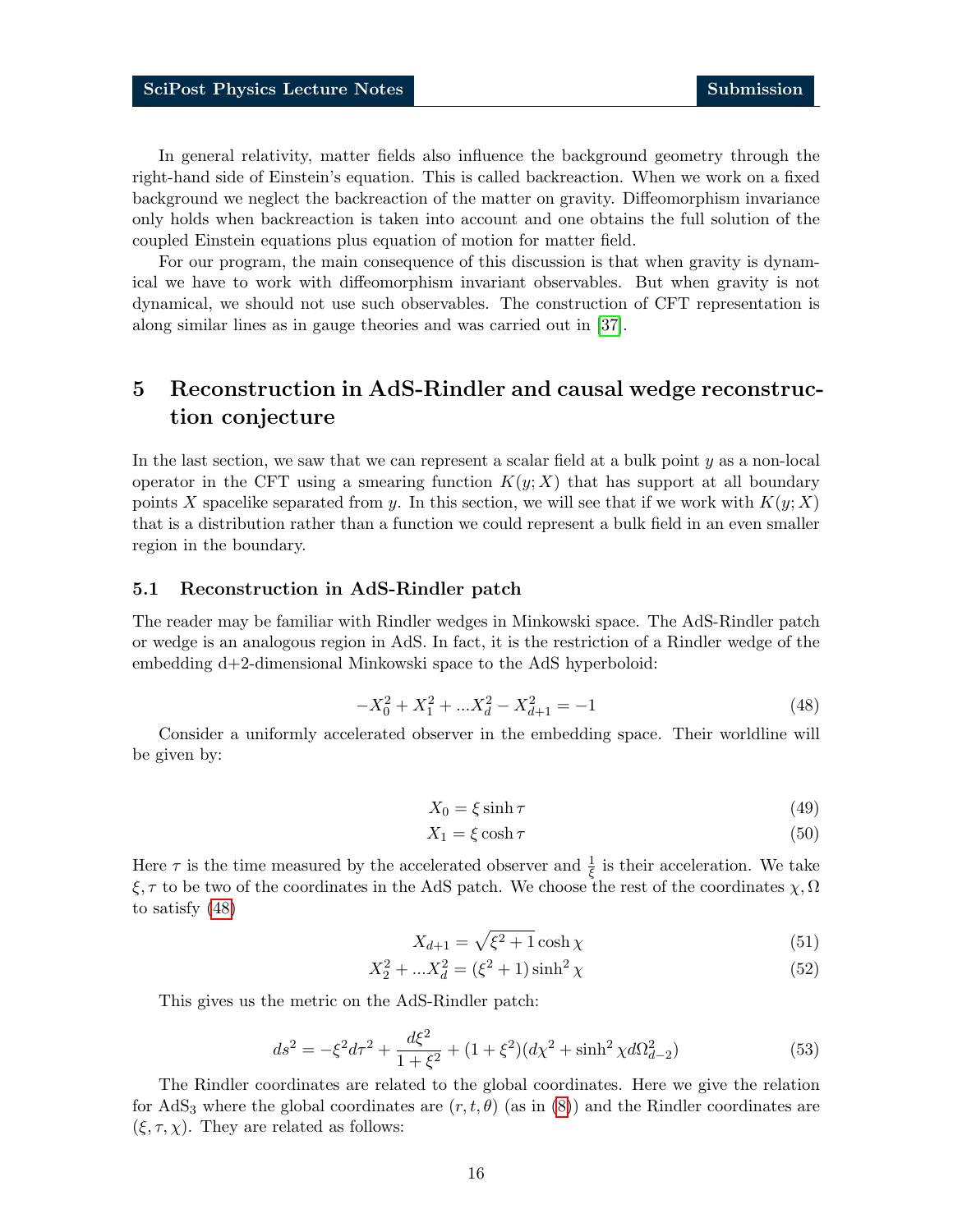In general relativity, matter fields also influence the background geometry through the right-hand side of Einstein's equation. This is called backreaction. When we work on a fixed background we neglect the backreaction of the matter on gravity. Diffeomorphism invariance only holds when backreaction is taken into account and one obtains the full solution of the coupled Einstein equations plus equation of motion for matter field.

For our program, the main consequence of this discussion is that when gravity is dynamical we have to work with diffeomorphism invariant observables. But when gravity is not dynamical, we should not use such observables. The construction of CFT representation is along similar lines as in gauge theories and was carried out in [\[37\]](#page-35-4).

# <span id="page-15-0"></span>5 Reconstruction in AdS-Rindler and causal wedge reconstruction conjecture

In the last section, we saw that we can represent a scalar field at a bulk point  $y$  as a non-local operator in the CFT using a smearing function  $K(y; X)$  that has support at all boundary points X spacelike separated from y. In this section, we will see that if we work with  $K(y; X)$ that is a distribution rather than a function we could represent a bulk field in an even smaller region in the boundary.

### <span id="page-15-1"></span>5.1 Reconstruction in AdS-Rindler patch

The reader may be familiar with Rindler wedges in Minkowski space. The AdS-Rindler patch or wedge is an analogous region in AdS. In fact, it is the restriction of a Rindler wedge of the embedding d+2-dimensional Minkowski space to the AdS hyperboloid:

$$
-X_0^2 + X_1^2 + \dots + X_d^2 - X_{d+1}^2 = -1 \tag{48}
$$

<span id="page-15-2"></span>Consider a uniformly accelerated observer in the embedding space. Their worldline will be given by:

$$
X_0 = \xi \sinh \tau \tag{49}
$$

$$
X_1 = \xi \cosh \tau \tag{50}
$$

Here  $\tau$  is the time measured by the accelerated observer and  $\frac{1}{\xi}$  is their acceleration. We take  $\xi, \tau$  to be two of the coordinates in the AdS patch. We choose the rest of the coordinates  $\chi, \Omega$ to satisfy [\(48\)](#page-15-2)

$$
X_{d+1} = \sqrt{\xi^2 + 1} \cosh \chi \tag{51}
$$

$$
X_2^2 + ... X_d^2 = (\xi^2 + 1)\sinh^2 \chi \tag{52}
$$

This gives us the metric on the AdS-Rindler patch:

$$
ds^{2} = -\xi^{2}d\tau^{2} + \frac{d\xi^{2}}{1 + \xi^{2}} + (1 + \xi^{2})(d\chi^{2} + \sinh^{2}\chi d\Omega_{d-2}^{2})
$$
\n(53)

The Rindler coordinates are related to the global coordinates. Here we give the relation for AdS<sub>3</sub> where the global coordinates are  $(r, t, \theta)$  (as in [\(8\)](#page-5-1)) and the Rindler coordinates are  $(\xi, \tau, \chi)$ . They are related as follows: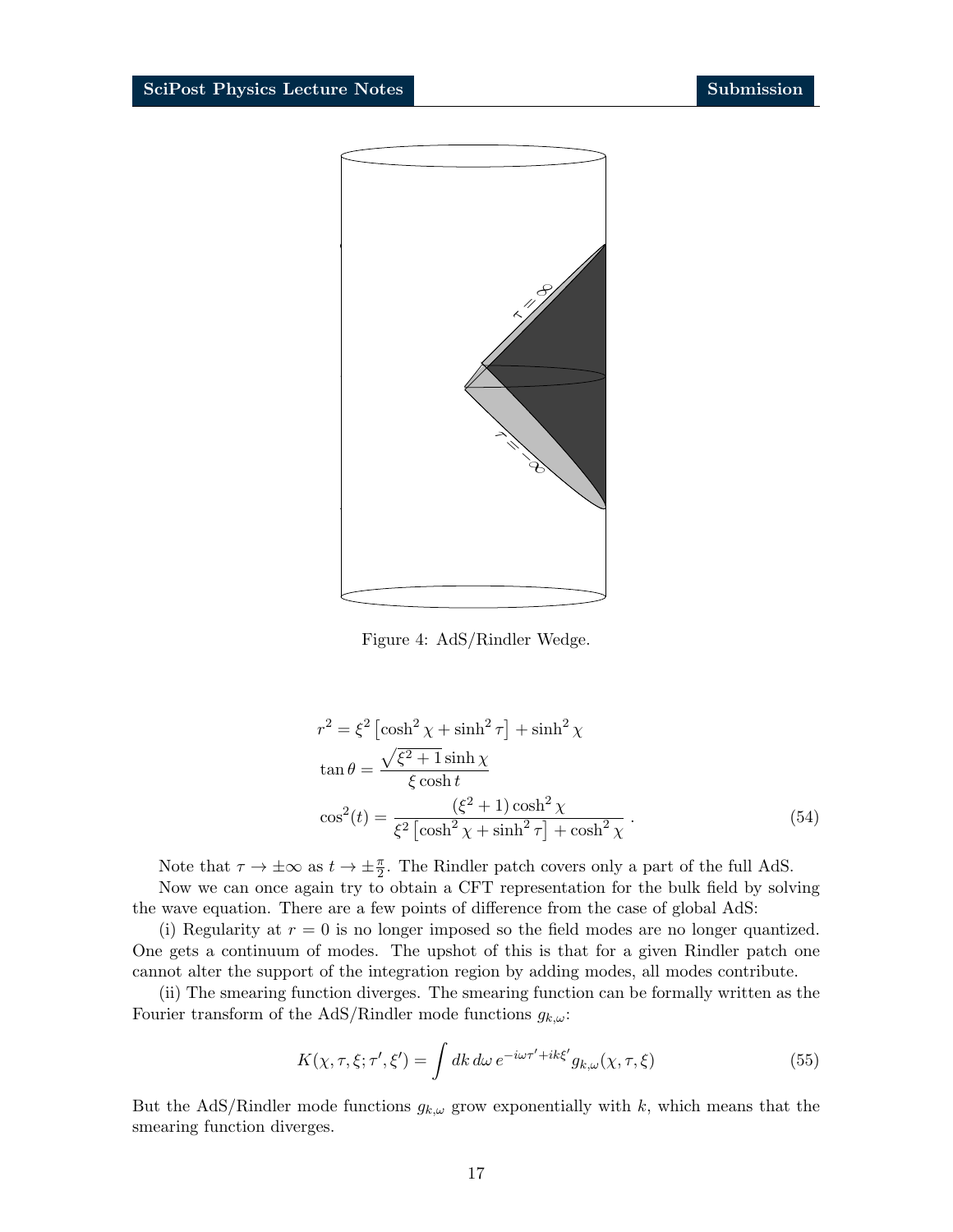

Figure 4: AdS/Rindler Wedge.

$$
r^{2} = \xi^{2} \left[ \cosh^{2} \chi + \sinh^{2} \tau \right] + \sinh^{2} \chi
$$
  
\n
$$
\tan \theta = \frac{\sqrt{\xi^{2} + 1} \sinh \chi}{\xi \cosh t}
$$
  
\n
$$
\cos^{2}(t) = \frac{(\xi^{2} + 1) \cosh^{2} \chi}{\xi^{2} \left[ \cosh^{2} \chi + \sinh^{2} \tau \right] + \cosh^{2} \chi}.
$$
\n(54)

Note that  $\tau \to \pm \infty$  as  $t \to \pm \frac{\pi}{2}$ . The Rindler patch covers only a part of the full AdS.

Now we can once again try to obtain a CFT representation for the bulk field by solving the wave equation. There are a few points of difference from the case of global AdS:

(i) Regularity at  $r = 0$  is no longer imposed so the field modes are no longer quantized. One gets a continuum of modes. The upshot of this is that for a given Rindler patch one cannot alter the support of the integration region by adding modes, all modes contribute.

(ii) The smearing function diverges. The smearing function can be formally written as the Fourier transform of the AdS/Rindler mode functions  $g_{k,\omega}$ :

$$
K(\chi, \tau, \xi; \tau', \xi') = \int dk \, d\omega \, e^{-i\omega \tau' + ik\xi'} g_{k,\omega}(\chi, \tau, \xi)
$$
\n
$$
(55)
$$

But the AdS/Rindler mode functions  $g_{k,\omega}$  grow exponentially with k, which means that the smearing function diverges.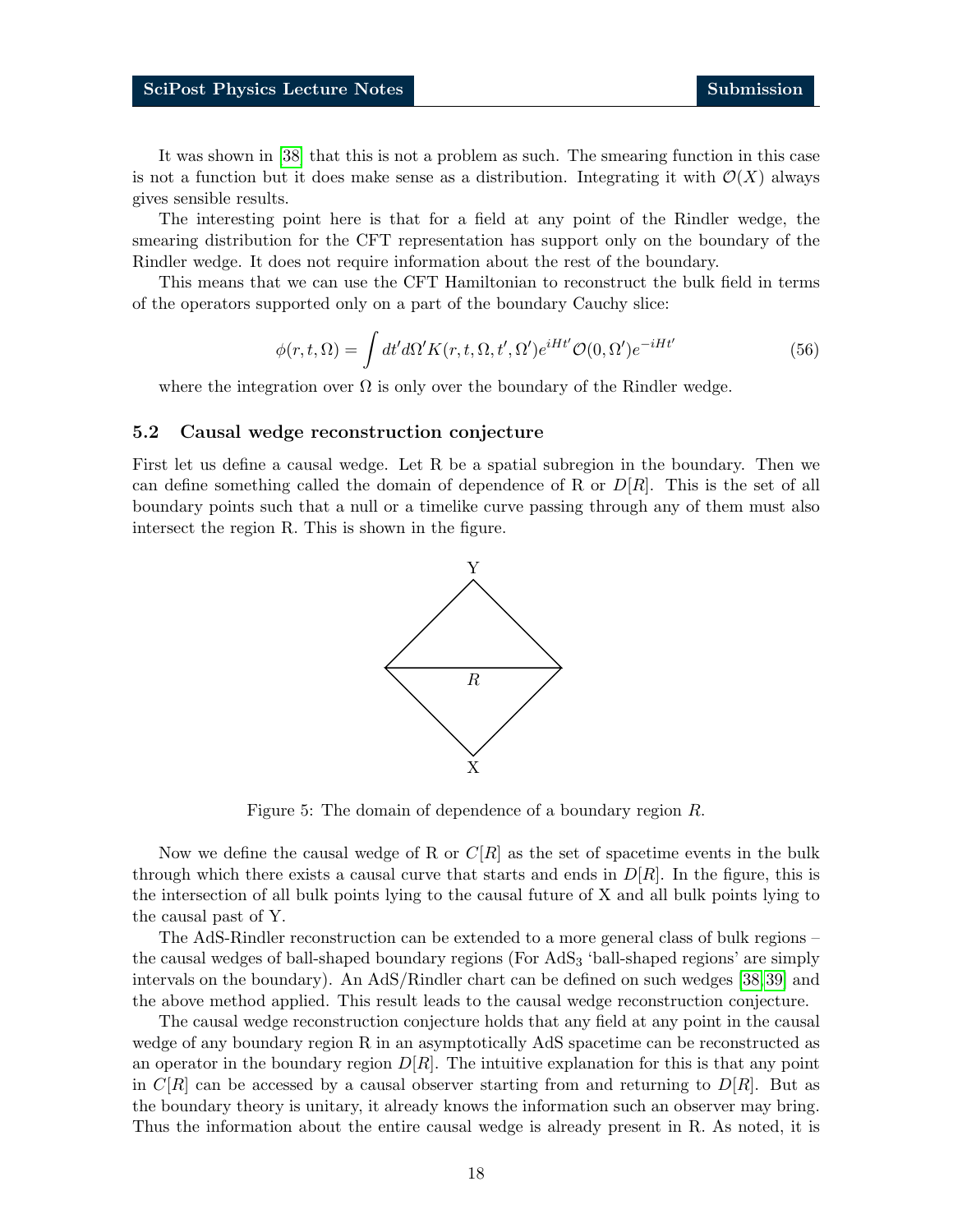It was shown in [\[38\]](#page-35-5) that this is not a problem as such. The smearing function in this case is not a function but it does make sense as a distribution. Integrating it with  $\mathcal{O}(X)$  always gives sensible results.

The interesting point here is that for a field at any point of the Rindler wedge, the smearing distribution for the CFT representation has support only on the boundary of the Rindler wedge. It does not require information about the rest of the boundary.

This means that we can use the CFT Hamiltonian to reconstruct the bulk field in terms of the operators supported only on a part of the boundary Cauchy slice:

$$
\phi(r,t,\Omega) = \int dt' d\Omega' K(r,t,\Omega,t',\Omega') e^{iHt'} \mathcal{O}(0,\Omega') e^{-iHt'}
$$
\n(56)

where the integration over  $\Omega$  is only over the boundary of the Rindler wedge.

### <span id="page-17-0"></span>5.2 Causal wedge reconstruction conjecture

First let us define a causal wedge. Let R be a spatial subregion in the boundary. Then we can define something called the domain of dependence of R or  $D[R]$ . This is the set of all boundary points such that a null or a timelike curve passing through any of them must also intersect the region R. This is shown in the figure.



Figure 5: The domain of dependence of a boundary region R.

Now we define the causal wedge of R or  $C[R]$  as the set of spacetime events in the bulk through which there exists a causal curve that starts and ends in  $D[R]$ . In the figure, this is the intersection of all bulk points lying to the causal future of X and all bulk points lying to the causal past of Y.

The AdS-Rindler reconstruction can be extended to a more general class of bulk regions – the causal wedges of ball-shaped boundary regions (For AdS<sup>3</sup> 'ball-shaped regions' are simply intervals on the boundary). An AdS/Rindler chart can be defined on such wedges [\[38,](#page-35-5)[39\]](#page-35-6) and the above method applied. This result leads to the causal wedge reconstruction conjecture.

The causal wedge reconstruction conjecture holds that any field at any point in the causal wedge of any boundary region R in an asymptotically AdS spacetime can be reconstructed as an operator in the boundary region  $D[R]$ . The intuitive explanation for this is that any point in  $C[R]$  can be accessed by a causal observer starting from and returning to  $D[R]$ . But as the boundary theory is unitary, it already knows the information such an observer may bring. Thus the information about the entire causal wedge is already present in R. As noted, it is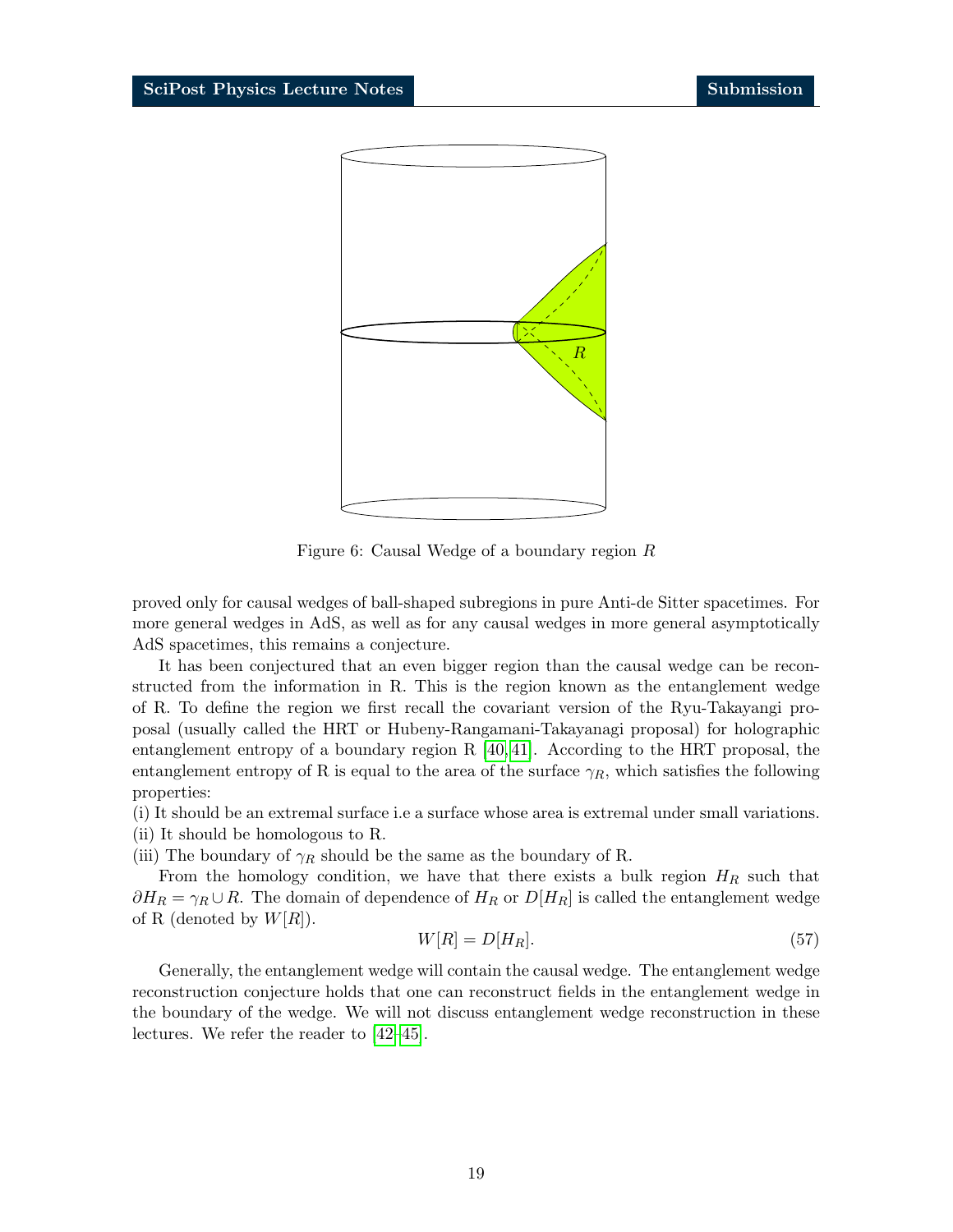

Figure 6: Causal Wedge of a boundary region R

proved only for causal wedges of ball-shaped subregions in pure Anti-de Sitter spacetimes. For more general wedges in AdS, as well as for any causal wedges in more general asymptotically AdS spacetimes, this remains a conjecture.

It has been conjectured that an even bigger region than the causal wedge can be reconstructed from the information in R. This is the region known as the entanglement wedge of R. To define the region we first recall the covariant version of the Ryu-Takayangi proposal (usually called the HRT or Hubeny-Rangamani-Takayanagi proposal) for holographic entanglement entropy of a boundary region R [\[40,](#page-35-7) [41\]](#page-35-8). According to the HRT proposal, the entanglement entropy of R is equal to the area of the surface  $\gamma_R$ , which satisfies the following properties:

- (i) It should be an extremal surface i.e a surface whose area is extremal under small variations.
- (ii) It should be homologous to R.

(iii) The boundary of  $\gamma_R$  should be the same as the boundary of R.

From the homology condition, we have that there exists a bulk region  $H_R$  such that  $\partial H_R = \gamma_R \cup R$ . The domain of dependence of  $H_R$  or  $D[H_R]$  is called the entanglement wedge of R (denoted by  $W[R]$ ).

$$
W[R] = D[H_R]. \tag{57}
$$

Generally, the entanglement wedge will contain the causal wedge. The entanglement wedge reconstruction conjecture holds that one can reconstruct fields in the entanglement wedge in the boundary of the wedge. We will not discuss entanglement wedge reconstruction in these lectures. We refer the reader to [\[42–](#page-35-9)[45\]](#page-36-0).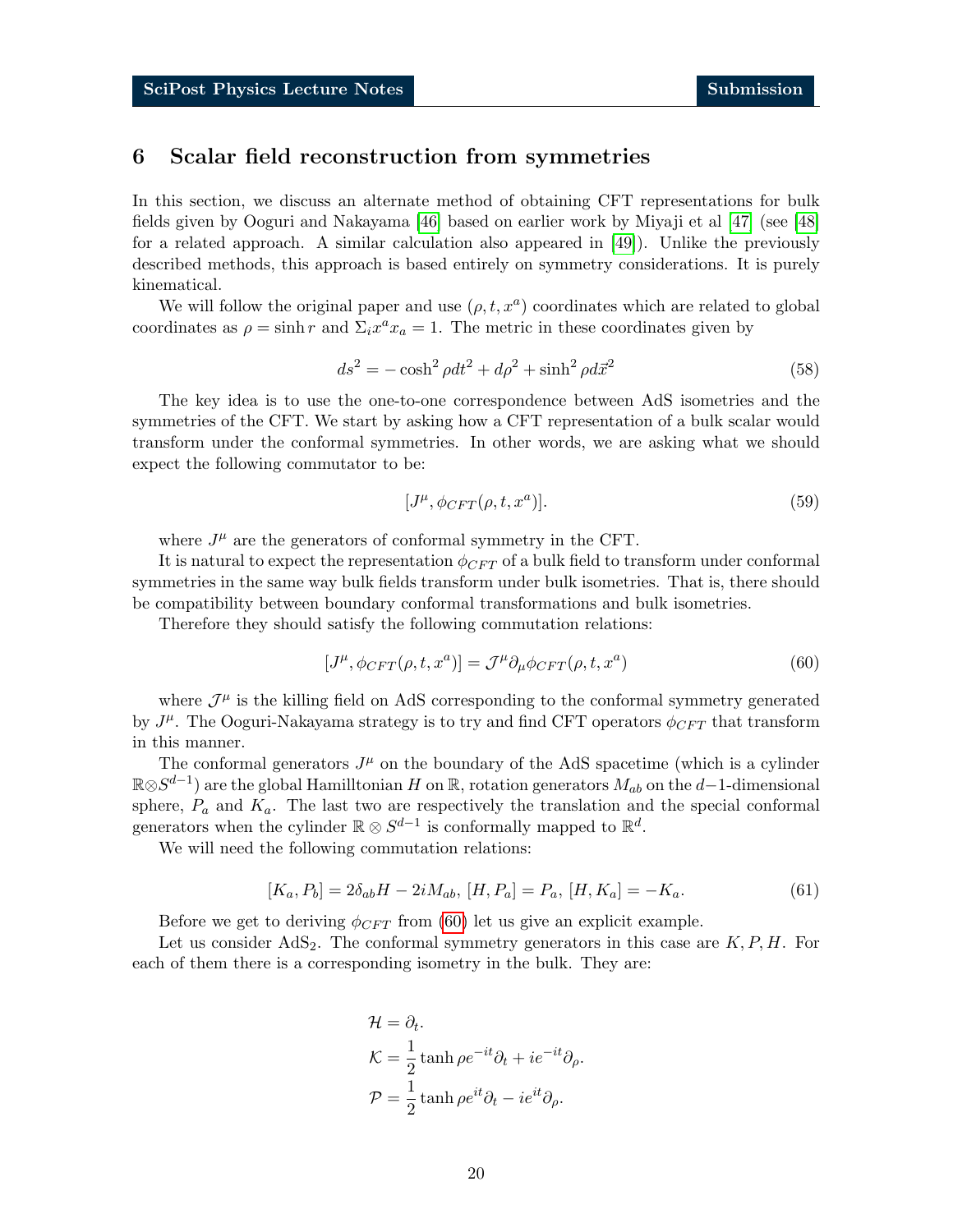## <span id="page-19-0"></span>6 Scalar field reconstruction from symmetries

In this section, we discuss an alternate method of obtaining CFT representations for bulk fields given by Ooguri and Nakayama [\[46\]](#page-36-1) based on earlier work by Miyaji et al [\[47\]](#page-36-2) (see [\[48\]](#page-36-3) for a related approach. A similar calculation also appeared in [\[49\]](#page-36-4)). Unlike the previously described methods, this approach is based entirely on symmetry considerations. It is purely kinematical.

We will follow the original paper and use  $(\rho, t, x^a)$  coordinates which are related to global coordinates as  $\rho = \sinh r$  and  $\Sigma_i x^a x_a = 1$ . The metric in these coordinates given by

$$
ds2 = -\cosh2 \rho dt2 + d\rho2 + \sinh2 \rho d\vec{x}2
$$
 (58)

The key idea is to use the one-to-one correspondence between AdS isometries and the symmetries of the CFT. We start by asking how a CFT representation of a bulk scalar would transform under the conformal symmetries. In other words, we are asking what we should expect the following commutator to be:

<span id="page-19-1"></span>
$$
[J^{\mu}, \phi_{CFT}(\rho, t, x^a)]. \tag{59}
$$

where  $J^{\mu}$  are the generators of conformal symmetry in the CFT.

It is natural to expect the representation  $\phi_{CFT}$  of a bulk field to transform under conformal symmetries in the same way bulk fields transform under bulk isometries. That is, there should be compatibility between boundary conformal transformations and bulk isometries.

Therefore they should satisfy the following commutation relations:

$$
[J^{\mu}, \phi_{CFT}(\rho, t, x^a)] = \mathcal{J}^{\mu} \partial_{\mu} \phi_{CFT}(\rho, t, x^a)
$$
\n(60)

where  $\mathcal{J}^{\mu}$  is the killing field on AdS corresponding to the conformal symmetry generated by  $J^{\mu}$ . The Ooguri-Nakayama strategy is to try and find CFT operators  $\phi_{CFT}$  that transform in this manner.

The conformal generators  $J^{\mu}$  on the boundary of the AdS spacetime (which is a cylinder  $\mathbb{R} \otimes S^{d-1}$  are the global Hamilltonian H on  $\mathbb{R}$ , rotation generators  $M_{ab}$  on the  $d-1$ -dimensional sphere,  $P_a$  and  $K_a$ . The last two are respectively the translation and the special conformal generators when the cylinder  $\mathbb{R} \otimes S^{d-1}$  is conformally mapped to  $\mathbb{R}^d$ .

We will need the following commutation relations:

$$
[K_a, P_b] = 2\delta_{ab}H - 2iM_{ab}, [H, P_a] = P_a, [H, K_a] = -K_a.
$$
\n(61)

Before we get to deriving  $\phi_{CFT}$  from [\(60\)](#page-19-1) let us give an explicit example.

Let us consider  $AdS_2$ . The conformal symmetry generators in this case are  $K, P, H$ . For each of them there is a corresponding isometry in the bulk. They are:

$$
\mathcal{H} = \partial_t.
$$
  
\n
$$
\mathcal{K} = \frac{1}{2} \tanh \rho e^{-it} \partial_t + ie^{-it} \partial_\rho.
$$
  
\n
$$
\mathcal{P} = \frac{1}{2} \tanh \rho e^{it} \partial_t - ie^{it} \partial_\rho.
$$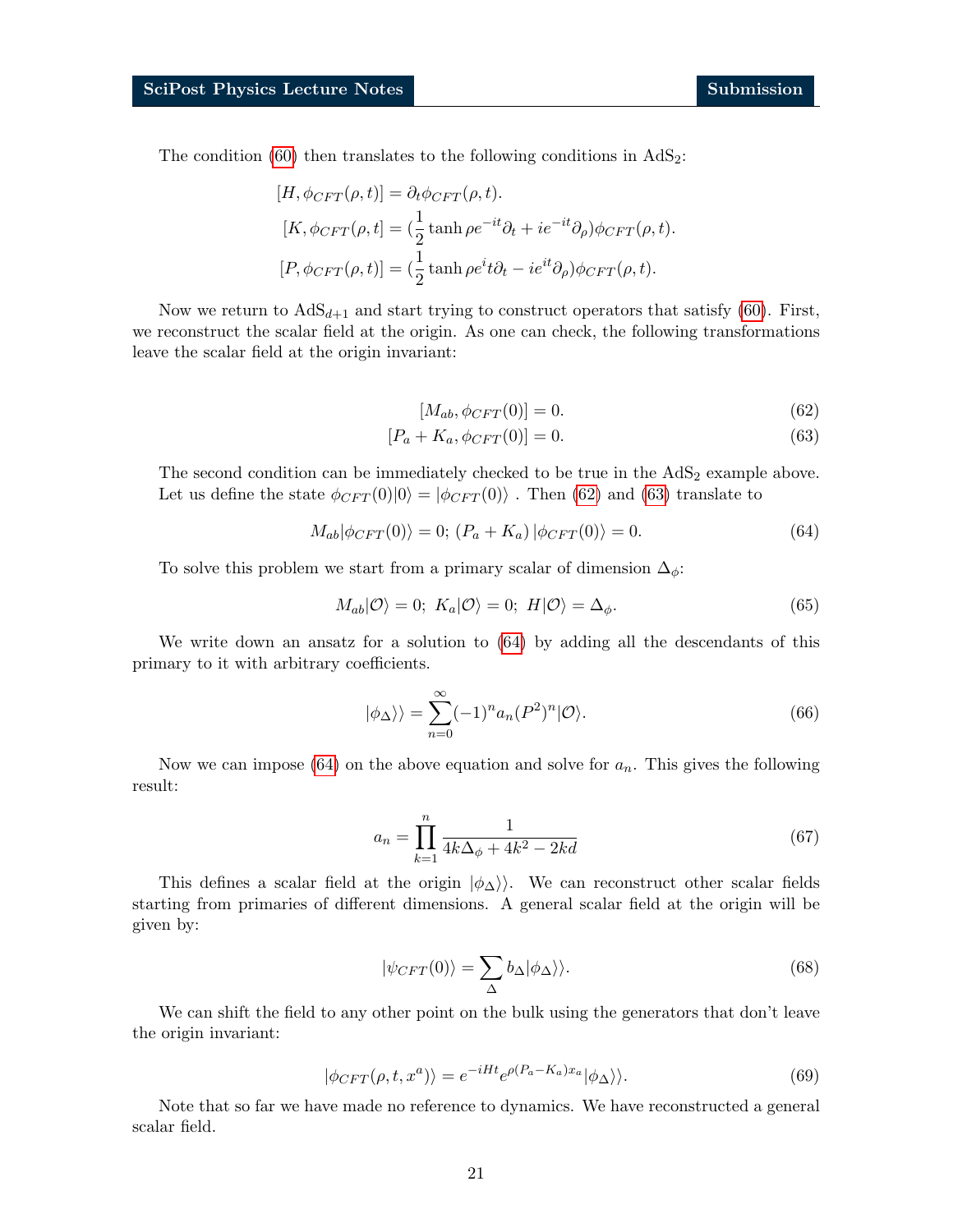The condition  $(60)$  then translates to the following conditions in  $AdS_2$ :

$$
[H, \phi_{CFT}(\rho, t)] = \partial_t \phi_{CFT}(\rho, t).
$$
  
\n
$$
[K, \phi_{CFT}(\rho, t)] = (\frac{1}{2} \tanh \rho e^{-it} \partial_t + i e^{-it} \partial_\rho) \phi_{CFT}(\rho, t).
$$
  
\n
$$
[P, \phi_{CFT}(\rho, t)] = (\frac{1}{2} \tanh \rho e^i t \partial_t - i e^{it} \partial_\rho) \phi_{CFT}(\rho, t).
$$

Now we return to  $AdS_{d+1}$  and start trying to construct operators that satisfy [\(60\)](#page-19-1). First, we reconstruct the scalar field at the origin. As one can check, the following transformations leave the scalar field at the origin invariant:

<span id="page-20-4"></span><span id="page-20-2"></span><span id="page-20-1"></span><span id="page-20-0"></span>
$$
[M_{ab}, \phi_{CFT}(0)] = 0.
$$
\n(62)

$$
[P_a + K_a, \phi_{CFT}(0)] = 0.
$$
\n(63)

The second condition can be immediately checked to be true in the  $AdS<sub>2</sub>$  example above. Let us define the state  $\phi_{CFT}(0)|0\rangle = |\phi_{CFT}(0)\rangle$ . Then [\(62\)](#page-20-0) and [\(63\)](#page-20-1) translate to

$$
M_{ab}|\phi_{CFT}(0)\rangle = 0; (P_a + K_a)|\phi_{CFT}(0)\rangle = 0.
$$
\n(64)

To solve this problem we start from a primary scalar of dimension  $\Delta_{\phi}$ :

$$
M_{ab}|\mathcal{O}\rangle = 0; K_a|\mathcal{O}\rangle = 0; H|\mathcal{O}\rangle = \Delta_{\phi}.
$$
 (65)

We write down an ansatz for a solution to [\(64\)](#page-20-2) by adding all the descendants of this primary to it with arbitrary coefficients.

<span id="page-20-5"></span>
$$
|\phi_{\Delta}\rangle\rangle = \sum_{n=0}^{\infty} (-1)^n a_n (P^2)^n |O\rangle.
$$
 (66)

Now we can impose [\(64\)](#page-20-2) on the above equation and solve for  $a_n$ . This gives the following result:

$$
a_n = \prod_{k=1}^n \frac{1}{4k\Delta_\phi + 4k^2 - 2kd} \tag{67}
$$

This defines a scalar field at the origin  $|\phi_{\Delta}\rangle$ . We can reconstruct other scalar fields starting from primaries of different dimensions. A general scalar field at the origin will be given by:

$$
|\psi_{CFT}(0)\rangle = \sum_{\Delta} b_{\Delta} |\phi_{\Delta}\rangle\rangle. \tag{68}
$$

<span id="page-20-3"></span>We can shift the field to any other point on the bulk using the generators that don't leave the origin invariant:

$$
|\phi_{CFT}(\rho, t, x^a)\rangle = e^{-iHt} e^{\rho(P_a - K_a)x_a} |\phi_{\Delta}\rangle.
$$
 (69)

Note that so far we have made no reference to dynamics. We have reconstructed a general scalar field.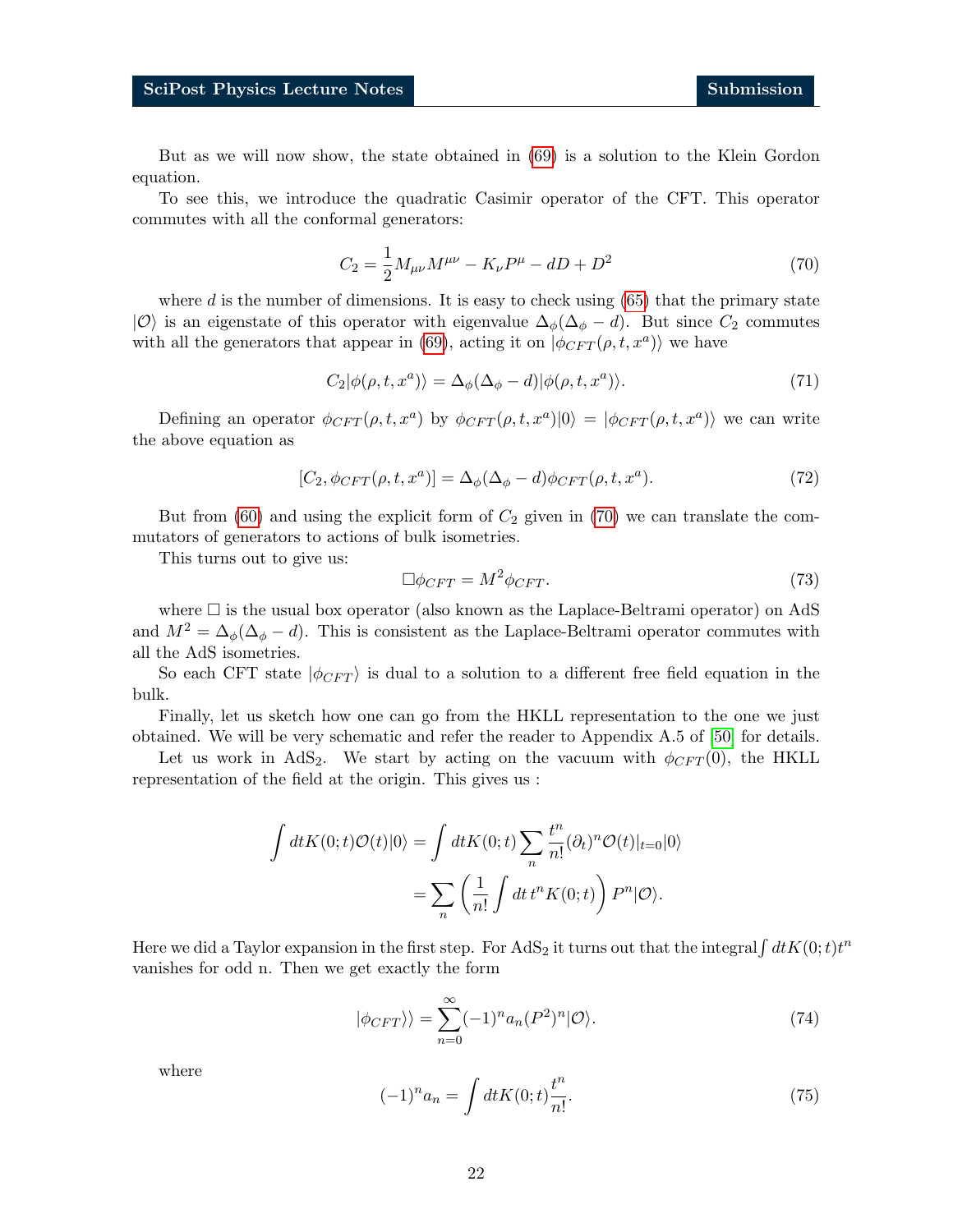But as we will now show, the state obtained in [\(69\)](#page-20-3) is a solution to the Klein Gordon equation.

<span id="page-21-0"></span>To see this, we introduce the quadratic Casimir operator of the CFT. This operator commutes with all the conformal generators:

$$
C_2 = \frac{1}{2} M_{\mu\nu} M^{\mu\nu} - K_{\nu} P^{\mu} - dD + D^2 \tag{70}
$$

where d is the number of dimensions. It is easy to check using  $(65)$  that the primary state  $|O\rangle$  is an eigenstate of this operator with eigenvalue  $\Delta_{\phi}(\Delta_{\phi}-d)$ . But since  $C_2$  commutes with all the generators that appear in [\(69\)](#page-20-3), acting it on  $|\phi_{CFT}(\rho, t, x^a)\rangle$  we have

$$
C_2|\phi(\rho, t, x^a)\rangle = \Delta_{\phi}(\Delta_{\phi} - d)|\phi(\rho, t, x^a)\rangle. \tag{71}
$$

Defining an operator  $\phi_{CFT}(\rho, t, x^a)$  by  $\phi_{CFT}(\rho, t, x^a)|0\rangle = |\phi_{CFT}(\rho, t, x^a)\rangle$  we can write the above equation as

$$
[C_2, \phi_{CFT}(\rho, t, x^a)] = \Delta_{\phi}(\Delta_{\phi} - d)\phi_{CFT}(\rho, t, x^a). \tag{72}
$$

But from [\(60\)](#page-19-1) and using the explicit form of  $C_2$  given in [\(70\)](#page-21-0) we can translate the commutators of generators to actions of bulk isometries.

This turns out to give us:

$$
\Box \phi_{CFT} = M^2 \phi_{CFT}.\tag{73}
$$

where  $\Box$  is the usual box operator (also known as the Laplace-Beltrami operator) on AdS and  $M^2 = \Delta_{\phi}(\Delta_{\phi} - d)$ . This is consistent as the Laplace-Beltrami operator commutes with all the AdS isometries.

So each CFT state  $|\phi_{CFT}\rangle$  is dual to a solution to a different free field equation in the bulk.

Finally, let us sketch how one can go from the HKLL representation to the one we just obtained. We will be very schematic and refer the reader to Appendix A.5 of [\[50\]](#page-36-5) for details.

Let us work in AdS<sub>2</sub>. We start by acting on the vacuum with  $\phi_{CFT}(0)$ , the HKLL representation of the field at the origin. This gives us :

$$
\int dt K(0;t) \mathcal{O}(t) |0\rangle = \int dt K(0;t) \sum_{n} \frac{t^n}{n!} (\partial_t)^n \mathcal{O}(t) |_{t=0} |0\rangle
$$

$$
= \sum_{n} \left(\frac{1}{n!} \int dt \, t^n K(0;t)\right) P^n |0\rangle.
$$

Here we did a Taylor expansion in the first step. For  $AdS_2$  it turns out that the integral  $\int dt K(0;t)t^n$ vanishes for odd n. Then we get exactly the form

$$
|\phi_{CFT}\rangle\rangle = \sum_{n=0}^{\infty} (-1)^n a_n (P^2)^n |O\rangle.
$$
 (74)

where

$$
(-1)^{n} a_{n} = \int dt K(0; t) \frac{t^{n}}{n!}.
$$
 (75)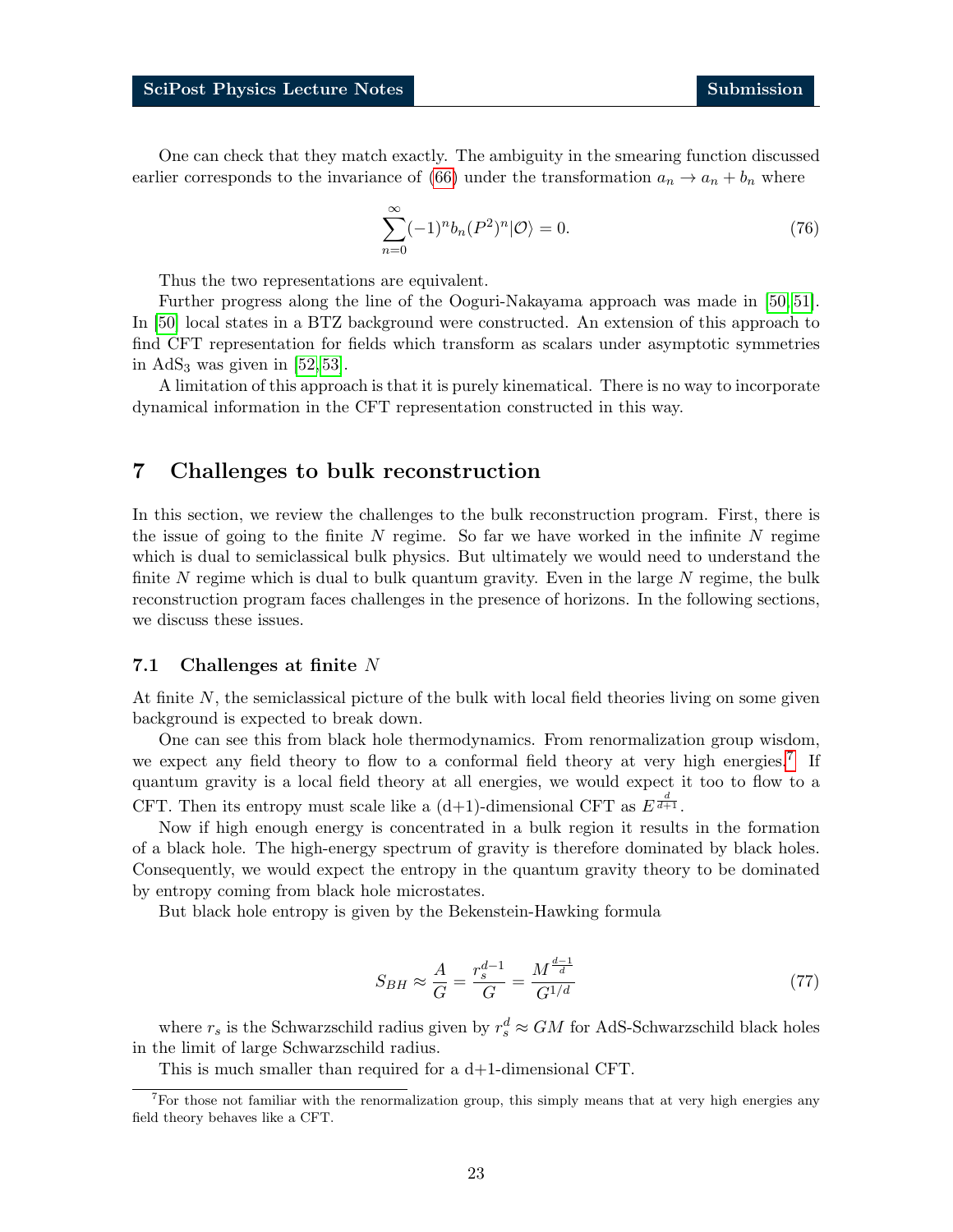One can check that they match exactly. The ambiguity in the smearing function discussed earlier corresponds to the invariance of [\(66\)](#page-20-5) under the transformation  $a_n \to a_n + b_n$  where

$$
\sum_{n=0}^{\infty} (-1)^n b_n (P^2)^n | \mathcal{O} \rangle = 0.
$$
\n(76)

Thus the two representations are equivalent.

Further progress along the line of the Ooguri-Nakayama approach was made in [\[50,](#page-36-5) [51\]](#page-36-6). In [\[50\]](#page-36-5) local states in a BTZ background were constructed. An extension of this approach to find CFT representation for fields which transform as scalars under asymptotic symmetries in  $AdS_3$  was given in [\[52,](#page-36-7) [53\]](#page-36-8).

A limitation of this approach is that it is purely kinematical. There is no way to incorporate dynamical information in the CFT representation constructed in this way.

## <span id="page-22-0"></span>7 Challenges to bulk reconstruction

In this section, we review the challenges to the bulk reconstruction program. First, there is the issue of going to the finite  $N$  regime. So far we have worked in the infinite  $N$  regime which is dual to semiclassical bulk physics. But ultimately we would need to understand the finite N regime which is dual to bulk quantum gravity. Even in the large  $N$  regime, the bulk reconstruction program faces challenges in the presence of horizons. In the following sections, we discuss these issues.

#### <span id="page-22-1"></span>7.1 Challenges at finite N

At finite N, the semiclassical picture of the bulk with local field theories living on some given background is expected to break down.

One can see this from black hole thermodynamics. From renormalization group wisdom, we expect any field theory to flow to a conformal field theory at very high energies.<sup>[7](#page-22-2)</sup> If quantum gravity is a local field theory at all energies, we would expect it too to flow to a CFT. Then its entropy must scale like a  $(d+1)$ -dimensional CFT as  $E^{\frac{d}{d+1}}$ .

Now if high enough energy is concentrated in a bulk region it results in the formation of a black hole. The high-energy spectrum of gravity is therefore dominated by black holes. Consequently, we would expect the entropy in the quantum gravity theory to be dominated by entropy coming from black hole microstates.

But black hole entropy is given by the Bekenstein-Hawking formula

$$
S_{BH} \approx \frac{A}{G} = \frac{r_s^{d-1}}{G} = \frac{M^{\frac{d-1}{d}}}{G^{1/d}} \tag{77}
$$

where  $r_s$  is the Schwarzschild radius given by  $r_s^d \approx GM$  for AdS-Schwarzschild black holes in the limit of large Schwarzschild radius.

<span id="page-22-2"></span>This is much smaller than required for a d+1-dimensional CFT.

<sup>&</sup>lt;sup>7</sup>For those not familiar with the renormalization group, this simply means that at very high energies any field theory behaves like a CFT.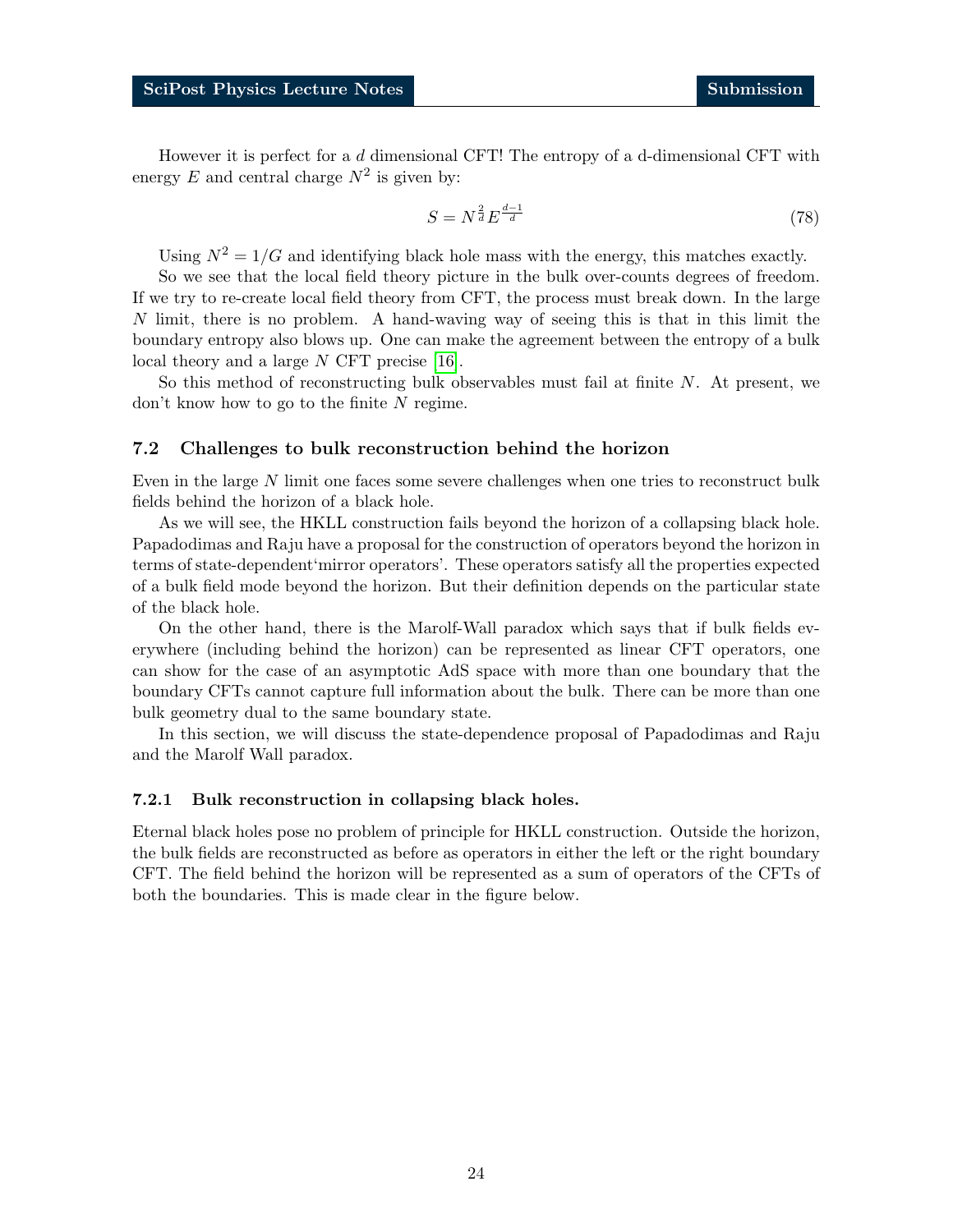However it is perfect for a  $d$  dimensional CFT! The entropy of a d-dimensional CFT with energy  $E$  and central charge  $N^2$  is given by:

$$
S = N^{\frac{2}{d}} E^{\frac{d-1}{d}} \tag{78}
$$

Using  $N^2 = 1/G$  and identifying black hole mass with the energy, this matches exactly.

So we see that the local field theory picture in the bulk over-counts degrees of freedom. If we try to re-create local field theory from CFT, the process must break down. In the large  $N$  limit, there is no problem. A hand-waving way of seeing this is that in this limit the boundary entropy also blows up. One can make the agreement between the entropy of a bulk local theory and a large N CFT precise [\[16\]](#page-34-0).

So this method of reconstructing bulk observables must fail at finite N. At present, we don't know how to go to the finite  $N$  regime.

### <span id="page-23-0"></span>7.2 Challenges to bulk reconstruction behind the horizon

Even in the large N limit one faces some severe challenges when one tries to reconstruct bulk fields behind the horizon of a black hole.

As we will see, the HKLL construction fails beyond the horizon of a collapsing black hole. Papadodimas and Raju have a proposal for the construction of operators beyond the horizon in terms of state-dependent'mirror operators'. These operators satisfy all the properties expected of a bulk field mode beyond the horizon. But their definition depends on the particular state of the black hole.

On the other hand, there is the Marolf-Wall paradox which says that if bulk fields everywhere (including behind the horizon) can be represented as linear CFT operators, one can show for the case of an asymptotic AdS space with more than one boundary that the boundary CFTs cannot capture full information about the bulk. There can be more than one bulk geometry dual to the same boundary state.

In this section, we will discuss the state-dependence proposal of Papadodimas and Raju and the Marolf Wall paradox.

#### <span id="page-23-1"></span>7.2.1 Bulk reconstruction in collapsing black holes.

Eternal black holes pose no problem of principle for HKLL construction. Outside the horizon, the bulk fields are reconstructed as before as operators in either the left or the right boundary CFT. The field behind the horizon will be represented as a sum of operators of the CFTs of both the boundaries. This is made clear in the figure below.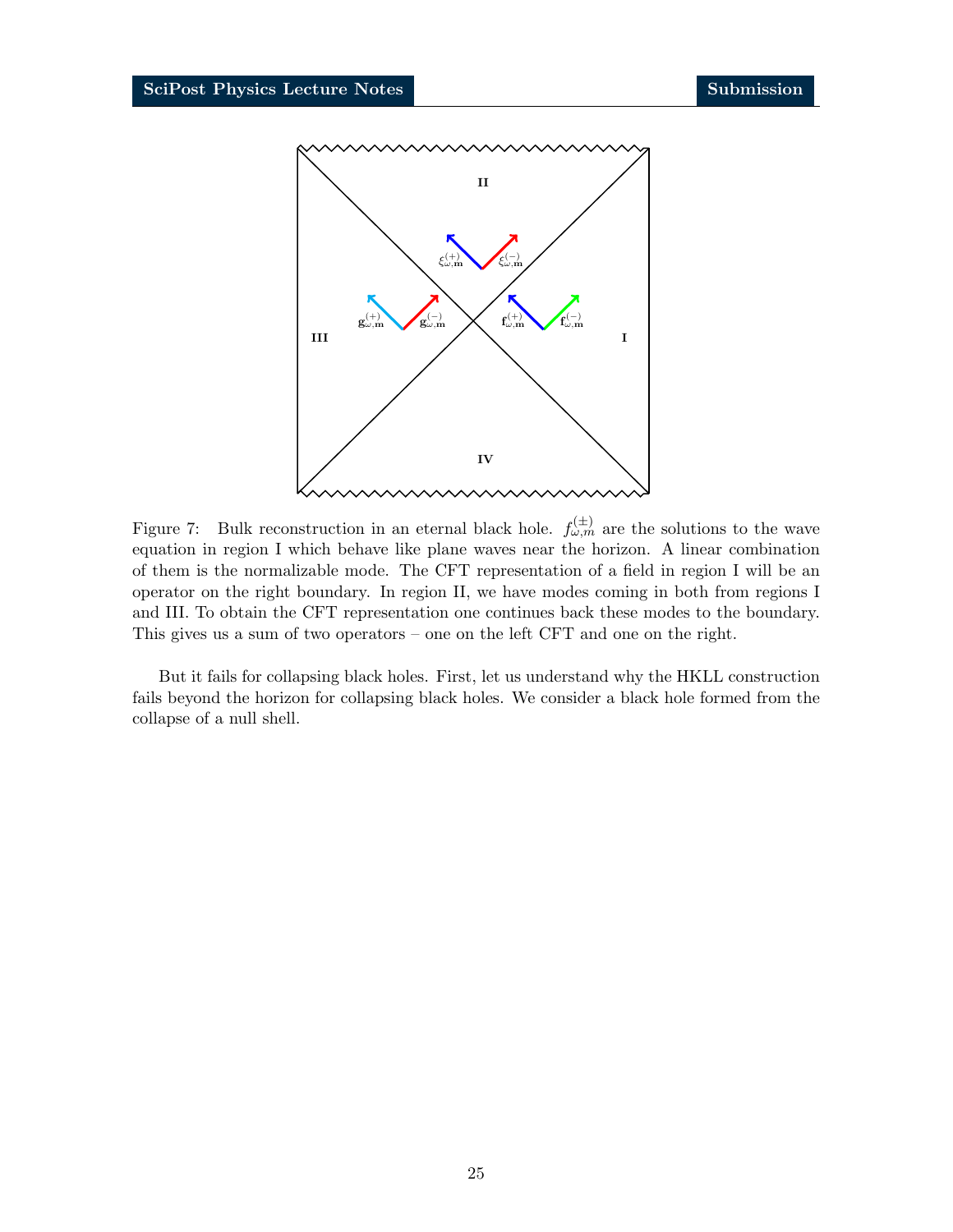

Figure 7: Bulk reconstruction in an eternal black hole.  $f_{\omega,m}^{(\pm)}$  are the solutions to the wave equation in region I which behave like plane waves near the horizon. A linear combination of them is the normalizable mode. The CFT representation of a field in region I will be an operator on the right boundary. In region II, we have modes coming in both from regions I and III. To obtain the CFT representation one continues back these modes to the boundary. This gives us a sum of two operators – one on the left CFT and one on the right.

But it fails for collapsing black holes. First, let us understand why the HKLL construction fails beyond the horizon for collapsing black holes. We consider a black hole formed from the collapse of a null shell.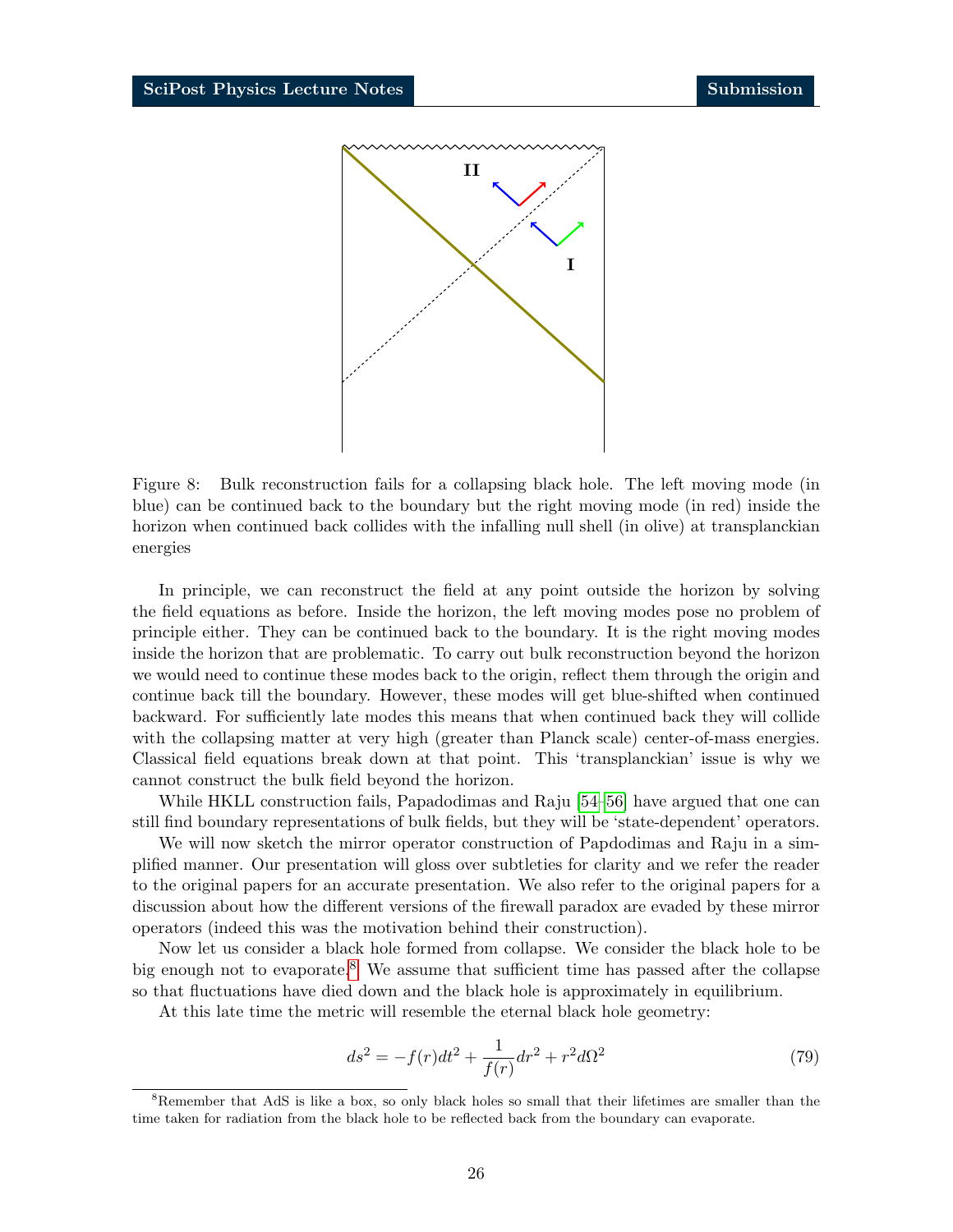

Figure 8: Bulk reconstruction fails for a collapsing black hole. The left moving mode (in blue) can be continued back to the boundary but the right moving mode (in red) inside the horizon when continued back collides with the infalling null shell (in olive) at transplanckian energies

In principle, we can reconstruct the field at any point outside the horizon by solving the field equations as before. Inside the horizon, the left moving modes pose no problem of principle either. They can be continued back to the boundary. It is the right moving modes inside the horizon that are problematic. To carry out bulk reconstruction beyond the horizon we would need to continue these modes back to the origin, reflect them through the origin and continue back till the boundary. However, these modes will get blue-shifted when continued backward. For sufficiently late modes this means that when continued back they will collide with the collapsing matter at very high (greater than Planck scale) center-of-mass energies. Classical field equations break down at that point. This 'transplanckian' issue is why we cannot construct the bulk field beyond the horizon.

While HKLL construction fails, Papadodimas and Raju [\[54–](#page-36-9)[56\]](#page-36-10) have argued that one can still find boundary representations of bulk fields, but they will be 'state-dependent' operators.

We will now sketch the mirror operator construction of Papdodimas and Raju in a simplified manner. Our presentation will gloss over subtleties for clarity and we refer the reader to the original papers for an accurate presentation. We also refer to the original papers for a discussion about how the different versions of the firewall paradox are evaded by these mirror operators (indeed this was the motivation behind their construction).

Now let us consider a black hole formed from collapse. We consider the black hole to be big enough not to evaporate.<sup>[8](#page-25-0)</sup> We assume that sufficient time has passed after the collapse so that fluctuations have died down and the black hole is approximately in equilibrium.

At this late time the metric will resemble the eternal black hole geometry:

$$
ds^{2} = -f(r)dt^{2} + \frac{1}{f(r)}dr^{2} + r^{2}d\Omega^{2}
$$
\n(79)

<span id="page-25-0"></span><sup>&</sup>lt;sup>8</sup>Remember that AdS is like a box, so only black holes so small that their lifetimes are smaller than the time taken for radiation from the black hole to be reflected back from the boundary can evaporate.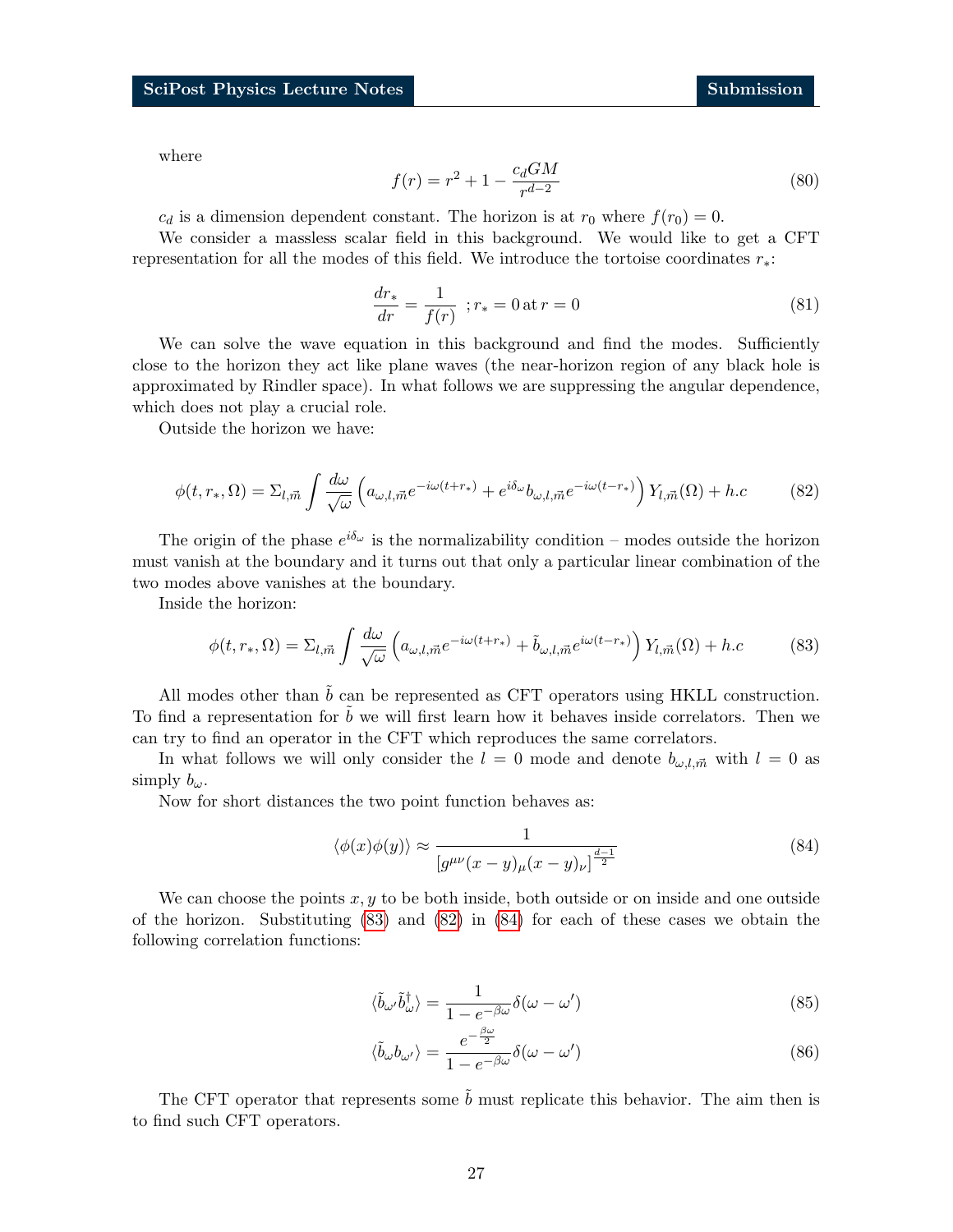$$
f(r) = r^2 + 1 - \frac{c_d GM}{r^{d-2}}
$$
\n(80)

 $c_d$  is a dimension dependent constant. The horizon is at  $r_0$  where  $f(r_0) = 0$ .

We consider a massless scalar field in this background. We would like to get a CFT representation for all the modes of this field. We introduce the tortoise coordinates r∗:

$$
\frac{dr_*}{dr} = \frac{1}{f(r)} \, ; r_* = 0 \, \text{at} \, r = 0 \tag{81}
$$

We can solve the wave equation in this background and find the modes. Sufficiently close to the horizon they act like plane waves (the near-horizon region of any black hole is approximated by Rindler space). In what follows we are suppressing the angular dependence, which does not play a crucial role.

<span id="page-26-1"></span>Outside the horizon we have:

$$
\phi(t, r_*, \Omega) = \Sigma_{l, \vec{m}} \int \frac{d\omega}{\sqrt{\omega}} \left( a_{\omega, l, \vec{m}} e^{-i\omega(t + r_*)} + e^{i\delta_{\omega}} b_{\omega, l, \vec{m}} e^{-i\omega(t - r_*)} \right) Y_{l, \vec{m}}(\Omega) + h.c \tag{82}
$$

The origin of the phase  $e^{i\delta_{\omega}}$  is the normalizability condition – modes outside the horizon must vanish at the boundary and it turns out that only a particular linear combination of the two modes above vanishes at the boundary.

Inside the horizon:

<span id="page-26-0"></span>
$$
\phi(t, r_*, \Omega) = \Sigma_{l, \vec{m}} \int \frac{d\omega}{\sqrt{\omega}} \left( a_{\omega, l, \vec{m}} e^{-i\omega(t + r_*)} + \tilde{b}_{\omega, l, \vec{m}} e^{i\omega(t - r_*)} \right) Y_{l, \vec{m}}(\Omega) + h.c \tag{83}
$$

All modes other than  $\tilde{b}$  can be represented as CFT operators using HKLL construction. To find a representation for  $b$  we will first learn how it behaves inside correlators. Then we can try to find an operator in the CFT which reproduces the same correlators.

In what follows we will only consider the  $l = 0$  mode and denote  $b_{\omega,l,\vec{m}}$  with  $l = 0$  as simply  $b_{\omega}$ .

Now for short distances the two point function behaves as:

<span id="page-26-2"></span>
$$
\langle \phi(x)\phi(y)\rangle \approx \frac{1}{[g^{\mu\nu}(x-y)_{\mu}(x-y)_{\nu}]^{\frac{d-1}{2}}}
$$
\n(84)

We can choose the points  $x, y$  to be both inside, both outside or on inside and one outside of the horizon. Substituting [\(83\)](#page-26-0) and [\(82\)](#page-26-1) in [\(84\)](#page-26-2) for each of these cases we obtain the following correlation functions:

$$
\langle \tilde{b}_{\omega'} \tilde{b}_{\omega}^{\dagger} \rangle = \frac{1}{1 - e^{-\beta \omega}} \delta(\omega - \omega') \tag{85}
$$

$$
\langle \tilde{b}_{\omega} b_{\omega'} \rangle = \frac{e^{-\frac{\beta \omega}{2}}}{1 - e^{-\beta \omega}} \delta(\omega - \omega')
$$
\n(86)

The CFT operator that represents some  $\tilde{b}$  must replicate this behavior. The aim then is to find such CFT operators.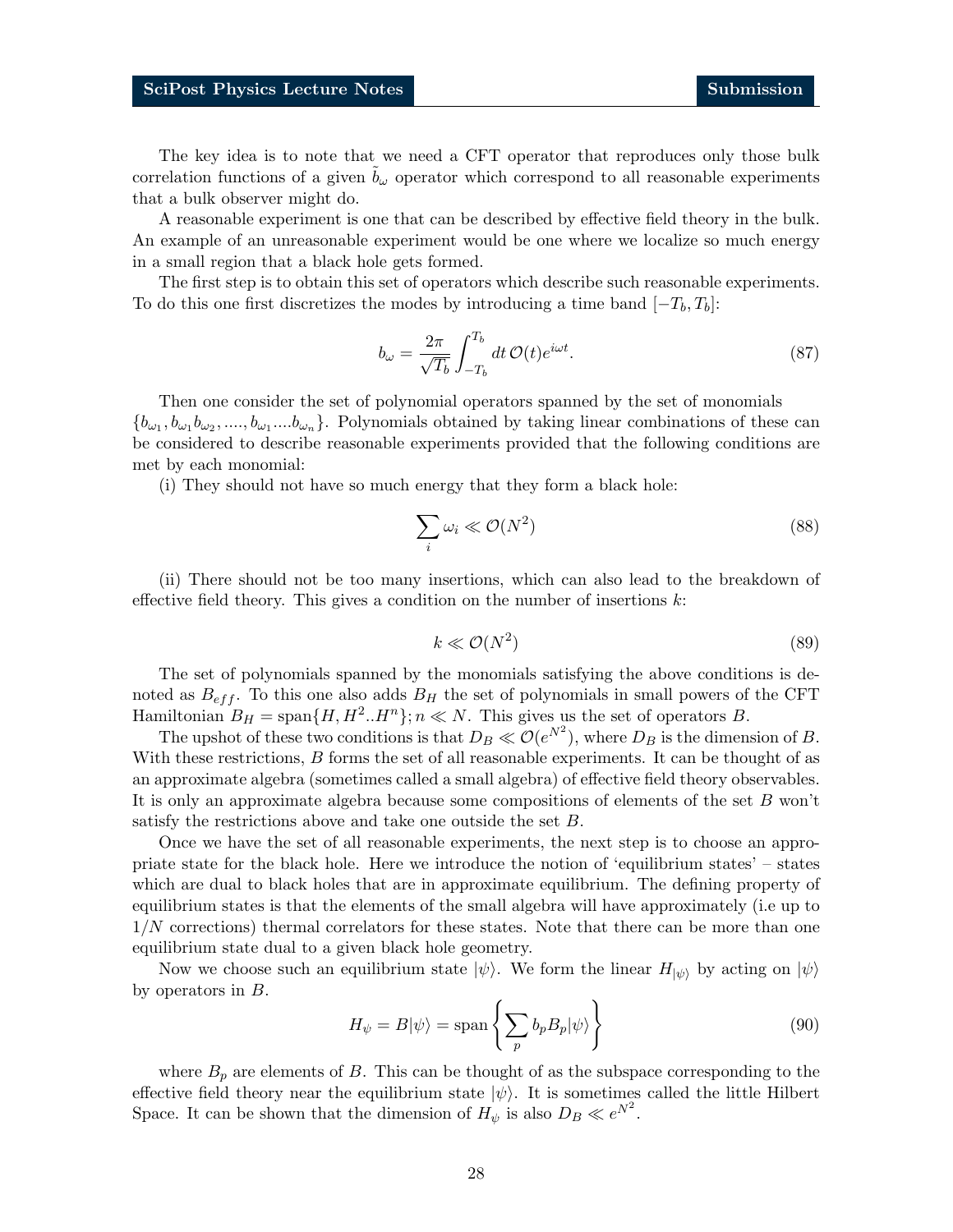The key idea is to note that we need a CFT operator that reproduces only those bulk correlation functions of a given  $b_{\omega}$  operator which correspond to all reasonable experiments that a bulk observer might do.

A reasonable experiment is one that can be described by effective field theory in the bulk. An example of an unreasonable experiment would be one where we localize so much energy in a small region that a black hole gets formed.

The first step is to obtain this set of operators which describe such reasonable experiments. To do this one first discretizes the modes by introducing a time band  $[-T_b, T_b]$ :

$$
b_{\omega} = \frac{2\pi}{\sqrt{T_b}} \int_{-T_b}^{T_b} dt \, \mathcal{O}(t) e^{i\omega t}.
$$
 (87)

Then one consider the set of polynomial operators spanned by the set of monomials  $\{b_{\omega_1}, b_{\omega_1}b_{\omega_2}, ..., b_{\omega_1}...b_{\omega_n}\}$ . Polynomials obtained by taking linear combinations of these can be considered to describe reasonable experiments provided that the following conditions are met by each monomial:

(i) They should not have so much energy that they form a black hole:

$$
\sum_{i} \omega_i \ll \mathcal{O}(N^2) \tag{88}
$$

(ii) There should not be too many insertions, which can also lead to the breakdown of effective field theory. This gives a condition on the number of insertions  $k$ :

$$
k \ll \mathcal{O}(N^2) \tag{89}
$$

The set of polynomials spanned by the monomials satisfying the above conditions is denoted as  $B_{eff}$ . To this one also adds  $B_H$  the set of polynomials in small powers of the CFT Hamiltonian  $B_H = \text{span}\{H, H^2, H^n\}; n \ll N$ . This gives us the set of operators B.

The upshot of these two conditions is that  $D_B \ll \mathcal{O}(e^{N^2})$ , where  $D_B$  is the dimension of B. With these restrictions, B forms the set of all reasonable experiments. It can be thought of as an approximate algebra (sometimes called a small algebra) of effective field theory observables. It is only an approximate algebra because some compositions of elements of the set B won't satisfy the restrictions above and take one outside the set B.

Once we have the set of all reasonable experiments, the next step is to choose an appropriate state for the black hole. Here we introduce the notion of 'equilibrium states' – states which are dual to black holes that are in approximate equilibrium. The defining property of equilibrium states is that the elements of the small algebra will have approximately (i.e up to 1/N corrections) thermal correlators for these states. Note that there can be more than one equilibrium state dual to a given black hole geometry.

Now we choose such an equilibrium state  $|\psi\rangle$ . We form the linear  $H_{|\psi\rangle}$  by acting on  $|\psi\rangle$ by operators in B.

$$
H_{\psi} = B|\psi\rangle = \text{span}\left\{\sum_{p} b_{p} B_{p} |\psi\rangle\right\} \tag{90}
$$

where  $B_p$  are elements of B. This can be thought of as the subspace corresponding to the effective field theory near the equilibrium state  $|\psi\rangle$ . It is sometimes called the little Hilbert Space. It can be shown that the dimension of  $H_{\psi}$  is also  $D_B \ll e^{N^2}$ .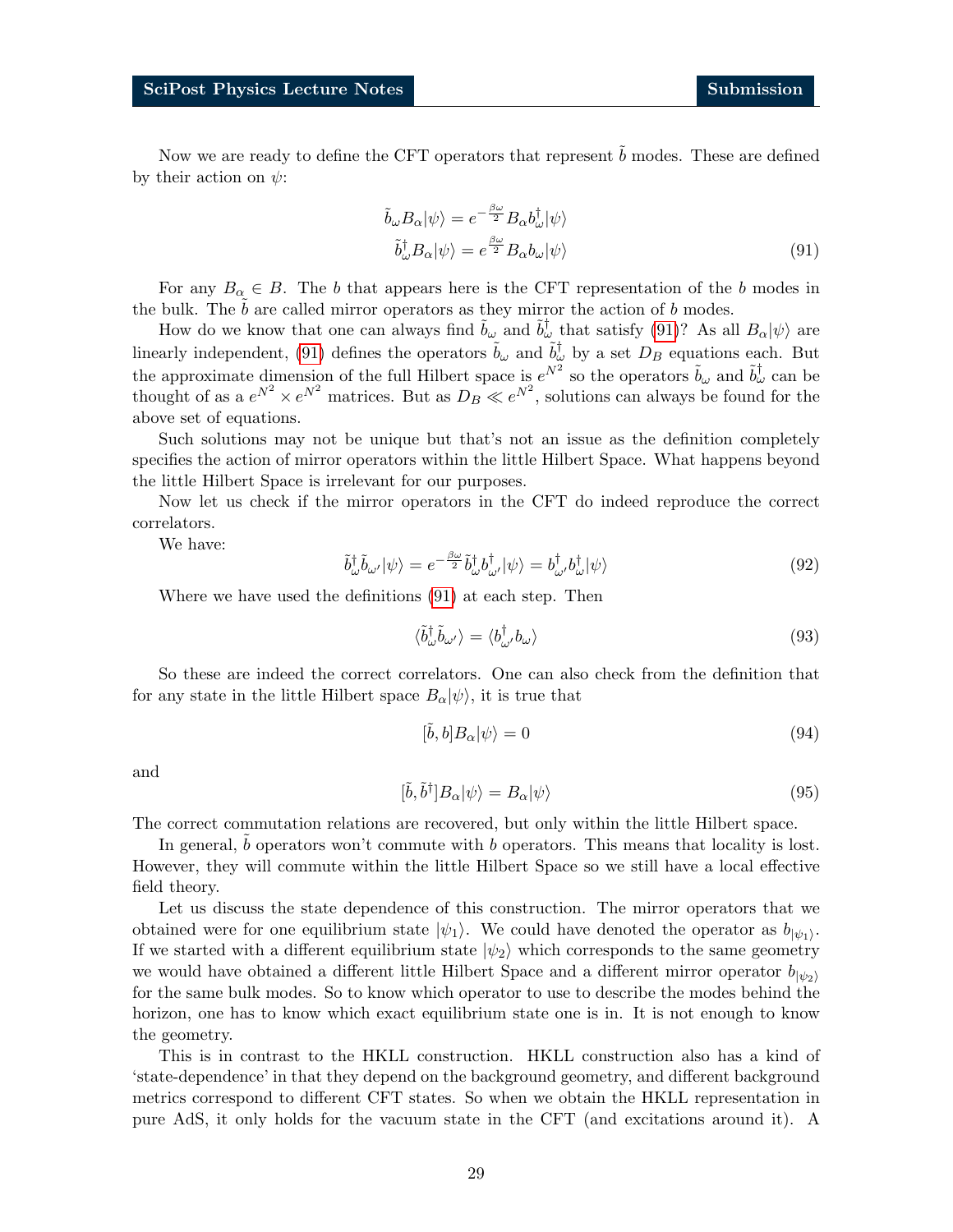Now we are ready to define the CFT operators that represent  $b$  modes. These are defined by their action on  $\psi$ :

<span id="page-28-0"></span>
$$
\tilde{b}_{\omega} B_{\alpha} |\psi\rangle = e^{-\frac{\beta \omega}{2}} B_{\alpha} b_{\omega}^{\dagger} |\psi\rangle \n\tilde{b}_{\omega}^{\dagger} B_{\alpha} |\psi\rangle = e^{\frac{\beta \omega}{2}} B_{\alpha} b_{\omega} |\psi\rangle
$$
\n(91)

For any  $B_{\alpha} \in B$ . The b that appears here is the CFT representation of the b modes in the bulk. The  $b$  are called mirror operators as they mirror the action of  $b$  modes.

How do we know that one can always find  $\tilde{b}_{\omega}$  and  $\tilde{b}_{\omega}^{\dagger}$  that satisfy [\(91\)](#page-28-0)? As all  $B_{\alpha}|\psi\rangle$  are linearly independent, [\(91\)](#page-28-0) defines the operators  $\tilde{b}_{\omega}$  and  $\tilde{b}_{\omega}^{\dagger}$  by a set  $D_B$  equations each. But the approximate dimension of the full Hilbert space is  $e^{N^2}$  so the operators  $\tilde{b}_\omega$  and  $\tilde{b}^\dagger_\omega$  can be thought of as a  $e^{N^2} \times e^{N^2}$  matrices. But as  $D_B \ll e^{N^2}$ , solutions can always be found for the above set of equations.

Such solutions may not be unique but that's not an issue as the definition completely specifies the action of mirror operators within the little Hilbert Space. What happens beyond the little Hilbert Space is irrelevant for our purposes.

Now let us check if the mirror operators in the CFT do indeed reproduce the correct correlators.

We have:

$$
\tilde{b}^{\dagger}_{\omega}\tilde{b}_{\omega'}|\psi\rangle = e^{-\frac{\beta\omega}{2}}\tilde{b}^{\dagger}_{\omega}b^{\dagger}_{\omega'}|\psi\rangle = b^{\dagger}_{\omega'}b^{\dagger}_{\omega}|\psi\rangle
$$
\n(92)

Where we have used the definitions [\(91\)](#page-28-0) at each step. Then

$$
\langle \tilde{b}_{\omega}^{\dagger} \tilde{b}_{\omega'} \rangle = \langle b_{\omega'}^{\dagger} b_{\omega} \rangle \tag{93}
$$

So these are indeed the correct correlators. One can also check from the definition that for any state in the little Hilbert space  $B_{\alpha}|\psi\rangle$ , it is true that

$$
[\tilde{b}, b]B_{\alpha}|\psi\rangle = 0\tag{94}
$$

and

$$
[\tilde{b}, \tilde{b}^{\dagger}]B_{\alpha}|\psi\rangle = B_{\alpha}|\psi\rangle \tag{95}
$$

The correct commutation relations are recovered, but only within the little Hilbert space.

In general,  $b$  operators won't commute with  $b$  operators. This means that locality is lost. However, they will commute within the little Hilbert Space so we still have a local effective field theory.

Let us discuss the state dependence of this construction. The mirror operators that we obtained were for one equilibrium state  $|\psi_1\rangle$ . We could have denoted the operator as  $b_{|\psi_1\rangle}$ . If we started with a different equilibrium state  $|\psi_2\rangle$  which corresponds to the same geometry we would have obtained a different little Hilbert Space and a different mirror operator  $b_{|\psi_2\rangle}$ for the same bulk modes. So to know which operator to use to describe the modes behind the horizon, one has to know which exact equilibrium state one is in. It is not enough to know the geometry.

This is in contrast to the HKLL construction. HKLL construction also has a kind of 'state-dependence' in that they depend on the background geometry, and different background metrics correspond to different CFT states. So when we obtain the HKLL representation in pure AdS, it only holds for the vacuum state in the CFT (and excitations around it). A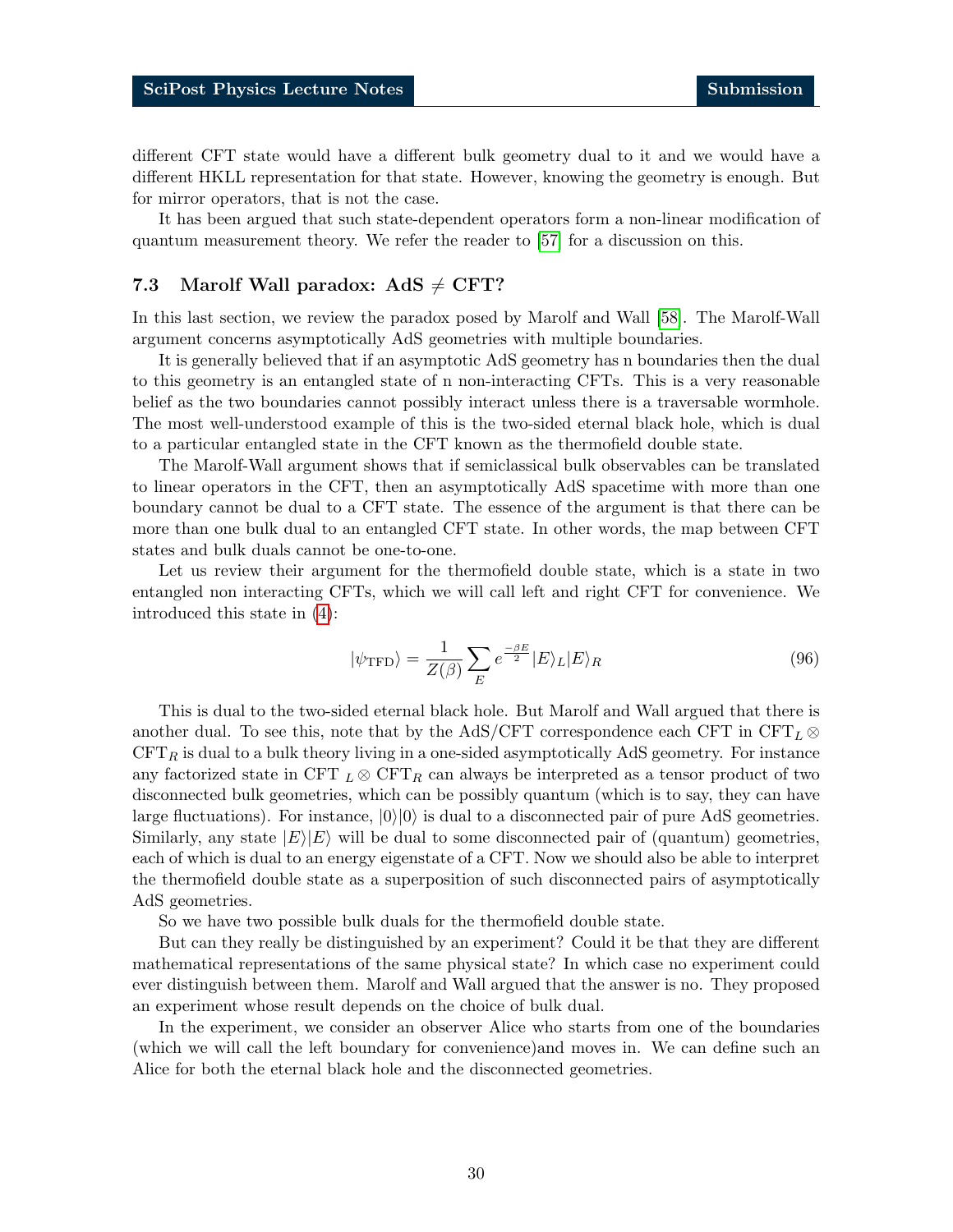different CFT state would have a different bulk geometry dual to it and we would have a different HKLL representation for that state. However, knowing the geometry is enough. But for mirror operators, that is not the case.

It has been argued that such state-dependent operators form a non-linear modification of quantum measurement theory. We refer the reader to [\[57\]](#page-36-11) for a discussion on this.

### <span id="page-29-0"></span>7.3 Marolf Wall paradox:  $AdS \neq CFT$ ?

In this last section, we review the paradox posed by Marolf and Wall [\[58\]](#page-36-12). The Marolf-Wall argument concerns asymptotically AdS geometries with multiple boundaries.

It is generally believed that if an asymptotic AdS geometry has n boundaries then the dual to this geometry is an entangled state of n non-interacting CFTs. This is a very reasonable belief as the two boundaries cannot possibly interact unless there is a traversable wormhole. The most well-understood example of this is the two-sided eternal black hole, which is dual to a particular entangled state in the CFT known as the thermofield double state.

The Marolf-Wall argument shows that if semiclassical bulk observables can be translated to linear operators in the CFT, then an asymptotically AdS spacetime with more than one boundary cannot be dual to a CFT state. The essence of the argument is that there can be more than one bulk dual to an entangled CFT state. In other words, the map between CFT states and bulk duals cannot be one-to-one.

Let us review their argument for the thermofield double state, which is a state in two entangled non interacting CFTs, which we will call left and right CFT for convenience. We introduced this state in [\(4\)](#page-3-2):

$$
|\psi_{\rm TFD}\rangle = \frac{1}{Z(\beta)} \sum_{E} e^{\frac{-\beta E}{2}} |E\rangle_L |E\rangle_R \tag{96}
$$

This is dual to the two-sided eternal black hole. But Marolf and Wall argued that there is another dual. To see this, note that by the AdS/CFT correspondence each CFT in  $CFT_L \otimes$  $CFT_R$  is dual to a bulk theory living in a one-sided asymptotically AdS geometry. For instance any factorized state in CFT  $_L \otimes CFT_R$  can always be interpreted as a tensor product of two disconnected bulk geometries, which can be possibly quantum (which is to say, they can have large fluctuations). For instance,  $|0\rangle|0\rangle$  is dual to a disconnected pair of pure AdS geometries. Similarly, any state  $|E\rangle|E\rangle$  will be dual to some disconnected pair of (quantum) geometries, each of which is dual to an energy eigenstate of a CFT. Now we should also be able to interpret the thermofield double state as a superposition of such disconnected pairs of asymptotically AdS geometries.

So we have two possible bulk duals for the thermofield double state.

But can they really be distinguished by an experiment? Could it be that they are different mathematical representations of the same physical state? In which case no experiment could ever distinguish between them. Marolf and Wall argued that the answer is no. They proposed an experiment whose result depends on the choice of bulk dual.

In the experiment, we consider an observer Alice who starts from one of the boundaries (which we will call the left boundary for convenience)and moves in. We can define such an Alice for both the eternal black hole and the disconnected geometries.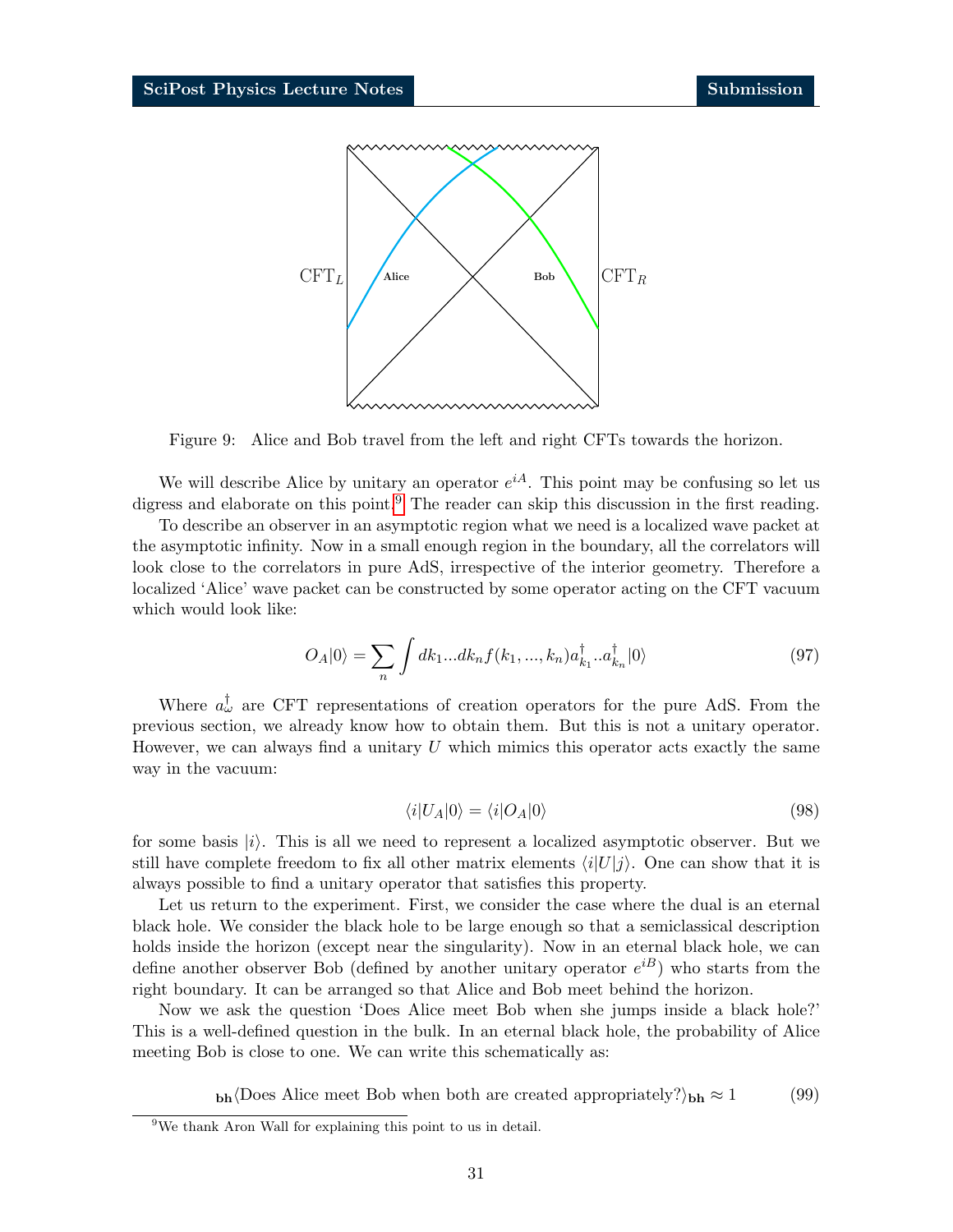

Figure 9: Alice and Bob travel from the left and right CFTs towards the horizon.

We will describe Alice by unitary an operator  $e^{iA}$ . This point may be confusing so let us digress and elaborate on this point.<sup>[9](#page-30-0)</sup> The reader can skip this discussion in the first reading.

To describe an observer in an asymptotic region what we need is a localized wave packet at the asymptotic infinity. Now in a small enough region in the boundary, all the correlators will look close to the correlators in pure AdS, irrespective of the interior geometry. Therefore a localized 'Alice' wave packet can be constructed by some operator acting on the CFT vacuum which would look like:

$$
O_A|0\rangle = \sum_n \int dk_1...dk_n f(k_1,...,k_n) a_{k_1}^\dagger...a_{k_n}^\dagger |0\rangle \tag{97}
$$

Where  $a_{\omega}^{\dagger}$  are CFT representations of creation operators for the pure AdS. From the previous section, we already know how to obtain them. But this is not a unitary operator. However, we can always find a unitary  $U$  which mimics this operator acts exactly the same way in the vacuum:

$$
\langle i|U_A|0\rangle = \langle i|O_A|0\rangle \tag{98}
$$

for some basis  $|i\rangle$ . This is all we need to represent a localized asymptotic observer. But we still have complete freedom to fix all other matrix elements  $\langle i|U|j\rangle$ . One can show that it is always possible to find a unitary operator that satisfies this property.

Let us return to the experiment. First, we consider the case where the dual is an eternal black hole. We consider the black hole to be large enough so that a semiclassical description holds inside the horizon (except near the singularity). Now in an eternal black hole, we can define another observer Bob (defined by another unitary operator  $e^{iB}$ ) who starts from the right boundary. It can be arranged so that Alice and Bob meet behind the horizon.

Now we ask the question 'Does Alice meet Bob when she jumps inside a black hole?' This is a well-defined question in the bulk. In an eternal black hole, the probability of Alice meeting Bob is close to one. We can write this schematically as:

 $_{\text{bh}}\langle$ Does Alice meet Bob when both are created appropriately? $\rangle_{\text{bh}} \approx 1$  (99)

<span id="page-30-0"></span><sup>&</sup>lt;sup>9</sup>We thank Aron Wall for explaining this point to us in detail.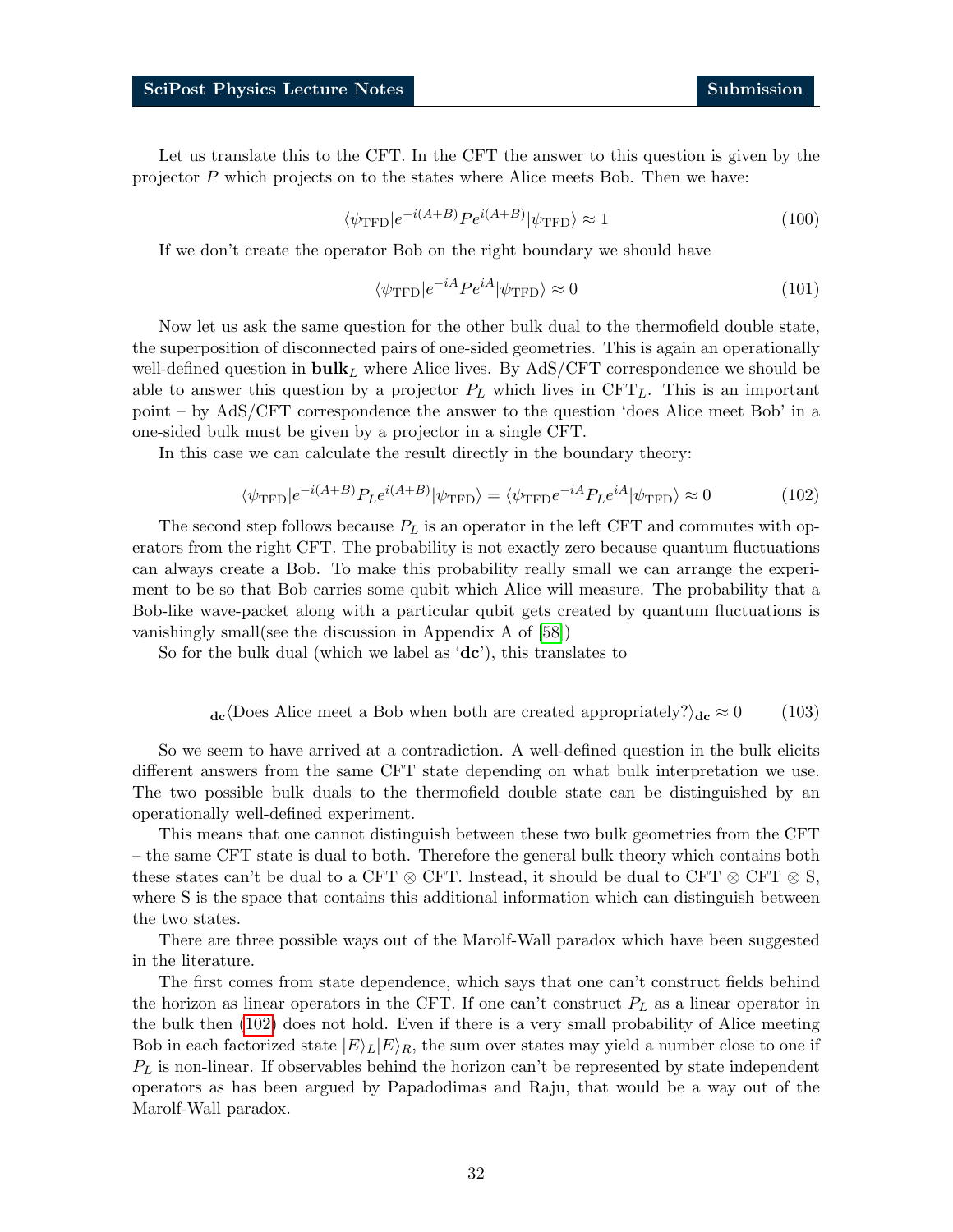Let us translate this to the CFT. In the CFT the answer to this question is given by the projector P which projects on to the states where Alice meets Bob. Then we have:

$$
\langle \psi_{\rm TFD} | e^{-i(A+B)} P e^{i(A+B)} | \psi_{\rm TFD} \rangle \approx 1 \tag{100}
$$

If we don't create the operator Bob on the right boundary we should have

$$
\langle \psi_{\rm TFD} | e^{-iA} P e^{iA} | \psi_{\rm TFD} \rangle \approx 0 \tag{101}
$$

Now let us ask the same question for the other bulk dual to the thermofield double state, the superposition of disconnected pairs of one-sided geometries. This is again an operationally well-defined question in  $\text{bulk}_L$  where Alice lives. By AdS/CFT correspondence we should be able to answer this question by a projector  $P_L$  which lives in CFT<sub>L</sub>. This is an important point – by AdS/CFT correspondence the answer to the question 'does Alice meet Bob' in a one-sided bulk must be given by a projector in a single CFT.

<span id="page-31-0"></span>In this case we can calculate the result directly in the boundary theory:

$$
\langle \psi_{\rm TFD} | e^{-i(A+B)} P_L e^{i(A+B)} | \psi_{\rm TFD} \rangle = \langle \psi_{\rm TFD} e^{-iA} P_L e^{iA} | \psi_{\rm TFD} \rangle \approx 0 \tag{102}
$$

The second step follows because  $P<sub>L</sub>$  is an operator in the left CFT and commutes with operators from the right CFT. The probability is not exactly zero because quantum fluctuations can always create a Bob. To make this probability really small we can arrange the experiment to be so that Bob carries some qubit which Alice will measure. The probability that a Bob-like wave-packet along with a particular qubit gets created by quantum fluctuations is vanishingly small(see the discussion in Appendix A of [\[58\]](#page-36-12))

So for the bulk dual (which we label as  $'dc'$ ), this translates to

$$
d\mathbf{c} \langle \text{Does Alice meet a Bob when both are created appropriately?} \rangle_{d\mathbf{c}} \approx 0 \tag{103}
$$

So we seem to have arrived at a contradiction. A well-defined question in the bulk elicits different answers from the same CFT state depending on what bulk interpretation we use. The two possible bulk duals to the thermofield double state can be distinguished by an operationally well-defined experiment.

This means that one cannot distinguish between these two bulk geometries from the CFT – the same CFT state is dual to both. Therefore the general bulk theory which contains both these states can't be dual to a CFT  $\otimes$  CFT. Instead, it should be dual to CFT  $\otimes$  CFT  $\otimes$  S, where S is the space that contains this additional information which can distinguish between the two states.

There are three possible ways out of the Marolf-Wall paradox which have been suggested in the literature.

The first comes from state dependence, which says that one can't construct fields behind the horizon as linear operators in the CFT. If one can't construct  $P_L$  as a linear operator in the bulk then [\(102\)](#page-31-0) does not hold. Even if there is a very small probability of Alice meeting Bob in each factorized state  $|E\rangle_L|E\rangle_R$ , the sum over states may yield a number close to one if  $P_L$  is non-linear. If observables behind the horizon can't be represented by state independent operators as has been argued by Papadodimas and Raju, that would be a way out of the Marolf-Wall paradox.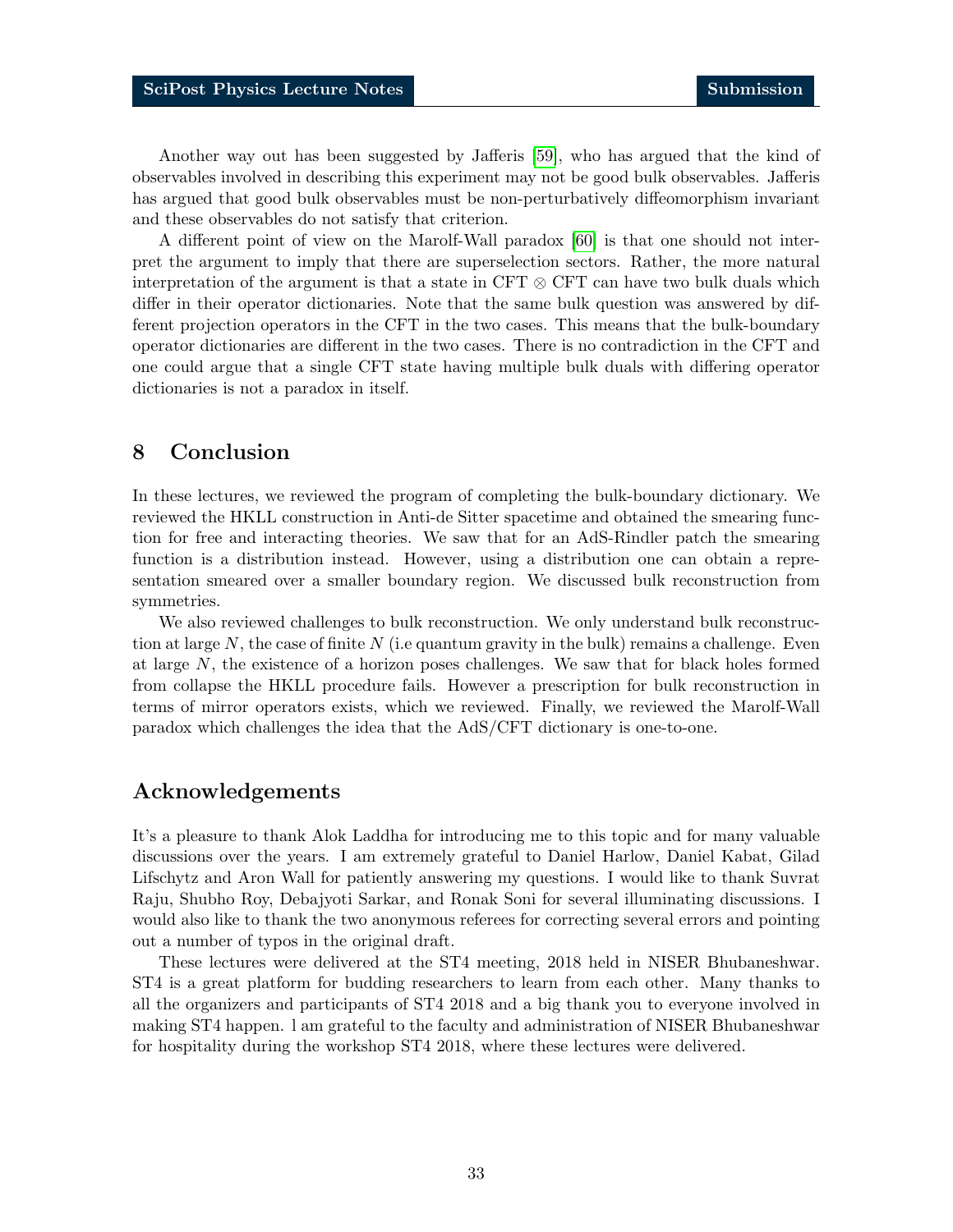Another way out has been suggested by Jafferis [\[59\]](#page-36-13), who has argued that the kind of observables involved in describing this experiment may not be good bulk observables. Jafferis has argued that good bulk observables must be non-perturbatively diffeomorphism invariant and these observables do not satisfy that criterion.

A different point of view on the Marolf-Wall paradox [\[60\]](#page-36-14) is that one should not interpret the argument to imply that there are superselection sectors. Rather, the more natural interpretation of the argument is that a state in CFT  $\otimes$  CFT can have two bulk duals which differ in their operator dictionaries. Note that the same bulk question was answered by different projection operators in the CFT in the two cases. This means that the bulk-boundary operator dictionaries are different in the two cases. There is no contradiction in the CFT and one could argue that a single CFT state having multiple bulk duals with differing operator dictionaries is not a paradox in itself.

## <span id="page-32-0"></span>8 Conclusion

In these lectures, we reviewed the program of completing the bulk-boundary dictionary. We reviewed the HKLL construction in Anti-de Sitter spacetime and obtained the smearing function for free and interacting theories. We saw that for an AdS-Rindler patch the smearing function is a distribution instead. However, using a distribution one can obtain a representation smeared over a smaller boundary region. We discussed bulk reconstruction from symmetries.

We also reviewed challenges to bulk reconstruction. We only understand bulk reconstruction at large N, the case of finite  $N$  (i.e quantum gravity in the bulk) remains a challenge. Even at large N, the existence of a horizon poses challenges. We saw that for black holes formed from collapse the HKLL procedure fails. However a prescription for bulk reconstruction in terms of mirror operators exists, which we reviewed. Finally, we reviewed the Marolf-Wall paradox which challenges the idea that the AdS/CFT dictionary is one-to-one.

## Acknowledgements

It's a pleasure to thank Alok Laddha for introducing me to this topic and for many valuable discussions over the years. I am extremely grateful to Daniel Harlow, Daniel Kabat, Gilad Lifschytz and Aron Wall for patiently answering my questions. I would like to thank Suvrat Raju, Shubho Roy, Debajyoti Sarkar, and Ronak Soni for several illuminating discussions. I would also like to thank the two anonymous referees for correcting several errors and pointing out a number of typos in the original draft.

These lectures were delivered at the ST4 meeting, 2018 held in NISER Bhubaneshwar. ST4 is a great platform for budding researchers to learn from each other. Many thanks to all the organizers and participants of ST4 2018 and a big thank you to everyone involved in making ST4 happen. l am grateful to the faculty and administration of NISER Bhubaneshwar for hospitality during the workshop ST4 2018, where these lectures were delivered.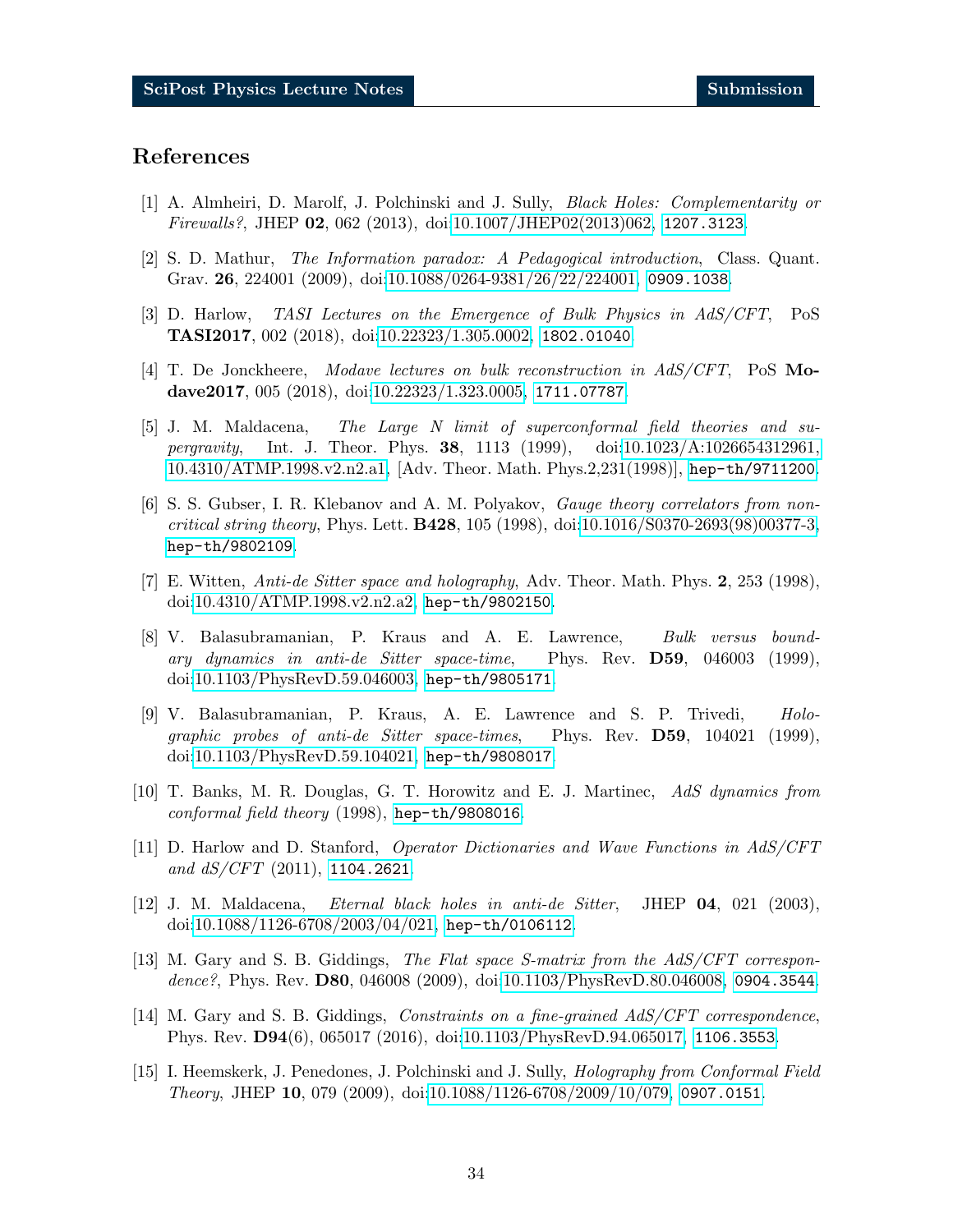## References

- <span id="page-33-0"></span>[1] A. Almheiri, D. Marolf, J. Polchinski and J. Sully, Black Holes: Complementarity or Firewalls?, JHEP 02, 062 (2013), doi[:10.1007/JHEP02\(2013\)062,](https://doi.org/10.1007/JHEP02(2013)062) <1207.3123>.
- <span id="page-33-1"></span>[2] S. D. Mathur, The Information paradox: A Pedagogical introduction, Class. Quant. Grav. 26, 224001 (2009), doi[:10.1088/0264-9381/26/22/224001,](https://doi.org/10.1088/0264-9381/26/22/224001) <0909.1038>.
- <span id="page-33-2"></span>[3] D. Harlow, TASI Lectures on the Emergence of Bulk Physics in AdS/CFT, PoS TASI2017, 002 (2018), doi[:10.22323/1.305.0002,](https://doi.org/10.22323/1.305.0002) <1802.01040>.
- <span id="page-33-3"></span>[4] T. De Jonckheere, Modave lectures on bulk reconstruction in AdS/CFT, PoS Modave2017, 005 (2018), doi[:10.22323/1.323.0005,](https://doi.org/10.22323/1.323.0005) <1711.07787>.
- <span id="page-33-4"></span>[5] J. M. Maldacena, The Large N limit of superconformal field theories and supergravity, Int. J. Theor. Phys. 38, 1113 (1999), doi[:10.1023/A:1026654312961,](https://doi.org/10.1023/A:1026654312961, 10.4310/ATMP.1998.v2.n2.a1) [10.4310/ATMP.1998.v2.n2.a1,](https://doi.org/10.1023/A:1026654312961, 10.4310/ATMP.1998.v2.n2.a1) [Adv. Theor. Math. Phys.2,231(1998)], <hep-th/9711200>.
- [6] S. S. Gubser, I. R. Klebanov and A. M. Polyakov, Gauge theory correlators from noncritical string theory, Phys. Lett. B428, 105 (1998), doi[:10.1016/S0370-2693\(98\)00377-3,](https://doi.org/10.1016/S0370-2693(98)00377-3) <hep-th/9802109>.
- <span id="page-33-5"></span>[7] E. Witten, Anti-de Sitter space and holography, Adv. Theor. Math. Phys. 2, 253 (1998), doi[:10.4310/ATMP.1998.v2.n2.a2,](https://doi.org/10.4310/ATMP.1998.v2.n2.a2) <hep-th/9802150>.
- <span id="page-33-6"></span>[8] V. Balasubramanian, P. Kraus and A. E. Lawrence, Bulk versus boundary dynamics in anti-de Sitter space-time, Phys. Rev. D59, 046003 (1999), doi[:10.1103/PhysRevD.59.046003,](https://doi.org/10.1103/PhysRevD.59.046003) <hep-th/9805171>.
- [9] V. Balasubramanian, P. Kraus, A. E. Lawrence and S. P. Trivedi, Holographic probes of anti-de Sitter space-times, Phys. Rev. D59, 104021 (1999), doi[:10.1103/PhysRevD.59.104021,](https://doi.org/10.1103/PhysRevD.59.104021) <hep-th/9808017>.
- <span id="page-33-7"></span>[10] T. Banks, M. R. Douglas, G. T. Horowitz and E. J. Martinec, AdS dynamics from conformal field theory (1998), <hep-th/9808016>.
- <span id="page-33-8"></span>[11] D. Harlow and D. Stanford, Operator Dictionaries and Wave Functions in AdS/CFT and  $dS/CFT$  (2011), <1104.2621>.
- <span id="page-33-9"></span>[12] J. M. Maldacena, Eternal black holes in anti-de Sitter, JHEP 04, 021 (2003), doi[:10.1088/1126-6708/2003/04/021,](https://doi.org/10.1088/1126-6708/2003/04/021) <hep-th/0106112>.
- <span id="page-33-10"></span>[13] M. Gary and S. B. Giddings, The Flat space S-matrix from the AdS/CFT correspondence?, Phys. Rev. D80, 046008 (2009), doi[:10.1103/PhysRevD.80.046008,](https://doi.org/10.1103/PhysRevD.80.046008) <0904.3544>.
- <span id="page-33-11"></span>[14] M. Gary and S. B. Giddings, *Constraints on a fine-grained AdS/CFT correspondence*, Phys. Rev. D94(6), 065017 (2016), doi[:10.1103/PhysRevD.94.065017,](https://doi.org/10.1103/PhysRevD.94.065017) <1106.3553>.
- <span id="page-33-12"></span>[15] I. Heemskerk, J. Penedones, J. Polchinski and J. Sully, Holography from Conformal Field Theory, JHEP 10, 079 (2009), doi[:10.1088/1126-6708/2009/10/079,](https://doi.org/10.1088/1126-6708/2009/10/079) <0907.0151>.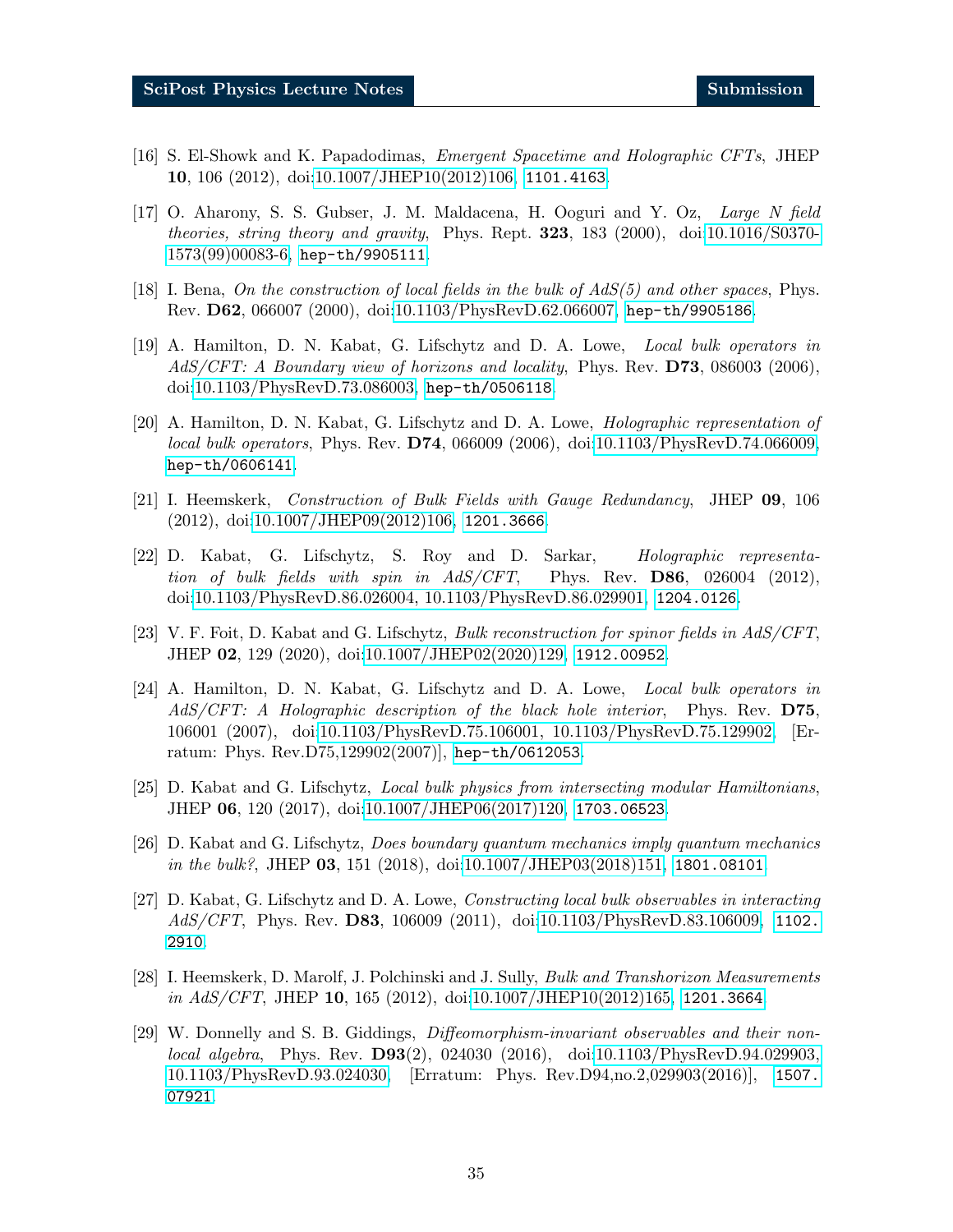- <span id="page-34-0"></span>[16] S. El-Showk and K. Papadodimas, Emergent Spacetime and Holographic CFTs, JHEP 10, 106 (2012), doi[:10.1007/JHEP10\(2012\)106,](https://doi.org/10.1007/JHEP10(2012)106) <1101.4163>.
- <span id="page-34-1"></span>[17] O. Aharony, S. S. Gubser, J. M. Maldacena, H. Ooguri and Y. Oz, Large N field theories, string theory and gravity, Phys. Rept. 323, 183 (2000), doi[:10.1016/S0370-](https://doi.org/10.1016/S0370-1573(99)00083-6) [1573\(99\)00083-6,](https://doi.org/10.1016/S0370-1573(99)00083-6) <hep-th/9905111>.
- <span id="page-34-2"></span>[18] I. Bena, On the construction of local fields in the bulk of  $AdS(5)$  and other spaces, Phys. Rev. D62, 066007 (2000), doi[:10.1103/PhysRevD.62.066007,](https://doi.org/10.1103/PhysRevD.62.066007) <hep-th/9905186>.
- <span id="page-34-4"></span>[19] A. Hamilton, D. N. Kabat, G. Lifschytz and D. A. Lowe, Local bulk operators in AdS/CFT: A Boundary view of horizons and locality, Phys. Rev. D73, 086003 (2006), doi[:10.1103/PhysRevD.73.086003,](https://doi.org/10.1103/PhysRevD.73.086003) <hep-th/0506118>.
- <span id="page-34-3"></span>[20] A. Hamilton, D. N. Kabat, G. Lifschytz and D. A. Lowe, Holographic representation of local bulk operators, Phys. Rev. D74, 066009 (2006), doi[:10.1103/PhysRevD.74.066009,](https://doi.org/10.1103/PhysRevD.74.066009) <hep-th/0606141>.
- <span id="page-34-5"></span>[21] I. Heemskerk, Construction of Bulk Fields with Gauge Redundancy, JHEP 09, 106 (2012), doi[:10.1007/JHEP09\(2012\)106,](https://doi.org/10.1007/JHEP09(2012)106) <1201.3666>.
- [22] D. Kabat, G. Lifschytz, S. Roy and D. Sarkar, Holographic representation of bulk fields with spin in  $AdS/CFT$ , Phys. Rev. **D86**, 026004 (2012), doi[:10.1103/PhysRevD.86.026004, 10.1103/PhysRevD.86.029901,](https://doi.org/10.1103/PhysRevD.86.026004, 10.1103/PhysRevD.86.029901) <1204.0126>.
- <span id="page-34-6"></span>[23] V. F. Foit, D. Kabat and G. Lifschytz, Bulk reconstruction for spinor fields in AdS/CFT, JHEP 02, 129 (2020), doi[:10.1007/JHEP02\(2020\)129,](https://doi.org/10.1007/JHEP02(2020)129) <1912.00952>.
- <span id="page-34-7"></span>[24] A. Hamilton, D. N. Kabat, G. Lifschytz and D. A. Lowe, Local bulk operators in AdS/CFT: A Holographic description of the black hole interior, Phys. Rev. D75, 106001 (2007), doi[:10.1103/PhysRevD.75.106001, 10.1103/PhysRevD.75.129902,](https://doi.org/10.1103/PhysRevD.75.106001, 10.1103/PhysRevD.75.129902) [Erratum: Phys. Rev.D75,129902(2007)], <hep-th/0612053>.
- <span id="page-34-8"></span>[25] D. Kabat and G. Lifschytz, Local bulk physics from intersecting modular Hamiltonians, JHEP 06, 120 (2017), doi[:10.1007/JHEP06\(2017\)120,](https://doi.org/10.1007/JHEP06(2017)120) <1703.06523>.
- <span id="page-34-9"></span>[26] D. Kabat and G. Lifschytz, Does boundary quantum mechanics imply quantum mechanics in the bulk?, JHEP  $03$ , 151 (2018), doi[:10.1007/JHEP03\(2018\)151,](https://doi.org/10.1007/JHEP03(2018)151) <1801.08101>.
- <span id="page-34-10"></span>[27] D. Kabat, G. Lifschytz and D. A. Lowe, Constructing local bulk observables in interacting AdS/CFT, Phys. Rev. D83, 106009 (2011), doi[:10.1103/PhysRevD.83.106009,](https://doi.org/10.1103/PhysRevD.83.106009) [1102.](1102.2910) [2910](1102.2910).
- <span id="page-34-11"></span>[28] I. Heemskerk, D. Marolf, J. Polchinski and J. Sully, Bulk and Transhorizon Measurements in  $AdS/CFT$ , JHEP 10, 165 (2012), doi[:10.1007/JHEP10\(2012\)165,](https://doi.org/10.1007/JHEP10(2012)165) <1201.3664>.
- <span id="page-34-12"></span>[29] W. Donnelly and S. B. Giddings, Diffeomorphism-invariant observables and their nonlocal algebra, Phys. Rev. D93(2), 024030 (2016), doi[:10.1103/PhysRevD.94.029903,](https://doi.org/10.1103/PhysRevD.94.029903, 10.1103/PhysRevD.93.024030) [10.1103/PhysRevD.93.024030,](https://doi.org/10.1103/PhysRevD.94.029903, 10.1103/PhysRevD.93.024030) [Erratum: Phys. Rev.D94,no.2,029903(2016)], [1507.](1507.07921) [07921](1507.07921).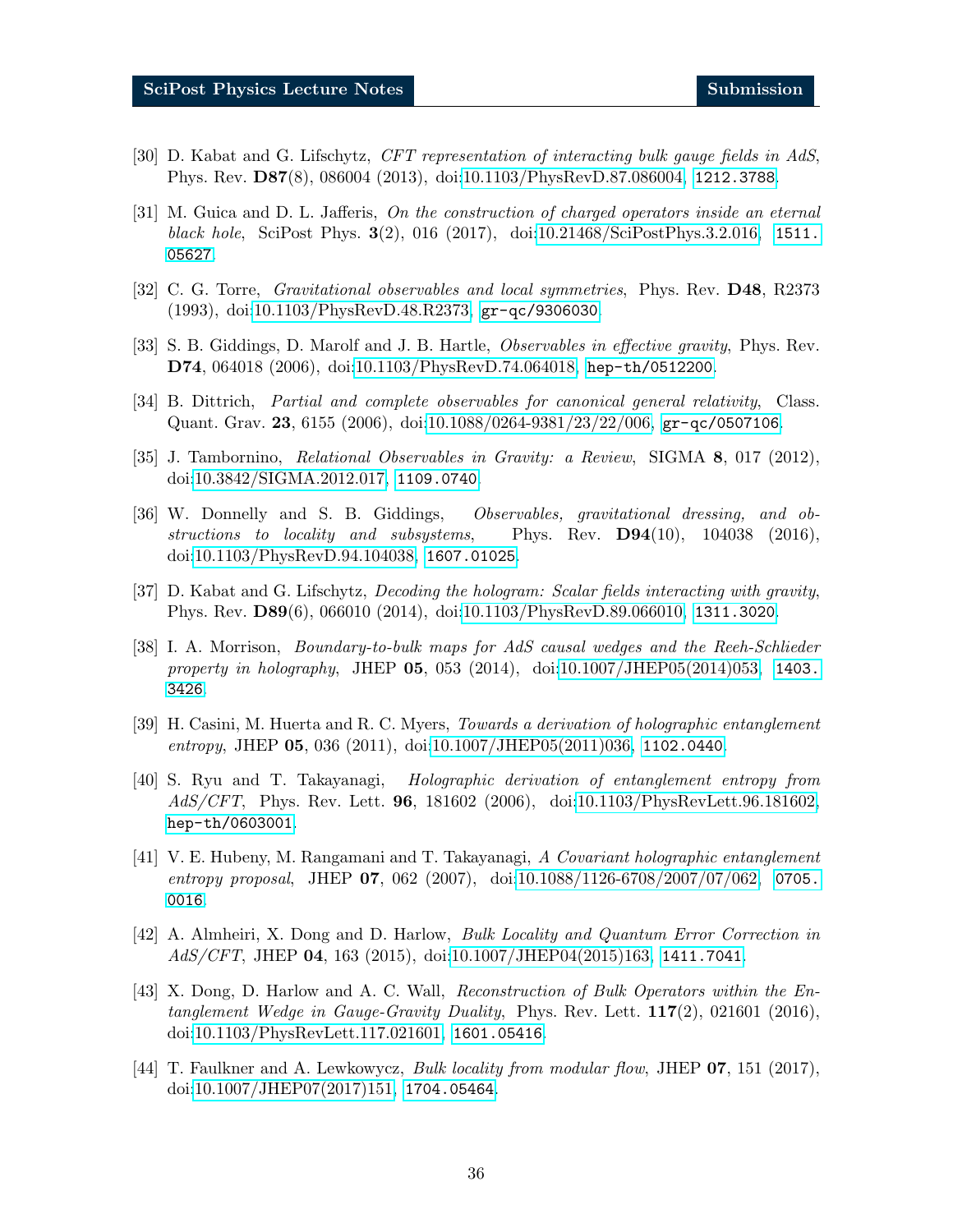- <span id="page-35-0"></span>[30] D. Kabat and G. Lifschytz, CFT representation of interacting bulk gauge fields in AdS, Phys. Rev. D87(8), 086004 (2013), doi[:10.1103/PhysRevD.87.086004,](https://doi.org/10.1103/PhysRevD.87.086004) <1212.3788>.
- <span id="page-35-1"></span>[31] M. Guica and D. L. Jafferis, On the construction of charged operators inside an eternal black hole, SciPost Phys. 3(2), 016 (2017), doi[:10.21468/SciPostPhys.3.2.016,](https://doi.org/10.21468/SciPostPhys.3.2.016) [1511.](1511.05627) [05627](1511.05627).
- <span id="page-35-2"></span>[32] C. G. Torre, *Gravitational observables and local symmetries*, Phys. Rev. **D48**, R2373 (1993), doi[:10.1103/PhysRevD.48.R2373,](https://doi.org/10.1103/PhysRevD.48.R2373) <gr-qc/9306030>.
- [33] S. B. Giddings, D. Marolf and J. B. Hartle, *Observables in effective gravity*, Phys. Rev. D74, 064018 (2006), doi[:10.1103/PhysRevD.74.064018,](https://doi.org/10.1103/PhysRevD.74.064018) <hep-th/0512200>.
- [34] B. Dittrich, Partial and complete observables for canonical general relativity, Class. Quant. Grav. 23, 6155 (2006), doi[:10.1088/0264-9381/23/22/006,](https://doi.org/10.1088/0264-9381/23/22/006) <gr-qc/0507106>.
- [35] J. Tambornino, Relational Observables in Gravity: a Review, SIGMA 8, 017 (2012), doi[:10.3842/SIGMA.2012.017,](https://doi.org/10.3842/SIGMA.2012.017) <1109.0740>.
- <span id="page-35-3"></span>[36] W. Donnelly and S. B. Giddings, Observables, gravitational dressing, and obstructions to locality and subsystems, Phys. Rev.  $D94(10)$ ,  $104038$  (2016), doi[:10.1103/PhysRevD.94.104038,](https://doi.org/10.1103/PhysRevD.94.104038) <1607.01025>.
- <span id="page-35-4"></span>[37] D. Kabat and G. Lifschytz, Decoding the hologram: Scalar fields interacting with gravity, Phys. Rev. D89(6), 066010 (2014), doi[:10.1103/PhysRevD.89.066010,](https://doi.org/10.1103/PhysRevD.89.066010) <1311.3020>.
- <span id="page-35-5"></span>[38] I. A. Morrison, Boundary-to-bulk maps for AdS causal wedges and the Reeh-Schlieder property in holography, JHEP **05**, 053 (2014), doi[:10.1007/JHEP05\(2014\)053,](https://doi.org/10.1007/JHEP05(2014)053) [1403.](1403.3426) [3426](1403.3426).
- <span id="page-35-6"></span>[39] H. Casini, M. Huerta and R. C. Myers, Towards a derivation of holographic entanglement entropy, JHEP 05, 036 (2011), doi[:10.1007/JHEP05\(2011\)036,](https://doi.org/10.1007/JHEP05(2011)036) <1102.0440>.
- <span id="page-35-7"></span>[40] S. Ryu and T. Takayanagi, Holographic derivation of entanglement entropy from AdS/CFT, Phys. Rev. Lett. 96, 181602 (2006), doi[:10.1103/PhysRevLett.96.181602,](https://doi.org/10.1103/PhysRevLett.96.181602) <hep-th/0603001>.
- <span id="page-35-8"></span>[41] V. E. Hubeny, M. Rangamani and T. Takayanagi, A Covariant holographic entanglement entropy proposal, JHEP 07, 062 (2007), doi[:10.1088/1126-6708/2007/07/062,](https://doi.org/10.1088/1126-6708/2007/07/062) [0705.](0705.0016) [0016](0705.0016).
- <span id="page-35-9"></span>[42] A. Almheiri, X. Dong and D. Harlow, Bulk Locality and Quantum Error Correction in  $AdS/CFT$ , JHEP 04, 163 (2015), doi[:10.1007/JHEP04\(2015\)163,](https://doi.org/10.1007/JHEP04(2015)163) <1411.7041>.
- [43] X. Dong, D. Harlow and A. C. Wall, Reconstruction of Bulk Operators within the Entanglement Wedge in Gauge-Gravity Duality, Phys. Rev. Lett.  $117(2)$ , 021601 (2016), doi[:10.1103/PhysRevLett.117.021601,](https://doi.org/10.1103/PhysRevLett.117.021601) <1601.05416>.
- [44] T. Faulkner and A. Lewkowycz, Bulk locality from modular flow, JHEP 07, 151 (2017), doi[:10.1007/JHEP07\(2017\)151,](https://doi.org/10.1007/JHEP07(2017)151) <1704.05464>.